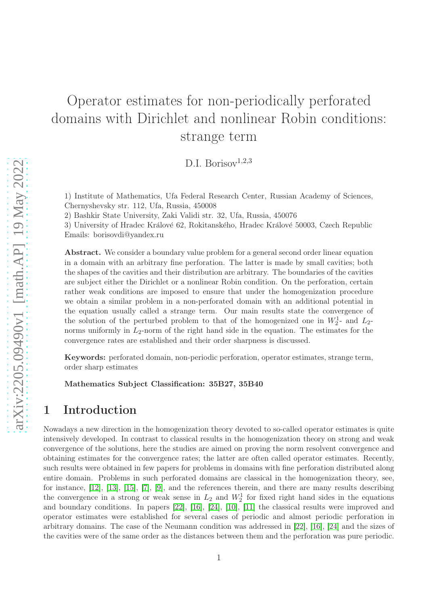# Operator estimates for non-periodically perforated domains with Dirichlet and nonlinear Robin conditions: strange term

D.I. Borisov<sup>1,2,3</sup>

1) Institute of Mathematics, Ufa Federal Research Center, Russian Academy of Sciences, Chernyshevsky str. 112, Ufa, Russia, 450008

2) Bashkir State University, Zaki Validi str. 32, Ufa, Russia, 450076

3) University of Hradec Králové 62, Rokitanského, Hradec Králové 50003, Czech Republic Emails: borisovdi@yandex.ru

Abstract. We consider a boundary value problem for a general second order linear equation in a domain with an arbitrary fine perforation. The latter is made by small cavities; both the shapes of the cavities and their distribution are arbitrary. The boundaries of the cavities are subject either the Dirichlet or a nonlinear Robin condition. On the perforation, certain rather weak conditions are imposed to ensure that under the homogenization procedure we obtain a similar problem in a non-perforated domain with an additional potential in the equation usually called a strange term. Our main results state the convergence of the solution of the perturbed problem to that of the homogenized one in  $W_2^1$ - and  $L_2$ norms uniformly in  $L_2$ -norm of the right hand side in the equation. The estimates for the convergence rates are established and their order sharpness is discussed.

Keywords: perforated domain, non-periodic perforation, operator estimates, strange term, order sharp estimates

Mathematics Subject Classification: 35B27, 35B40

## 1 Introduction

Nowadays a new direction in the homogenization theory devoted to so-called operator estimates is quite intensively developed. In contrast to classical results in the homogenization theory on strong and weak convergence of the solutions, here the studies are aimed on proving the norm resolvent convergence and obtaining estimates for the convergence rates; the latter are often called operator estimates. Recently, such results were obtained in few papers for problems in domains with fine perforation distributed along entire domain. Problems in such perforated domains are classical in the homogenization theory, see, for instance, [\[12\]](#page-36-0), [\[13\]](#page-36-1), [\[15\]](#page-36-2), [\[7\]](#page-36-3), [\[9\]](#page-36-4), and the references therein, and there are many results describing the convergence in a strong or weak sense in  $L_2$  and  $W_2^1$  for fixed right hand sides in the equations and boundary conditions. In papers [\[22\]](#page-36-5), [\[16\]](#page-36-6), [\[24\]](#page-37-0), [\[10\]](#page-36-7), [\[11\]](#page-36-8) the classical results were improved and operator estimates were established for several cases of periodic and almost periodic perforation in arbitrary domains. The case of the Neumann condition was addressed in [\[22\]](#page-36-5), [\[16\]](#page-36-6), [\[24\]](#page-37-0) and the sizes of the cavities were of the same order as the distances between them and the perforation was pure periodic.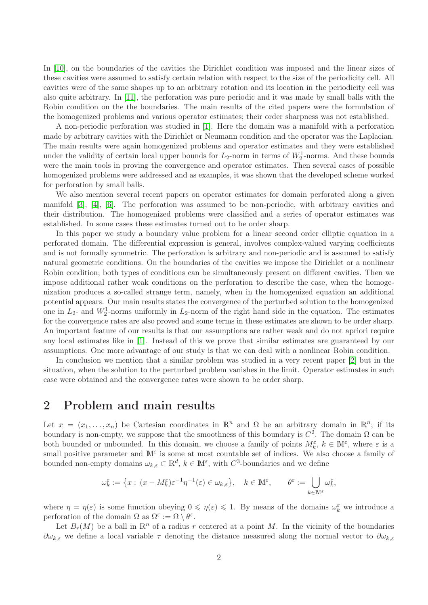In [\[10\]](#page-36-7), on the boundaries of the cavities the Dirichlet condition was imposed and the linear sizes of these cavities were assumed to satisfy certain relation with respect to the size of the periodicity cell. All cavities were of the same shapes up to an arbitrary rotation and its location in the periodicity cell was also quite arbitrary. In [\[11\]](#page-36-8), the perforation was pure periodic and it was made by small balls with the Robin condition on the the boundaries. The main results of the cited papers were the formulation of the homogenized problems and various operator estimates; their order sharpness was not established.

A non-periodic perforation was studied in [\[1\]](#page-35-0). Here the domain was a manifold with a perforation made by arbitrary cavities with the Dirichlet or Neumann condition and the operator was the Laplacian. The main results were again homogenized problems and operator estimates and they were established under the validity of certain local upper bounds for  $L_2$ -norm in terms of  $W_2^1$ -norms. And these bounds were the main tools in proving the convergence and operator estimates. Then several cases of possible homogenized problems were addressed and as examples, it was shown that the developed scheme worked for perforation by small balls.

We also mention several recent papers on operator estimates for domain perforated along a given manifold [\[3\]](#page-35-1), [\[4\]](#page-36-9), [\[6\]](#page-36-10). The perforation was assumed to be non-periodic, with arbitrary cavities and their distribution. The homogenized problems were classified and a series of operator estimates was established. In some cases these estimates turned out to be order sharp.

In this paper we study a boundary value problem for a linear second order elliptic equation in a perforated domain. The differential expression is general, involves complex-valued varying coefficients and is not formally symmetric. The perforation is arbitrary and non-periodic and is assumed to satisfy natural geometric conditions. On the boundaries of the cavities we impose the Dirichlet or a nonlinear Robin condition; both types of conditions can be simultaneously present on different cavities. Then we impose additional rather weak conditions on the perforation to describe the case, when the homogenization produces a so-called strange term, namely, when in the homogenized equation an additional potential appears. Our main results states the convergence of the perturbed solution to the homogenized one in  $L_2$ - and  $W_2^1$ -norms uniformly in  $L_2$ -norm of the right hand side in the equation. The estimates for the convergence rates are also proved and some terms in these estimates are shown to be order sharp. An important feature of our results is that our assumptions are rather weak and do not apriori require any local estimates like in [\[1\]](#page-35-0). Instead of this we prove that similar estimates are guaranteed by our assumptions. One more advantage of our study is that we can deal with a nonlinear Robin condition.

In conclusion we mention that a similar problem was studied in a very recent paper [\[2\]](#page-35-2) but in the situation, when the solution to the perturbed problem vanishes in the limit. Operator estimates in such case were obtained and the convergence rates were shown to be order sharp.

#### 2 Problem and main results

Let  $x = (x_1, \ldots, x_n)$  be Cartesian coordinates in  $\mathbb{R}^n$  and  $\Omega$  be an arbitrary domain in  $\mathbb{R}^n$ ; if its boundary is non-empty, we suppose that the smoothness of this boundary is  $C^2$ . The domain  $\Omega$  can be both bounded or unbounded. In this domain, we choose a family of points  $M_k^{\varepsilon}$ ,  $k \in \mathbb{M}^{\varepsilon}$ , where  $\varepsilon$  is a small positive parameter and  $\mathbb{M}^{\varepsilon}$  is some at most countable set of indices. We also choose a family of bounded non-empty domains  $\omega_{k,\varepsilon} \subset \mathbb{R}^d$ ,  $k \in \mathbb{M}^{\varepsilon}$ , with  $C^3$ -boundaries and we define

$$
\omega_k^\varepsilon:=\big\{x:\,(x-M_k^\varepsilon)\varepsilon^{-1}\eta^{-1}(\varepsilon)\in\omega_{k,\varepsilon}\big\},\quad k\in\mathbb M^\varepsilon,\qquad\theta^\varepsilon:=\bigcup_{k\in\mathbb M^\varepsilon}\omega_k^\varepsilon,
$$

where  $\eta = \eta(\varepsilon)$  is some function obeying  $0 \leq \eta(\varepsilon) \leq 1$ . By means of the domains  $\omega_k^{\varepsilon}$  we introduce a perforation of the domain  $\Omega$  as  $\Omega^{\varepsilon} := \Omega \setminus \theta^{\varepsilon}$ .

Let  $B_r(M)$  be a ball in  $\mathbb{R}^n$  of a radius r centered at a point M. In the vicinity of the boundaries  $\partial\omega_{k,\varepsilon}$  we define a local variable  $\tau$  denoting the distance measured along the normal vector to  $\partial\omega_{k,\varepsilon}$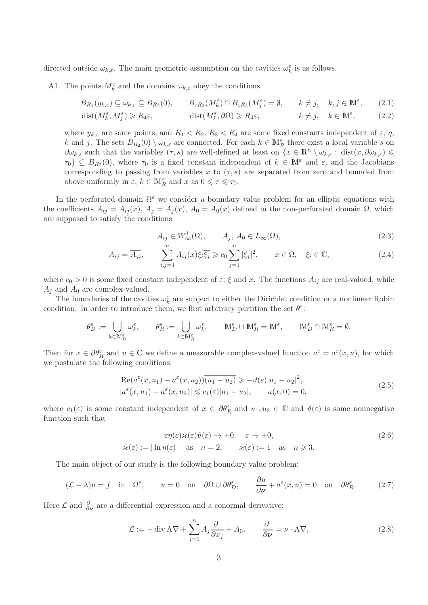<span id="page-2-4"></span>directed outside  $\omega_{k,\varepsilon}$ . The main geometric assumption on the cavities  $\omega_k^{\varepsilon}$  is as follows.

A1. The points  $M_k^{\varepsilon}$  and the domains  $\omega_{k,\varepsilon}$  obey the conditions

$$
B_{R_1}(y_{k,\varepsilon}) \subseteq \omega_{k,\varepsilon} \subseteq B_{R_2}(0), \qquad B_{\varepsilon R_3}(M_k^{\varepsilon}) \cap B_{\varepsilon R_3}(M_j^{\varepsilon}) = \emptyset, \qquad k \neq j, \quad k, j \in \mathbb{M}^{\varepsilon},\tag{2.1}
$$

$$
\text{dist}(M_k^{\varepsilon}, M_j^{\varepsilon}) \ge R_4 \varepsilon, \qquad \qquad \text{dist}(M_k^{\varepsilon}, \partial \Omega) \ge R_4 \varepsilon, \qquad k \ne j, \quad k \in \mathbb{M}^{\varepsilon}, \qquad (2.2)
$$

where  $y_{k,\varepsilon}$  are some points, and  $R_1 < R_2, R_3 < R_4$  are some fixed constants independent of  $\varepsilon$ ,  $\eta$ , k and j. The sets  $B_{R_2}(0) \setminus \omega_{k,\varepsilon}$  are connected. For each  $k \in M_R^{\varepsilon}$  there exist a local variable s on  $\partial \omega_{k,\varepsilon}$  such that the variables  $(\tau, s)$  are well-defined at least on  $\{x \in \mathbb{R}^n \setminus \omega_{k,\varepsilon} : \text{dist}(x, \partial \omega_{k,\varepsilon}) \leq$  $\{\tau_0\} \subseteq B_{R_2}(0)$ , where  $\tau_0$  is a fixed constant independent of  $k \in \mathbb{M}^{\varepsilon}$  and  $\varepsilon$ , and the Jacobians corresponding to passing from variables x to  $(\tau, s)$  are separated from zero and bounded from above uniformly in  $\varepsilon, k \in \mathbb{M}_R^{\varepsilon}$  and  $x$  as  $0 \leq \tau \leq \tau_0$ .

In the perforated domain  $\Omega^{\varepsilon}$  we consider a boundary value problem for an elliptic equations with the coefficients  $A_{ij} = A_{ij}(x)$ ,  $A_j = A_j(x)$ ,  $A_0 = A_0(x)$  defined in the non-perforated domain  $\Omega$ , which are supposed to satisfy the conditions

<span id="page-2-8"></span><span id="page-2-5"></span><span id="page-2-3"></span><span id="page-2-2"></span>
$$
A_{ij} \in W^1_{\infty}(\Omega), \qquad A_j, A_0 \in L_{\infty}(\Omega), \tag{2.3}
$$

$$
A_{ij} = \overline{A_{ji}}, \qquad \sum_{i,j=1}^{n} A_{ij}(x)\xi_i \overline{\xi_j} \ge c_0 \sum_{j=1}^{n} |\xi_j|^2, \qquad x \in \Omega, \quad \xi_i \in \mathbb{C}, \tag{2.4}
$$

where  $c_0 > 0$  is some fixed constant independent of  $\varepsilon$ ,  $\xi$  and x. The functions  $A_{ij}$  are real-valued, while  $A_j$  and  $A_0$  are complex-valued.

The boundaries of the cavities  $\omega_k^{\varepsilon}$  are subject to either the Dirichlet condition or a nonlinear Robin condition. In order to introduce them, we first arbitrary partition the set  $\theta^{\varepsilon}$ :

$$
\theta_D^\varepsilon:=\bigcup_{k\in\mathbb{M}_D^\varepsilon}\omega_k^\varepsilon,\qquad \theta_R^\varepsilon:=\bigcup_{k\in\mathbb{M}_R^\varepsilon}\omega_k^\varepsilon,\qquad \mathbb{M}_D^\varepsilon\cup\mathbb{M}_R^\varepsilon=\mathbb{M}^\varepsilon,\qquad \mathbb{M}_D^\varepsilon\cap\mathbb{M}_R^\varepsilon=\emptyset.
$$

Then for  $x \in \partial \theta_R^{\varepsilon}$  and  $u \in \mathbb{C}$  we define a measurable complex-valued function  $a^{\varepsilon} = a^{\varepsilon}(x, u)$ , for which we postulate the following conditions:

<span id="page-2-6"></span>
$$
\operatorname{Re}(a^{\varepsilon}(x, u_1) - a^{\varepsilon}(x, u_2))\overline{(u_1 - u_2)} \ge -\vartheta(\varepsilon)|u_1 - u_2|^2,
$$
  
\n
$$
|a^{\varepsilon}(x, u_1) - a^{\varepsilon}(x, u_2)| \le c_1(\varepsilon)|u_1 - u_2|, \qquad a(x, 0) = 0,
$$
\n(2.5)

where  $c_1(\varepsilon)$  is some constant independent of  $x \in \partial \theta_R^{\varepsilon}$  and  $u_1, u_2 \in \mathbb{C}$  and  $\vartheta(\varepsilon)$  is some nonnegative function such that

<span id="page-2-7"></span>
$$
\varepsilon \eta(\varepsilon) \varkappa(\varepsilon) \vartheta(\varepsilon) \to +0, \quad \varepsilon \to +0,
$$
  

$$
\varkappa(\varepsilon) := |\ln \eta(\varepsilon)| \quad \text{as} \quad n = 2, \qquad \varkappa(\varepsilon) := 1 \quad \text{as} \quad n \geq 3.
$$
 (2.6)

The main object of our study is the following boundary value problem:

<span id="page-2-0"></span>
$$
(\mathcal{L} - \lambda)u = f \quad \text{in} \quad \Omega^{\varepsilon}, \qquad u = 0 \quad \text{on} \quad \partial\Omega \cup \partial\theta_D^{\varepsilon}, \qquad \frac{\partial u}{\partial \nu} + a^{\varepsilon}(x, u) = 0 \quad \text{on} \quad \partial\theta_R^{\varepsilon}.
$$
 (2.7)

Here  $\mathcal L$  and  $\frac{\partial}{\partial \nu}$  are a differential expression and a conormal derivative:

<span id="page-2-1"></span>
$$
\mathcal{L} := -\operatorname{div} A \nabla + \sum_{j=1}^{n} A_j \frac{\partial}{\partial x_j} + A_0, \qquad \frac{\partial}{\partial \nu} = \nu \cdot A \nabla, \tag{2.8}
$$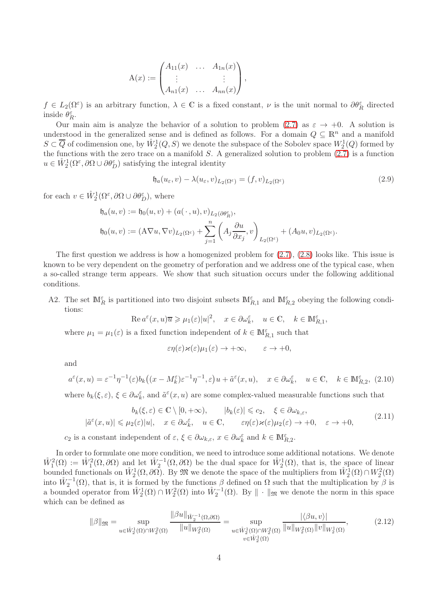$$
A(x) := \begin{pmatrix} A_{11}(x) & \dots & A_{1n}(x) \\ \vdots & & \vdots \\ A_{n1}(x) & \dots & A_{nn}(x) \end{pmatrix},
$$

 $f \in L_2(\Omega^{\varepsilon})$  is an arbitrary function,  $\lambda \in \mathbb{C}$  is a fixed constant,  $\nu$  is the unit normal to  $\partial \theta_R^{\varepsilon}$  directed inside  $\theta_R^{\varepsilon}$ .

Our main aim is analyze the behavior of a solution to problem  $(2.7)$  as  $\varepsilon \rightarrow +0$ . A solution is understood in the generalized sense and is defined as follows. For a domain  $Q \subseteq \mathbb{R}^n$  and a manifold  $S \subset \overline{Q}$  of codimension one, by  $\mathring{W}^1_2(Q, S)$  we denote the subspace of the Sobolev space  $W^1_2(Q)$  formed by the functions with the zero trace on a manifold  $S$ . A generalized solution to problem  $(2.7)$  is a function  $u \in \mathring{W}_2^1(\Omega^{\varepsilon}, \partial \Omega \cup \partial \theta_{D}^{\varepsilon})$  satisfying the integral identity

<span id="page-3-4"></span>
$$
\mathfrak{h}_a(u_\varepsilon, v) - \lambda(u_\varepsilon, v)_{L_2(\Omega^\varepsilon)} = (f, v)_{L_2(\Omega^\varepsilon)}
$$
\n(2.9)

for each  $v \in \mathring{W}_2^1(\Omega^{\varepsilon}, \partial \Omega \cup \partial \theta_D^{\varepsilon}),$  where

$$
\begin{aligned} \mathfrak{h}_a(u,v) &:= \mathfrak{h}_0(u,v) + (a(\,\cdot\,,u),v)_{L_2(\partial \theta_R^\varepsilon)},\\ \mathfrak{h}_0(u,v) &:= (\mathbf{A}\nabla u,\nabla v)_{L_2(\Omega^\varepsilon)} + \sum_{j=1}^n \left(A_j \frac{\partial u}{\partial x_j},v\right)_{L_2(\Omega^\varepsilon)} + (A_0u,v)_{L_2(\Omega^\varepsilon)}.\end{aligned}
$$

The first question we address is how a homogenized problem for  $(2.7)$ ,  $(2.8)$  looks like. This issue is known to be very dependent on the geometry of perforation and we address one of the typical case, when a so-called strange term appears. We show that such situation occurs under the following additional conditions.

<span id="page-3-0"></span>A2. The set  $\mathbb{M}_{R_1}^{\varepsilon}$  is partitioned into two disjoint subsets  $\mathbb{M}_{R,1}^{\varepsilon}$  and  $\mathbb{M}_{R,2}^{\varepsilon}$  obeying the following conditions:

$$
\operatorname{Re} a^\varepsilon(x,u)\overline{u}\geqslant \mu_1(\varepsilon)|u|^2,\quad x\in\partial\omega_k^\varepsilon,\quad u\in\mathbb{C},\quad k\in\mathbb{M}_{R,1}^\varepsilon,
$$

where  $\mu_1 = \mu_1(\varepsilon)$  is a fixed function independent of  $k \in \mathbb{M}_{R,1}^{\varepsilon}$  such that

$$
\varepsilon\eta(\varepsilon)\varkappa(\varepsilon)\mu_1(\varepsilon)\to+\infty,\qquad \varepsilon\to+0,
$$

and

<span id="page-3-1"></span>
$$
a^{\varepsilon}(x,u) = \varepsilon^{-1}\eta^{-1}(\varepsilon)b_k\big((x - M_k^{\varepsilon})\varepsilon^{-1}\eta^{-1}, \varepsilon\big)u + \tilde{a}^{\varepsilon}(x,u), \quad x \in \partial \omega_k^{\varepsilon}, \quad u \in \mathbb{C}, \quad k \in \mathbb{M}_{R,2}^{\varepsilon}, (2.10)
$$

where  $b_k(\xi,\varepsilon)$ ,  $\xi \in \partial \omega_k^{\varepsilon}$ , and  $\tilde{a}^{\varepsilon}(x,u)$  are some complex-valued measurable functions such that

<span id="page-3-2"></span>
$$
b_k(\xi, \varepsilon) \in \mathbb{C} \setminus [0, +\infty), \qquad |b_k(\varepsilon)| \leq c_2, \quad \xi \in \partial \omega_{k, \varepsilon},
$$
  

$$
|\tilde{a}^{\varepsilon}(x, u)| \leq \mu_2(\varepsilon)|u|, \quad x \in \partial \omega_k^{\varepsilon}, \quad u \in \mathbb{C}, \qquad \varepsilon \eta(\varepsilon) \varepsilon(\varepsilon) \mu_2(\varepsilon) \to +0, \quad \varepsilon \to +0,
$$
 (2.11)

 $c_2$  is a constant independent of  $\varepsilon, \, \xi \in \partial \omega_{k,\varepsilon}, \, x \in \partial \omega_k^{\varepsilon}$  and  $k \in \mathbb{M}_{R,2}^{\varepsilon}$ .

In order to formulate one more condition, we need to introduce some additional notations. We denote  $\mathring{W}_1^2(\Omega) := \mathring{W}_1^2(\Omega, \partial \Omega)$  and let  $\mathring{W}_2^{-1}(\Omega, \partial \Omega)$  be the dual space for  $\mathring{W}_2^1(\Omega)$ , that is, the space of linear bounded functionals on  $\mathring{W}^1_2(\Omega, \partial \Omega)$ . By  $\mathfrak{M}$  we denote the space of the multipliers from  $\mathring{W}^1_2(\Omega) \cap W^2_2(\Omega)$ into  $\mathring{W}_2^{-1}(\Omega)$ , that is, it is formed by the functions  $\beta$  defined on  $\Omega$  such that the multiplication by  $\beta$  is a bounded operator from  $\mathring{W}_2^1(\Omega) \cap W_2^2(\Omega)$  into  $\mathring{W}_2^{-1}(\Omega)$ . By  $\|\cdot\|_{\mathfrak{M}}$  we denote the norm in this space which can be defined as

<span id="page-3-3"></span>
$$
\|\beta\|_{\mathfrak{M}} = \sup_{u \in \mathring{W}_2^1(\Omega) \cap W_2^2(\Omega)} \frac{\|\beta u\|_{\mathring{W}_2^{-1}(\Omega, \partial \Omega)}}{\|u\|_{W_2^2(\Omega)}} = \sup_{u \in \mathring{W}_2^1(\Omega) \cap W_2^2(\Omega)} \frac{|\langle \beta u, v \rangle|}{\|u\|_{W_2^2(\Omega)} \|v\|_{W_2^1(\Omega)}},\tag{2.12}
$$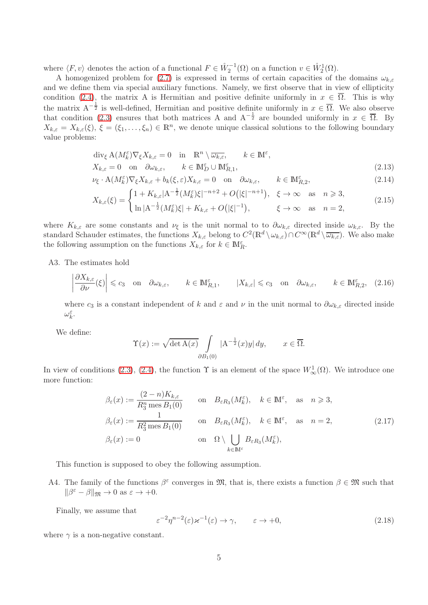where  $\langle F, v \rangle$  denotes the action of a functional  $F \in \mathring{W}_2^{-1}(\Omega)$  on a function  $v \in \mathring{W}_2^1(\Omega)$ .

A homogenized problem for [\(2.7\)](#page-2-0) is expressed in terms of certain capacities of the domains  $\omega_{k,\varepsilon}$ and we define them via special auxiliary functions. Namely, we first observe that in view of ellipticity condition [\(2.4\)](#page-2-2), the matrix A is Hermitian and positive definite uniformly in  $x \in \overline{\Omega}$ . This is why the matrix  $A^{-\frac{1}{2}}$  is well-defined, Hermitian and positive definite uniformly in  $x \in \overline{\Omega}$ . We also observe that condition [\(2.3\)](#page-2-3) ensures that both matrices A and  $A^{-\frac{1}{2}}$  are bounded uniformly in  $x \in \overline{\Omega}$ . By  $X_{k,\varepsilon} = X_{k,\varepsilon}(\xi), \xi = (\xi_1,\ldots,\xi_n) \in \mathbb{R}^n$ , we denote unique classical solutions to the following boundary value problems:

<span id="page-4-5"></span>
$$
\operatorname{div}_{\xi} \mathcal{A}(M_k^{\varepsilon}) \nabla_{\xi} X_{k,\varepsilon} = 0 \quad \text{in} \quad \mathbb{R}^n \setminus \overline{\omega_{k,\varepsilon}}, \qquad k \in \mathbb{M}^{\varepsilon},
$$
\n
$$
X_{k,\varepsilon} = 0 \quad \text{on} \quad \partial \omega_{k,\varepsilon}, \qquad k \in \mathbb{M}_D^{\varepsilon} \cup \mathbb{M}_{R,1}^{\varepsilon}, \tag{2.13}
$$

$$
\nu_{\xi} \cdot A(M_k^{\varepsilon}) \nabla_{\xi} X_{k,\varepsilon} + b_k(\xi, \varepsilon) X_{k,\varepsilon} = 0 \quad \text{on} \quad \partial \omega_{k,\varepsilon}, \qquad k \in \mathbb{M}_{R,2}^{\varepsilon},\tag{2.14}
$$

<span id="page-4-7"></span><span id="page-4-6"></span>
$$
X_{k,\varepsilon}(\xi) = \begin{cases} 1 + K_{k,\varepsilon} |\mathbf{A}^{-\frac{1}{2}} (M_k^{\varepsilon}) \xi|^{-n+2} + O(|\xi|^{-n+1}), & \xi \to \infty \text{ as } n \ge 3, \\ \ln |\mathbf{A}^{-\frac{1}{2}} (M_k^{\varepsilon}) \xi| + K_{k,\varepsilon} + O(|\xi|^{-1}), & \xi \to \infty \text{ as } n = 2, \end{cases}
$$
(2.15)

where  $K_{k,\varepsilon}$  are some constants and  $\nu_{\xi}$  is the unit normal to to  $\partial \omega_{k,\varepsilon}$  directed inside  $\omega_{k,\varepsilon}$ . By the standard Schauder estimates, the functions  $X_{k,\varepsilon}$  belong to  $C^2(\mathbb{R}^d \setminus \omega_{k,\varepsilon}) \cap C^\infty(\mathbb{R}^d \setminus \overline{\omega_{k,\varepsilon}})$ . We also make the following assumption on the functions  $X_{k,\varepsilon}$  for  $k \in \mathbb{M}_R^{\varepsilon}$ .

<span id="page-4-1"></span>A3. The estimates hold

<span id="page-4-4"></span>
$$
\left|\frac{\partial X_{k,\varepsilon}}{\partial \nu}(\xi)\right| \leqslant c_3 \quad \text{on} \quad \partial \omega_{k,\varepsilon}, \qquad k \in \mathbb{M}_{R,1}^{\varepsilon}, \qquad |X_{k,\varepsilon}| \leqslant c_3 \quad \text{on} \quad \partial \omega_{k,\varepsilon}, \qquad k \in \mathbb{M}_{R,2}^{\varepsilon}, \tag{2.16}
$$

where  $c_3$  is a constant independent of k and  $\varepsilon$  and  $\nu$  in the unit normal to  $\partial \omega_{k,\varepsilon}$  directed inside  $\omega_k^{\varepsilon}$ .

We define:

$$
\Upsilon(x) := \sqrt{\det A(x)} \int\limits_{\partial B_1(0)} |A^{-\frac{1}{2}}(x)y| dy, \qquad x \in \overline{\Omega}.
$$

In view of conditions [\(2.3\)](#page-2-3), [\(2.4\)](#page-2-2), the function  $\Upsilon$  is an element of the space  $W^1_{\infty}(\Omega)$ . We introduce one more function:

<span id="page-4-3"></span>
$$
\beta_{\varepsilon}(x) := \frac{(2 - n)K_{k,\varepsilon}}{R_3^n \text{ mes } B_1(0)} \quad \text{on} \quad B_{\varepsilon R_3}(M_k^{\varepsilon}), \quad k \in \mathbb{M}^{\varepsilon}, \quad \text{as} \quad n \geq 3,
$$
\n
$$
\beta_{\varepsilon}(x) := \frac{1}{R_3^2 \text{ mes } B_1(0)} \quad \text{on} \quad B_{\varepsilon R_3}(M_k^{\varepsilon}), \quad k \in \mathbb{M}^{\varepsilon}, \quad \text{as} \quad n = 2,
$$
\n
$$
\beta_{\varepsilon}(x) := 0 \quad \text{on} \quad \Omega \setminus \bigcup_{k \in \mathbb{M}^{\varepsilon}} B_{\varepsilon R_3}(M_k^{\varepsilon}),
$$
\n(2.17)

This function is supposed to obey the following assumption.

<span id="page-4-2"></span>A4. The family of the functions  $\beta^{\varepsilon}$  converges in  $\mathfrak{M}$ , that is, there exists a function  $\beta \in \mathfrak{M}$  such that  $\|\beta^{\varepsilon} - \beta\|_{\mathfrak{M}} \to 0 \text{ as } \varepsilon \to +0.$ 

Finally, we assume that

<span id="page-4-0"></span>
$$
\varepsilon^{-2} \eta^{n-2}(\varepsilon) \varkappa^{-1}(\varepsilon) \to \gamma, \qquad \varepsilon \to +0,
$$
\n(2.18)

where  $\gamma$  is a non-negative constant.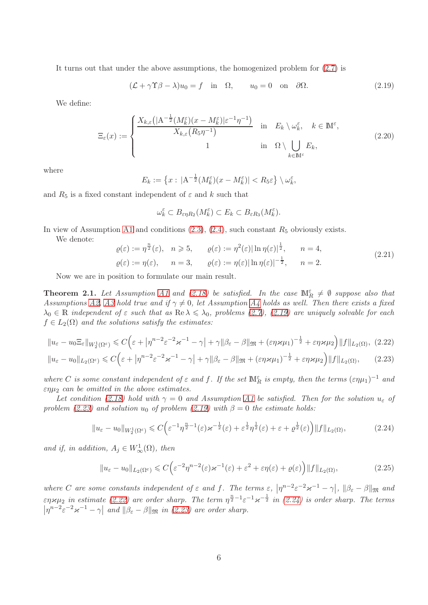It turns out that under the above assumptions, the homogenized problem for [\(2.7\)](#page-2-0) is

<span id="page-5-0"></span>
$$
(\mathcal{L} + \gamma \Upsilon \beta - \lambda)u_0 = f \quad \text{in} \quad \Omega, \qquad u_0 = 0 \quad \text{on} \quad \partial \Omega. \tag{2.19}
$$

We define:

<span id="page-5-6"></span>
$$
\Xi_{\varepsilon}(x) := \begin{cases} \frac{X_{k,\varepsilon} \left( |\mathbf{A}^{-\frac{1}{2}} (M_k^{\varepsilon}) (x - M_k^{\varepsilon}) |\varepsilon^{-1} \eta^{-1} \right)}{X_{k,\varepsilon} (R_5 \eta^{-1})} & \text{in } E_k \setminus \omega_k^{\varepsilon}, \quad k \in \mathbb{M}^{\varepsilon}, \\ 1 & \text{in } \Omega \setminus \bigcup_{k \in \mathbb{M}^{\varepsilon}} E_k, \end{cases} \tag{2.20}
$$

where

$$
E_k := \left\{ x : \, |A^{-\frac{1}{2}}(M_k^{\varepsilon})(x - M_k^{\varepsilon})| < R_5 \varepsilon \right\} \setminus \omega_k^{\varepsilon},
$$

and  $R_5$  is a fixed constant independent of  $\varepsilon$  and  $k$  such that

<span id="page-5-2"></span><span id="page-5-1"></span>
$$
\omega_k^{\varepsilon} \subset B_{\varepsilon\eta R_2}(M_k^{\varepsilon}) \subset E_k \subset B_{\varepsilon R_3}(M_k^{\varepsilon}).
$$

In view of Assumption [A1](#page-2-4) and conditions  $(2.3)$ ,  $(2.4)$ , such constant  $R_5$  obviously exists.

We denote:

<span id="page-5-7"></span>
$$
\varrho(\varepsilon) := \eta^{\frac{n}{2}}(\varepsilon), \quad n \geqslant 5, \qquad \varrho(\varepsilon) := \eta^{2}(\varepsilon) |\ln \eta(\varepsilon)|^{\frac{1}{2}}, \qquad n = 4,
$$
\n
$$
\varrho(\varepsilon) := \eta(\varepsilon), \qquad n = 3, \qquad \varrho(\varepsilon) := \eta(\varepsilon) |\ln \eta(\varepsilon)|^{-\frac{1}{2}}, \qquad n = 2.
$$
\n
$$
(2.21)
$$

Now we are in position to formulate our main result.

<span id="page-5-5"></span>**Theorem 2.1.** Let Assumption [A1](#page-2-4) and [\(2.18\)](#page-4-0) be satisfied. In the case  $\mathbb{M}_{R}^{\varepsilon} \neq \emptyset$  suppose also that Assumptions [A2,](#page-3-0) [A3](#page-4-1) hold true and if  $\gamma \neq 0$ , let Assumption [A4](#page-4-2) holds as well. Then there exists a fixed  $\lambda_0 \in \mathbb{R}$  independent of  $\varepsilon$  such that as  $\text{Re }\lambda \leq \lambda_0$ , problems [\(2.7\)](#page-2-0), [\(2.19\)](#page-5-0) are uniquely solvable for each  $f \in L_2(\Omega)$  and the solutions satisfy the estimates:

$$
||u_{\varepsilon} - u_0 \Xi_{\varepsilon}||_{W_2^1(\Omega^{\varepsilon})} \leq C \Big( \varepsilon + \left| \eta^{n-2} \varepsilon^{-2} \varkappa^{-1} - \gamma \right| + \gamma ||\beta_{\varepsilon} - \beta||_{\mathfrak{M}} + (\varepsilon \eta \varkappa \mu_1)^{-\frac{1}{2}} + \varepsilon \eta \varkappa \mu_2 \Big) ||f||_{L_2(\Omega)}, \tag{2.22}
$$

$$
||u_{\varepsilon} - u_0||_{L_2(\Omega^{\varepsilon})} \leq C \Big( \varepsilon + \left| \eta^{n-2} \varepsilon^{-2} \varkappa^{-1} - \gamma \right| + \gamma ||\beta_{\varepsilon} - \beta||_{\mathfrak{M}} + (\varepsilon \eta \varkappa \mu_1)^{-\frac{1}{2}} + \varepsilon \eta \varkappa \mu_2 \Big) ||f||_{L_2(\Omega)}, \qquad (2.23)
$$

where C is some constant independent of  $\varepsilon$  and f. If the set  $\mathbb{M}_{R}^{\varepsilon}$  is empty, then the terms  $(\varepsilon \eta \mu_1)^{-1}$  and  $\varepsilon \eta \mu_2$  can be omitted in the above estimates.

Let condition [\(2.18\)](#page-4-0) hold with  $\gamma = 0$  and Assumption [A1](#page-2-4) be satisfied. Then for the solution  $u_{\varepsilon}$  of problem [\(2.23\)](#page-5-1) and solution  $u_0$  of problem [\(2.19\)](#page-5-0) with  $\beta = 0$  the estimate holds:

<span id="page-5-3"></span>
$$
||u_{\varepsilon} - u_0||_{W_2^1(\Omega^{\varepsilon})} \leq C \Big( \varepsilon^{-1} \eta^{\frac{n}{2}-1}(\varepsilon) \varkappa^{-\frac{1}{2}}(\varepsilon) + \varepsilon^{\frac{1}{2}} \eta^{\frac{1}{2}}(\varepsilon) + \varepsilon + \varrho^{\frac{1}{2}}(\varepsilon) \Big) ||f||_{L_2(\Omega)},
$$
\n(2.24)

and if, in addition,  $A_j \in W^1_{\infty}(\Omega)$ , then

<span id="page-5-4"></span>
$$
||u_{\varepsilon} - u_0||_{L_2(\Omega^{\varepsilon})} \leqslant C \Big( \varepsilon^{-2} \eta^{n-2}(\varepsilon) \varkappa^{-1}(\varepsilon) + \varepsilon^2 + \varepsilon \eta(\varepsilon) + \varrho(\varepsilon) \Big) ||f||_{L_2(\Omega)}, \tag{2.25}
$$

where C are some constants independent of  $\varepsilon$  and f. The terms  $\varepsilon$ ,  $|\eta^{n-2}\varepsilon^{-2}\varkappa^{-1} - \gamma|$ ,  $||\beta_{\varepsilon} - \beta||_{\mathfrak{M}}$  and  $\varepsilon \eta \varkappa \mu_2$  in estimate [\(2.22\)](#page-5-2) are order sharp. The term  $\eta^{\frac{n}{2}-1} \varepsilon^{-1} \varkappa^{-\frac{1}{2}}$  in [\(2.24\)](#page-5-3) is order sharp. The terms  $\left|\eta^{n-2}\varepsilon^{-2}\varkappa^{-1}-\gamma\right|$  and  $\left|\beta_{\varepsilon}-\beta\right|$  on  $(n(2.23)$  are order sharp.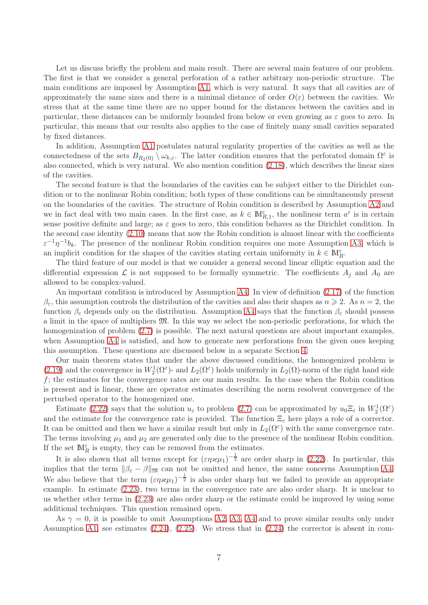Let us discuss briefly the problem and main result. There are several main features of our problem. The first is that we consider a general perforation of a rather arbitrary non-periodic structure. The main conditions are imposed by Assumption [A1,](#page-2-4) which is very natural. It says that all cavities are of approximately the same sizes and there is a minimal distance of order  $O(\varepsilon)$  between the cavities. We stress that at the same time there are no upper bound for the distances between the cavities and in particular, these distances can be uniformly bounded from below or even growing as  $\varepsilon$  goes to zero. In particular, this means that our results also applies to the case of finitely many small cavities separated by fixed distances.

In addition, Assumption [A1](#page-2-4) postulates natural regularity properties of the cavities as well as the connectedness of the sets  $B_{R_2(0)} \setminus \omega_{k,\varepsilon}$ . The latter condition ensures that the perforated domain  $\Omega^{\varepsilon}$  is also connected, which is very natural. We also mention condition [\(2.18\)](#page-4-0), which describes the linear sizes of the cavities.

The second feature is that the boundaries of the cavities can be subject either to the Dirichlet condition or to the nonlinear Robin condition; both types of these conditions can be simultaneously present on the boundaries of the cavities. The structure of Robin condition is described by Assumption [A2](#page-3-0) and we in fact deal with two main cases. In the first case, as  $k \in M_{R,1}^{\varepsilon}$ , the nonlinear term  $a^{\varepsilon}$  is in certain sense positive definite and large; as  $\varepsilon$  goes to zero, this condition behaves as the Dirichlet condition. In the second case identity [\(2.10\)](#page-3-1) means that now the Robin condition is almost linear with the coefficients  $\varepsilon^{-1}\eta^{-1}b_k$ . The presence of the nonlinear Robin condition requires one more Assumption [A3,](#page-4-1) which is an implicit condition for the shapes of the cavities stating certain uniformity in  $k \in \mathbb{M}_{R}^{\varepsilon}$ .

The third feature of our model is that we consider a general second linear elliptic equation and the differential expression  $\mathcal L$  is not supposed to be formally symmetric. The coefficients  $A_j$  and  $A_0$  are allowed to be complex-valued.

An important condition is introduced by Assumption [A4.](#page-4-2) In view of definition [\(2.17\)](#page-4-3) of the function  $\beta_{\varepsilon}$ , this assumption controls the distribution of the cavities and also their shapes as  $n \geqslant 2$ . As  $n = 2$ , the function  $\beta_{\varepsilon}$  depends only on the distribution. Assumption [A4](#page-4-2) says that the function  $\beta_{\varepsilon}$  should possess a limit in the space of multipliers M. In this way we select the non-periodic perforations, for which the homogenization of problem  $(2.7)$  is possible. The next natural questions are about important examples, when Assumption [A4](#page-4-2) is satisfied, and how to generate new perforations from the given ones keeping this assumption. These questions are discussed below in a separate Section [4.](#page-15-0)

Our main theorem states that under the above discussed conditions, the homogenized problem is [\(2.19\)](#page-5-0) and the convergence in  $W_2^1(\Omega^{\varepsilon})$ - and  $L_2(\Omega^{\varepsilon})$  holds uniformly in  $L_2(\Omega)$ -norm of the right hand side  $f$ ; the estimates for the convergence rates are our main results. In the case when the Robin condition is present and is linear, these are operator estimates describing the norm resolvent convergence of the perturbed operator to the homogenized one.

Estimate [\(2.22\)](#page-5-2) says that the solution  $u_{\varepsilon}$  to problem [\(2.7\)](#page-2-0) can be approximated by  $u_0 \Xi_{\varepsilon}$  in  $W_2^1(\Omega^{\varepsilon})$ and the estimate for the convergence rate is provided. The function  $\Xi_{\varepsilon}$  here plays a role of a corrector. It can be omitted and then we have a similar result but only in  $L_2(\Omega^{\varepsilon})$  with the same convergence rate. The terms involving  $\mu_1$  and  $\mu_2$  are generated only due to the presence of the nonlinear Robin condition. If the set  $\mathbb{M}_R^{\varepsilon}$  is empty, they can be removed from the estimates.

It is also shown that all terms except for  $(\epsilon \eta \varkappa \mu_1)^{-\frac{1}{2}}$  are order sharp in [\(2.22\)](#page-5-2). In particular, this implies that the term  $\|\beta_{\varepsilon} - \beta\|_{\mathfrak{M}}$  can not be omitted and hence, the same concerns Assumption [A4.](#page-4-2) We also believe that the term  $(\epsilon \eta \varkappa \mu_1)^{-\frac{1}{2}}$  is also order sharp but we failed to provide an appropriate example. In estimate [\(2.23\)](#page-5-1), two terms in the convergence rate are also order sharp. It is unclear to us whether other terms in [\(2.23\)](#page-5-1) are also order sharp or the estimate could be improved by using some additional techniques. This question remained open.

As  $\gamma = 0$ , it is possible to omit Assumptions [A2,](#page-3-0) [A3,](#page-4-1) [A4](#page-4-2) and to prove similar results only under Assumption [A1,](#page-2-4) see estimates  $(2.24)$ ,  $(2.25)$ . We stress that in  $(2.24)$  the corrector is absent in com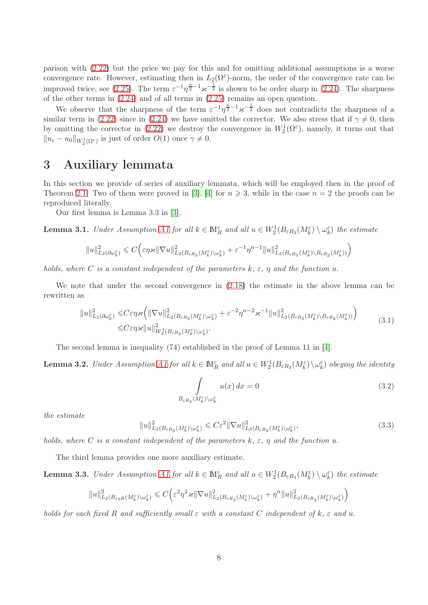parison with [\(2.22\)](#page-5-2) but the price we pay for this and for omitting additional assumptions is a worse convergence rate. However, estimating then in  $L_2(\Omega^\varepsilon)$ -norm, the order of the convergence rate can be improved twice, see [\(2.25\)](#page-5-4). The term  $\varepsilon^{-1}\eta^{\frac{n}{2}-1}\varkappa^{-\frac{1}{2}}$  is shown to be order sharp in [\(2.24\)](#page-5-3). The sharpness of the other terms in [\(2.24\)](#page-5-3) and of all terms in [\(2.25\)](#page-5-4) remains an open question.

We observe that the sharpness of the term  $\varepsilon^{-1}\eta^{\frac{n}{2}-1}\varkappa^{-\frac{1}{2}}$  does not contradicts the sharpness of a similar term in [\(2.22\)](#page-5-2) since in [\(2.24\)](#page-5-3) we have omitted the corrector. We also stress that if  $\gamma \neq 0$ , then by omitting the corrector in [\(2.22\)](#page-5-2) we destroy the convergence in  $W_2^1(\Omega^{\varepsilon})$ , namely, it turns out that  $||u_{\varepsilon} - u_0||_{W_2^1(\Omega^{\varepsilon})}$  is just of order  $O(1)$  once  $\gamma \neq 0$ .

## 3 Auxiliary lemmata

In this section we provide of series of auxiliary lemmata, which will be employed then in the proof of Theorem [2.1.](#page-5-5) Two of them were proved in [\[3\]](#page-35-1), [\[4\]](#page-36-9) for  $n \ge 3$ , while in the case  $n = 2$  the proofs can be reproduced literally.

Our first lemma is Lemma 3.3 in [\[3\]](#page-35-1).

<span id="page-7-4"></span>**Lemma 3.1.** Under Assumption [A1](#page-2-4) for all  $k \in M_R^{\varepsilon}$  and all  $u \in W_2^1(B_{\varepsilon R_3}(M_k^{\varepsilon}) \setminus \omega_k^{\varepsilon})$  the estimate

$$
||u||_{L_2(\partial \omega_k^\varepsilon)}^2 \leqslant C \Big( \varepsilon \eta\varkappa ||\nabla u||_{L_2(B_{\varepsilon R_3}(M_k^\varepsilon)\backslash \omega_k^\varepsilon)}^2 + \varepsilon^{-1} \eta^{n-1} ||u||_{L_2(B_{\varepsilon R_3}(M_k^\varepsilon)\backslash B_{\varepsilon R_2}(M_k^\varepsilon))}^2 \Big)
$$

holds, where C is a constant independent of the parameters  $k, \varepsilon, \eta$  and the function u.

We note that under the second convergence in [\(2.18\)](#page-4-0) the estimate in the above lemma can be rewritten as

<span id="page-7-0"></span>
$$
||u||_{L_2(\partial \omega_k^{\varepsilon})}^2 \leq C \varepsilon \eta \varkappa \left( ||\nabla u||_{L_2(B_{\varepsilon R_3}(M_k^{\varepsilon}) \setminus \omega_k^{\varepsilon})}^2 + \varepsilon^{-2} \eta^{n-2} \varkappa^{-1} ||u||_{L_2(B_{\varepsilon R_3}(M_k^{\varepsilon}) \setminus B_{\varepsilon R_2}(M_k^{\varepsilon}))} \right) \tag{3.1}
$$

The second lemma is inequality (74) established in the proof of Lemma 11 in [\[4\]](#page-36-9).

<span id="page-7-1"></span>**Lemma 3.2.** Under Assumption [A1](#page-2-4) for all  $k \in \mathbb{M}_{R}^{\varepsilon}$  and all  $u \in W_2^1(B_{\varepsilon R_3}(M_k^{\varepsilon}) \setminus \omega_k^{\varepsilon})$  obeying the identity

<span id="page-7-2"></span>
$$
\int_{B_{\varepsilon R_3}(M_k^{\varepsilon})\setminus\omega_k^{\varepsilon}} u(x) dx = 0
$$
\n(3.2)

the estimate

<span id="page-7-3"></span>
$$
||u||_{L_2(B_{\varepsilon R_3}(M_k^{\varepsilon})\backslash \omega_k^{\varepsilon})}^2 \leqslant C\varepsilon^2 ||\nabla u||_{L_2(B_{\varepsilon R_3}(M_k^{\varepsilon})\backslash \omega_k^{\varepsilon})}^2,
$$
\n(3.3)

holds, where C is a constant independent of the parameters  $k, \varepsilon, \eta$  and the function u.

The third lemma provides one more auxiliary estimate.

<span id="page-7-5"></span>**Lemma 3.3.** Under Assumption [A1](#page-2-4) for all  $k \in M_R^{\varepsilon}$  and all  $u \in W_2^1(B_{\varepsilon R_3}(M_k^{\varepsilon}) \setminus \omega_k^{\varepsilon})$  the estimate

$$
||u||_{L_2(B_{\varepsilon\eta R}(M_k^{\varepsilon})\setminus \omega_k^{\varepsilon})}^2 \leq C \Big(\varepsilon^2 \eta^2 \varkappa ||\nabla u||_{L_2(B_{\varepsilon R_3}(M_k^{\varepsilon})\setminus \omega_k^{\varepsilon})}^2 + \eta^n ||u||_{L_2(B_{\varepsilon R_3}(M_k^{\varepsilon})\setminus \omega_k^{\varepsilon})}^2\Big)
$$

holds for each fixed R and sufficiently small  $\varepsilon$  with a constant C independent of k,  $\varepsilon$  and u.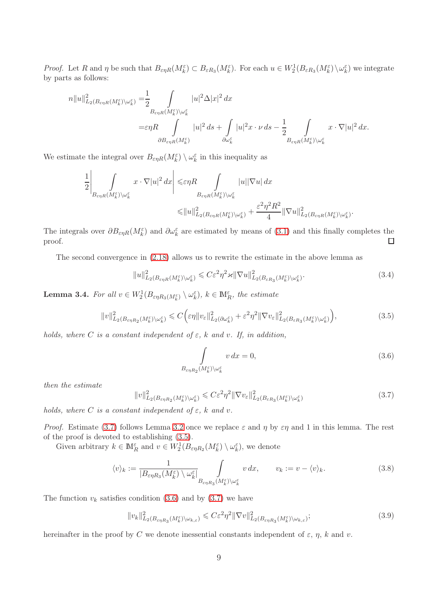Proof. Let R and  $\eta$  be such that  $B_{\varepsilon\eta R}(M_k^{\varepsilon}) \subset B_{\varepsilon R_3}(M_k^{\varepsilon})$ . For each  $u \in W_2^1(B_{\varepsilon R_3}(M_k^{\varepsilon}) \setminus \omega_k^{\varepsilon})$  we integrate by parts as follows:

$$
n||u||_{L_2(B_{\varepsilon\eta R}(M_k^{\varepsilon})\setminus\omega_k^{\varepsilon})}^2 = \frac{1}{2} \int\limits_{B_{\varepsilon\eta R}(M_k^{\varepsilon})\setminus\omega_k^{\varepsilon}} |u|^2 \Delta |x|^2 dx
$$
  

$$
= \varepsilon \eta R \int\limits_{\partial B_{\varepsilon\eta R}(M_k^{\varepsilon})} |u|^2 ds + \int\limits_{\partial \omega_k^{\varepsilon}} |u|^2 x \cdot \nu ds - \frac{1}{2} \int\limits_{B_{\varepsilon\eta R}(M_k^{\varepsilon})\setminus\omega_k^{\varepsilon}} x \cdot \nabla |u|^2 dx.
$$

We estimate the integral over  $B_{\varepsilon\eta R}(M_k^{\varepsilon}) \setminus \omega_k^{\varepsilon}$  in this inequality as

$$
\frac{1}{2} \left| \int\limits_{B_{\varepsilon\eta R}(M^\varepsilon_k)\backslash \omega^\varepsilon_k} x \cdot \nabla |u|^2 \, dx \right| \leqslant \varepsilon\eta R \int\limits_{B_{\varepsilon\eta R}(M^\varepsilon_k)\backslash \omega^\varepsilon_k} |u| |\nabla u| \, dx
$$
  

$$
\leqslant \|u\|^2_{L_2(B_{\varepsilon\eta R}(M^\varepsilon_k)\backslash \omega^\varepsilon_k)} + \frac{\varepsilon^2\eta^2 R^2}{4} \|\nabla u\|^2_{L_2(B_{\varepsilon\eta R}(M^\varepsilon_k)\backslash \omega^\varepsilon_k)}.
$$

The integrals over  $\partial B_{\varepsilon\eta R}(M_k^{\varepsilon})$  and  $\partial \omega_k^{\varepsilon}$  are estimated by means of [\(3.1\)](#page-7-0) and this finally completes the proof.  $\Box$ 

The second convergence in [\(2.18\)](#page-4-0) allows us to rewrite the estimate in the above lemma as

<span id="page-8-5"></span>
$$
||u||_{L_2(B_{\varepsilon\eta R}(M_k^{\varepsilon})\setminus\omega_k^{\varepsilon})}^2 \leqslant C\varepsilon^2\eta^2\varkappa ||\nabla u||_{L_2(B_{\varepsilon R_3}(M_k^{\varepsilon})\setminus\omega_k^{\varepsilon})}^2.
$$
\n(3.4)

**Lemma 3.4.** For all  $v \in W_2^1(B_{\varepsilon\eta R_3(M_k^{\varepsilon})} \setminus \omega_k^{\varepsilon}), k \in \mathbb{M}_R^{\varepsilon}$ , the estimate

<span id="page-8-1"></span>
$$
||v||_{L_2(B_{\varepsilon\eta R_2}(M_k^{\varepsilon})\setminus\omega_k^{\varepsilon})}^2 \leq C \Big(\varepsilon\eta ||v_{\varepsilon}||_{L_2(\partial \omega_k^{\varepsilon})}^2 + \varepsilon^2\eta^2 ||\nabla v_{\varepsilon}||_{L_2(B_{\varepsilon R_3}(M_k^{\varepsilon})\setminus\omega_k^{\varepsilon})}^2\Big),
$$
\n(3.5)

holds, where C is a constant independent of  $\varepsilon$ , k and v. If, in addition,

<span id="page-8-2"></span>
$$
\int_{B_{\varepsilon\eta R_2}(M_k^{\varepsilon})\backslash\omega_k^{\varepsilon}} v dx = 0,
$$
\n(3.6)

then the estimate

<span id="page-8-0"></span>
$$
||v||_{L_2(B_{\varepsilon\eta R_2}(M_k^{\varepsilon})\setminus\omega_k^{\varepsilon})}^2 \leqslant C\varepsilon^2\eta^2 ||\nabla v_{\varepsilon}||_{L_2(B_{\varepsilon R_3}(M_k^{\varepsilon})\setminus\omega_k^{\varepsilon})}^2 \tag{3.7}
$$

holds, where C is a constant independent of  $\varepsilon$ , k and v.

*Proof.* Estimate [\(3.7\)](#page-8-0) follows Lemma [3.2](#page-7-1) once we replace  $\varepsilon$  and  $\eta$  by  $\varepsilon\eta$  and 1 in this lemma. The rest of the proof is devoted to establishing [\(3.5\)](#page-8-1).

Given arbitrary  $k \in \mathbb{M}_R^{\varepsilon}$  and  $v \in W_2^1(B_{\varepsilon \eta R_2}(M_k^{\varepsilon}) \setminus \omega_k^{\varepsilon})$ , we denote

<span id="page-8-4"></span>
$$
\langle v \rangle_k := \frac{1}{|B_{\varepsilon\eta R_3}(M_k^{\varepsilon}) \setminus \omega_k^{\varepsilon}|} \int_{B_{\varepsilon\eta R_3}(M_k^{\varepsilon}) \setminus \omega_k^{\varepsilon}} v dx, \qquad v_k := v - \langle v \rangle_k. \tag{3.8}
$$

The function  $v_k$  satisfies condition [\(3.6\)](#page-8-2) and by [\(3.7\)](#page-8-0) we have

<span id="page-8-3"></span>
$$
||v_k||_{L_2(B_{\varepsilon\eta R_3}(M_k^{\varepsilon})\setminus\omega_{k,\varepsilon})}^2 \leqslant C\varepsilon^2\eta^2 ||\nabla v||_{L_2(B_{\varepsilon\eta R_3}(M_k^{\varepsilon})\setminus\omega_{k,\varepsilon})}^2;
$$
\n(3.9)

hereinafter in the proof by C we denote inessential constants independent of  $\varepsilon$ ,  $\eta$ , k and v.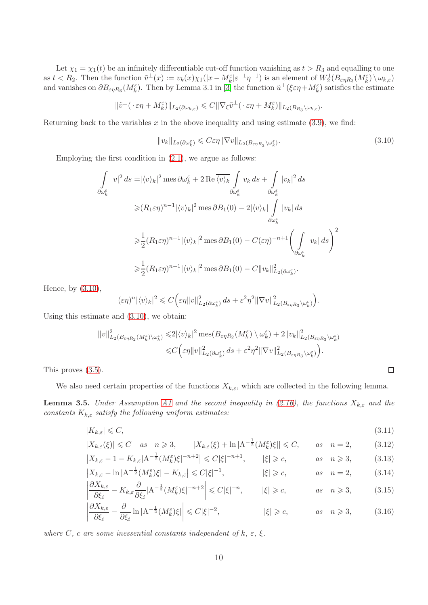Let  $\chi_1 = \chi_1(t)$  be an infinitely differentiable cut-off function vanishing as  $t > R_3$  and equalling to one as  $t < R_2$ . Then the function  $\tilde{v}^{\perp}(x) := v_k(x)\chi_1(|x-M_k^{\varepsilon}| \varepsilon^{-1}\eta^{-1})$  is an element of  $W_2^1(B_{\varepsilon\eta R_3}(M_k^{\varepsilon}) \setminus \omega_{k,\varepsilon})$ and vanishes on  $\partial B_{\varepsilon\eta R_3}(M_k^{\varepsilon})$ . Then by Lemma 3.1 in [\[3\]](#page-35-1) the function  $\tilde{u}^{\perp}(\xi \varepsilon\eta + M_k^{\varepsilon})$  satisfies the estimate

$$
\|\tilde{v}^{\perp}(\cdot \varepsilon\eta + M_{k}^{\varepsilon})\|_{L_{2}(\partial \omega_{k,\varepsilon})} \leqslant C\|\nabla_{\xi}\tilde{v}^{\perp}(\cdot \varepsilon\eta + M_{k}^{\varepsilon})\|_{L_{2}(B_{R_{3}}\setminus \omega_{k,\varepsilon})}.
$$

Returning back to the variables  $x$  in the above inequality and using estimate [\(3.9\)](#page-8-3), we find:

<span id="page-9-0"></span>
$$
||v_k||_{L_2(\partial \omega_k^{\varepsilon})} \leqslant C \varepsilon \eta ||\nabla v||_{L_2(B_{\varepsilon \eta R_3} \setminus \omega_k^{\varepsilon})}.
$$
\n(3.10)

Employing the first condition in [\(2.1\)](#page-2-5), we argue as follows:

$$
\int_{\partial \omega_k^{\varepsilon}} |v|^2 ds = |\langle v \rangle_k|^2 \operatorname{mes} \partial \omega_k^{\varepsilon} + 2 \operatorname{Re} \overline{\langle v \rangle_k} \int_{\partial \omega_k^{\varepsilon}} v_k ds + \int_{\partial \omega_k^{\varepsilon}} |v_k|^2 ds
$$
  
\n
$$
\geq (R_1 \varepsilon \eta)^{n-1} |\langle v \rangle_k|^2 \operatorname{mes} \partial B_1(0) - 2 |\langle v \rangle_k| \int_{\partial \omega_k^{\varepsilon}} |v_k| ds
$$
  
\n
$$
\geq \frac{1}{2} (R_1 \varepsilon \eta)^{n-1} |\langle v \rangle_k|^2 \operatorname{mes} \partial B_1(0) - C(\varepsilon \eta)^{-n+1} \left( \int_{\partial \omega_k^{\varepsilon}} |v_k| ds \right)^2
$$
  
\n
$$
\geq \frac{1}{2} (R_1 \varepsilon \eta)^{n-1} |\langle v \rangle_k|^2 \operatorname{mes} \partial B_1(0) - C \|v_k\|_{L_2(\partial \omega_k^{\varepsilon})}^2.
$$

Hence, by [\(3.10\)](#page-9-0),

$$
(\varepsilon \eta)^n |\langle v \rangle_k|^2 \leq C \Big( \varepsilon \eta \|v\|_{L_2(\partial \omega_k^{\varepsilon})}^2 ds + \varepsilon^2 \eta^2 \|\nabla v\|_{L_2(B_{\varepsilon \eta R_3} \setminus \omega_k^{\varepsilon})}^2 \Big).
$$

Using this estimate and [\(3.10\)](#page-9-0), we obtain:

$$
\|v\|_{L_2(B_{\varepsilon\eta R_2}(M_k^{\varepsilon})\setminus\omega_k^{\varepsilon})}^2 \leq 2|\langle v\rangle_k|^2 \operatorname{mes}(B_{\varepsilon\eta R_2}(M_k^{\varepsilon})\setminus\omega_k^{\varepsilon}) + 2\|v_k\|_{L_2(B_{\varepsilon\eta R_3}\setminus\omega_k^{\varepsilon})}^2
$$
  

$$
\leq C\Big(\varepsilon\eta\|v\|_{L_2(\partial\omega_k^{\varepsilon})}^2 ds + \varepsilon^2\eta^2\|\nabla v\|_{L_2(B_{\varepsilon\eta R_3}\setminus\omega_k^{\varepsilon})}^2\Big).
$$

This proves [\(3.5\)](#page-8-1).

We also need certain properties of the functions  $X_{k,\varepsilon}$ , which are collected in the following lemma.

**Lemma 3.5.** Under Assumption [A1](#page-2-4) and the second inequality in [\(2.16\)](#page-4-4), the functions  $X_{k,\varepsilon}$  and the constants  $K_{k,\varepsilon}$  satisfy the following uniform estimates:

$$
|K_{k,\varepsilon}| \leqslant C,\tag{3.11}
$$

$$
|X_{k,\varepsilon}(\xi)| \leq C \quad \text{as} \quad n \geq 3, \qquad |X_{k,\varepsilon}(\xi) + \ln |A^{-\frac{1}{2}}(M_k^{\varepsilon})\xi|| \leq C, \qquad \text{as} \quad n = 2, \tag{3.12}
$$

$$
\begin{aligned}\n|X_{k,\varepsilon} - 1 - K_{k,\varepsilon} |\mathbf{A}^{-\frac{1}{2}} (M_k^{\varepsilon}) \xi|^{-n+2}| &\le C |\xi|^{-n+1}, \qquad |\xi| \ge c, \qquad \text{as} \quad n \ge 3, \\
|X_{k,\varepsilon} - \ln |\mathbf{A}^{-\frac{1}{2}} (M_k^{\varepsilon}) \xi| - K_{k,\varepsilon}| &\le C |\xi|^{-1}, \qquad |\xi| \ge c, \qquad \text{as} \quad n = 2, \end{aligned} \tag{3.13}
$$

$$
\left| \frac{\partial X_{k,\varepsilon}}{\partial \xi_i} - K_{k,\varepsilon} \frac{\partial}{\partial \xi_i} |A^{-\frac{1}{2}} (M_k^{\varepsilon}) \xi|^{-n+2} \right| \leq C |\xi|^{-n}, \qquad |\xi| \geq c, \qquad as \quad n \geq 3, \tag{3.15}
$$

$$
\left| \frac{\partial X_{k,\varepsilon}}{\partial \xi_i} - \frac{\partial}{\partial \xi_i} \ln |A^{-\frac{1}{2}} (M_k^{\varepsilon}) \xi| \right| \leq C |\xi|^{-2}, \qquad |\xi| \geq c, \qquad \text{as} \quad n \geq 3, \qquad (3.16)
$$

where C, c are some inessential constants independent of  $k, \varepsilon, \xi$ .

<span id="page-9-6"></span><span id="page-9-5"></span><span id="page-9-4"></span><span id="page-9-3"></span><span id="page-9-2"></span><span id="page-9-1"></span>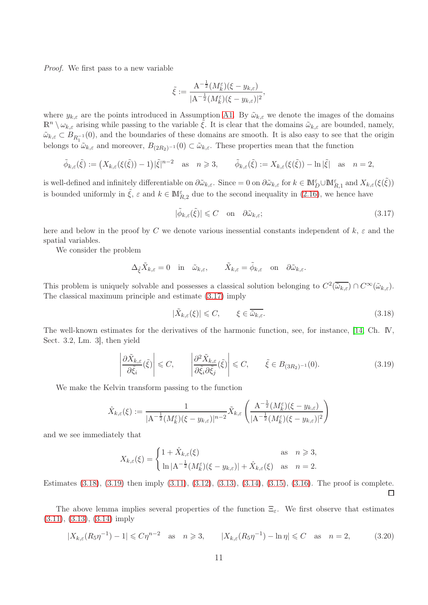Proof. We first pass to a new variable

$$
\tilde{\xi}:=\frac{\mathbf{A}^{-\frac{1}{2}}(M_k^{\varepsilon})(\xi-y_{k,\varepsilon})}{|\mathbf{A}^{-\frac{1}{2}}(M_k^{\varepsilon})(\xi-y_{k,\varepsilon})|^2},
$$

where  $y_{k,\varepsilon}$  are the points introduced in Assumption [A1.](#page-2-4) By  $\tilde{\omega}_{k,\varepsilon}$  we denote the images of the domains  $\mathbb{R}^n \setminus \omega_{k,\varepsilon}$  arising while passing to the variable  $\xi$ . It is clear that the domains  $\tilde{\omega}_{k,\varepsilon}$  are bounded, namely,  $\tilde{\omega}_{k,\varepsilon} \subset B_{R_1^{-1}}(0)$ , and the boundaries of these domains are smooth. It is also easy to see that the origin belongs to  $\tilde{\omega}_{k,\varepsilon}$  and moreover,  $B_{(2R_2)^{-1}}(0) \subset \tilde{\omega}_{k,\varepsilon}$ . These properties mean that the function

$$
\tilde{\phi}_{k,\varepsilon}(\tilde{\xi}) := \left( X_{k,\varepsilon}(\xi(\tilde{\xi})) - 1 \right) |\tilde{\xi}|^{n-2} \quad \text{as} \quad n \geqslant 3, \qquad \tilde{\phi}_{k,\varepsilon}(\tilde{\xi}) := X_{k,\varepsilon}(\xi(\tilde{\xi})) - \ln |\tilde{\xi}| \quad \text{as} \quad n = 2,
$$

is well-defined and infinitely differentiable on  $\partial \tilde{\omega}_{k,\varepsilon}$ . Since  $= 0$  on  $\partial \tilde{\omega}_{k,\varepsilon}$  for  $k \in \mathbb{M}_{D}^{\varepsilon} \cup \mathbb{M}_{R,1}^{\varepsilon}$  and  $X_{k,\varepsilon}(\xi(\tilde{\xi}))$ is bounded uniformly in  $\tilde{\xi}$ ,  $\varepsilon$  and  $k \in M_{R,2}^{\varepsilon}$  due to the second inequality in [\(2.16\)](#page-4-4), we hence have

<span id="page-10-0"></span>
$$
|\tilde{\phi}_{k,\varepsilon}(\tilde{\xi})| \leq C \quad \text{on} \quad \partial \tilde{\omega}_{k,\varepsilon};\tag{3.17}
$$

here and below in the proof by C we denote various inessential constants independent of  $k, \varepsilon$  and the spatial variables.

We consider the problem

$$
\Delta_{\tilde{\xi}} \tilde{X}_{k,\varepsilon} = 0 \quad \text{in} \quad \tilde{\omega}_{k,\varepsilon}, \qquad \tilde{X}_{k,\varepsilon} = \tilde{\phi}_{k,\varepsilon} \quad \text{on} \quad \partial \tilde{\omega}_{k,\varepsilon}.
$$

This problem is uniquely solvable and possesses a classical solution belonging to  $C^2(\overline{\tilde{\omega}_{k,\varepsilon}}) \cap C^{\infty}(\tilde{\omega}_{k,\varepsilon})$ . The classical maximum principle and estimate [\(3.17\)](#page-10-0) imply

<span id="page-10-1"></span>
$$
|\tilde{X}_{k,\varepsilon}(\xi)| \leqslant C, \qquad \xi \in \overline{\tilde{\omega}_{k,\varepsilon}}.\tag{3.18}
$$

The well-known estimates for the derivatives of the harmonic function, see, for instance, [\[14,](#page-36-11) Ch. IV, Sect. 3.2, Lm. 3], then yield

<span id="page-10-2"></span>
$$
\left| \frac{\partial \tilde{X}_{k,\varepsilon}}{\partial \tilde{\xi}_i} (\tilde{\xi}) \right| \leq C, \qquad \left| \frac{\partial^2 \tilde{X}_{k,\varepsilon}}{\partial \tilde{\xi}_i \partial \tilde{\xi}_j} (\tilde{\xi}) \right| \leq C, \qquad \tilde{\xi} \in B_{(3R_2)^{-1}}(0). \tag{3.19}
$$

We make the Kelvin transform passing to the function

$$
\hat{X}_{k,\varepsilon}(\xi) := \frac{1}{|\mathbf{A}^{-\frac{1}{2}}(M_k^{\varepsilon})(\xi - y_{k,\varepsilon})|^{n-2}} \tilde{X}_{k,\varepsilon} \left( \frac{\mathbf{A}^{-\frac{1}{2}}(M_k^{\varepsilon})(\xi - y_{k,\varepsilon})}{|\mathbf{A}^{-\frac{1}{2}}(M_k^{\varepsilon})(\xi - y_{k,\varepsilon})|^2} \right)
$$

and we see immediately that

$$
X_{k,\varepsilon}(\xi) = \begin{cases} 1 + \hat{X}_{k,\varepsilon}(\xi) & \text{as } n \geq 3, \\ \ln|A^{-\frac{1}{2}}(M_k^{\varepsilon})(\xi - y_{k,\varepsilon})| + \hat{X}_{k,\varepsilon}(\xi) & \text{as } n = 2. \end{cases}
$$

Estimates  $(3.18)$ ,  $(3.19)$  then imply  $(3.11)$ ,  $(3.12)$ ,  $(3.13)$ ,  $(3.14)$ ,  $(3.15)$ ,  $(3.16)$ . The proof is complete. П

The above lemma implies several properties of the function  $\Xi_{\varepsilon}$ . We first observe that estimates [\(3.11\)](#page-9-1), [\(3.13\)](#page-9-3), [\(3.14\)](#page-9-4) imply

<span id="page-10-3"></span>
$$
|X_{k,\varepsilon}(R_5\eta^{-1}) - 1| \le C\eta^{n-2} \quad \text{as} \quad n \ge 3, \qquad |X_{k,\varepsilon}(R_5\eta^{-1}) - \ln \eta| \le C \quad \text{as} \quad n = 2,\tag{3.20}
$$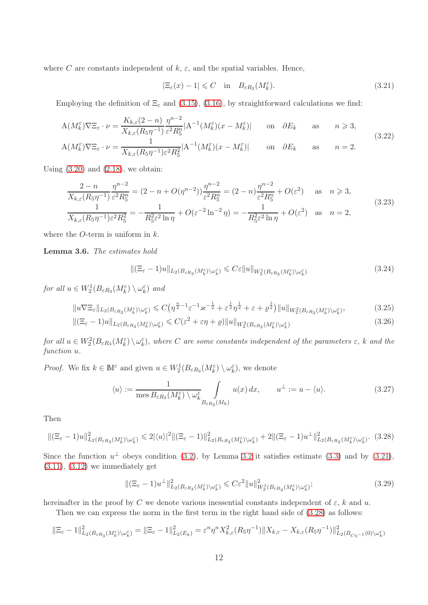where C are constants independent of  $k, \varepsilon$ , and the spatial variables. Hence,

<span id="page-11-0"></span>
$$
|\Xi_{\varepsilon}(x) - 1| \leq C \quad \text{in} \quad B_{\varepsilon R_3}(M_k^{\varepsilon}). \tag{3.21}
$$

Employing the definition of  $\Xi_{\varepsilon}$  and [\(3.15\)](#page-9-5), [\(3.16\)](#page-9-6), by straightforward calculations we find:

$$
A(M_k^{\varepsilon})\nabla \Xi_{\varepsilon} \cdot \nu = \frac{K_{k,\varepsilon}(2-n)}{X_{k,\varepsilon}(R_5 \eta^{-1})} \frac{\eta^{n-2}}{\varepsilon^2 R_5^n} |A^{-1}(M_k^{\varepsilon})(x - M_k^{\varepsilon})| \quad \text{on} \quad \partial E_k \quad \text{as} \quad n \ge 3,
$$
\n
$$
A(M_k^{\varepsilon})\nabla \Xi_{\varepsilon} \quad \text{as} \quad 1 \quad |A^{-1}(M_k^{\varepsilon})(x - M_k^{\varepsilon})| \quad \text{on} \quad \partial E_k \quad \text{as} \quad n \ge 3,
$$
\n
$$
(3.22)
$$

<span id="page-11-6"></span>
$$
A(M_k^{\varepsilon})\nabla \Xi_{\varepsilon} \cdot \nu = \frac{1}{X_{k,\varepsilon}(R_5\eta^{-1})\varepsilon^2 R_5^2} |A^{-1}(M_k^{\varepsilon})(x - M_k^{\varepsilon})| \quad \text{on} \quad \partial E_k \quad \text{as} \quad n = 2.
$$

Using  $(3.20)$  and  $(2.18)$ , we obtain:

<span id="page-11-7"></span>
$$
\frac{2-n}{X_{k,\varepsilon}(R_5\eta^{-1})} \frac{\eta^{n-2}}{\varepsilon^2 R_5^n} = (2-n+O(\eta^{n-2})) \frac{\eta^{n-2}}{\varepsilon^2 R_5^n} = (2-n) \frac{\eta^{n-2}}{\varepsilon^2 R_5^n} + O(\varepsilon^2) \quad \text{as} \quad n \ge 3,
$$
\n
$$
\frac{1}{X_{k,\varepsilon}(R_5\eta^{-1})\varepsilon^2 R_5^n} = -\frac{1}{R_5^2 \varepsilon^2 \ln \eta} + O(\varepsilon^{-2} \ln^{-2} \eta) = -\frac{1}{R_5^2 \varepsilon^2 \ln \eta} + O(\varepsilon^2) \quad \text{as} \quad n = 2,
$$
\n(3.23)

where the O-term is uniform in  $k$ .

<span id="page-11-9"></span>Lemma 3.6. The estimates hold

<span id="page-11-5"></span><span id="page-11-4"></span><span id="page-11-3"></span>
$$
\| (\Xi_{\varepsilon} - 1)u \|_{L_2(B_{\varepsilon R_3}(M_k^{\varepsilon}) \setminus \omega_k^{\varepsilon})} \leqslant C\varepsilon \| u \|_{W_2^1(B_{\varepsilon R_3}(M_k^{\varepsilon}) \setminus \omega_k^{\varepsilon})}
$$
(3.24)

for all  $u \in W_2^1(B_{\varepsilon R_3}(M_k^{\varepsilon}) \setminus \omega_k^{\varepsilon})$  and

$$
||u\nabla \Xi_{\varepsilon}||_{L_2(B_{\varepsilon R_3}(M_k^{\varepsilon})\setminus \omega_k^{\varepsilon})} \leq C\left(\eta^{\frac{n}{2}-1}\varepsilon^{-1}\varkappa^{-\frac{1}{2}} + \varepsilon^{\frac{1}{2}}\eta^{\frac{1}{2}} + \varepsilon + \varrho^{\frac{1}{2}}\right) ||u||_{W_2^2(B_{\varepsilon R_3}(M_k^{\varepsilon})\setminus \omega_k^{\varepsilon})},\tag{3.25}
$$

$$
\|(\Xi_{\varepsilon}-1)u\|_{L_2(B_{\varepsilon R_3}(M_k^{\varepsilon})\setminus\omega_k^{\varepsilon})} \leqslant C(\varepsilon^2+\varepsilon\eta+\varrho)\|u\|_{W_2^2(B_{\varepsilon R_3}(M_k^{\varepsilon})\setminus\omega_k^{\varepsilon})}
$$
(3.26)

for all  $u \in W_2^2(B_{\varepsilon R_3}(M_k^{\varepsilon}) \setminus \omega_k^{\varepsilon})$ , where C are some constants independent of the parameters  $\varepsilon$ , k and the function u.

*Proof.* We fix  $k \in \mathbb{M}^{\varepsilon}$  and given  $u \in W_2^1(B_{\varepsilon R_3}(M_k^{\varepsilon}) \setminus \omega_k^{\varepsilon})$ , we denote

<span id="page-11-8"></span>
$$
\langle u \rangle := \frac{1}{\text{mes } B_{\varepsilon R_3}(M_k^{\varepsilon}) \setminus \omega_k^{\varepsilon}} \int_{B_{\varepsilon R_3}(M_k)} u(x) dx, \qquad u^{\perp} := u - \langle u \rangle.
$$
 (3.27)

Then

<span id="page-11-1"></span>
$$
\left\| (\Xi_{\varepsilon} - 1)u \right\|_{L_2(B_{\varepsilon R_3}(M_k^{\varepsilon}) \setminus \omega_k^{\varepsilon})}^2 \leq 2 |\langle u \rangle|^2 \|\langle \Xi_{\varepsilon} - 1) \|_{L_2(B_{\varepsilon R_3}(M_k^{\varepsilon}) \setminus \omega_k^{\varepsilon})}^2 + 2 \| (\Xi_{\varepsilon} - 1)u^{\perp} \|_{L_2(B_{\varepsilon R_3}(M_k^{\varepsilon}) \setminus \omega_k^{\varepsilon})}^2. \tag{3.28}
$$

Since the function  $u^{\perp}$  obeys condition [\(3.2\)](#page-7-2), by Lemma [3.2](#page-7-1) it satisfies estimate [\(3.3\)](#page-7-3) and by [\(3.21\)](#page-11-0),  $(3.11), (3.12)$  $(3.11), (3.12)$  $(3.11), (3.12)$  we immediately get

<span id="page-11-2"></span>
$$
\|(\Xi_{\varepsilon}-1)u^{\perp}\|_{L_2(B_{\varepsilon R_3}(M_k^{\varepsilon})\setminus\omega_k^{\varepsilon})}^2 \leqslant C\varepsilon^2 \|u\|_{W_2^1(B_{\varepsilon R_3}(M_k^{\varepsilon})\setminus\omega_k^{\varepsilon})}^2;
$$
\n(3.29)

hereinafter in the proof by C we denote various inessential constants independent of  $\varepsilon$ , k and u.

Then we can express the norm in the first term in the right hand side of [\(3.28\)](#page-11-1) as follows:

$$
\|\Xi_{\varepsilon}-1\|_{L_2(B_{\varepsilon R_3}(M_k^{\varepsilon})\backslash \omega_k^{\varepsilon})}^2=\|\Xi_{\varepsilon}-1\|_{L_2(E_k)}^2=\varepsilon^n\eta^nX_{k,\varepsilon}^2(R_5\eta^{-1})\|X_{k,\varepsilon}-X_{k,\varepsilon}(R_5\eta^{-1})\|_{L_2(B_{C\eta^{-1}}(0)\backslash \omega_k^{\varepsilon})}^2
$$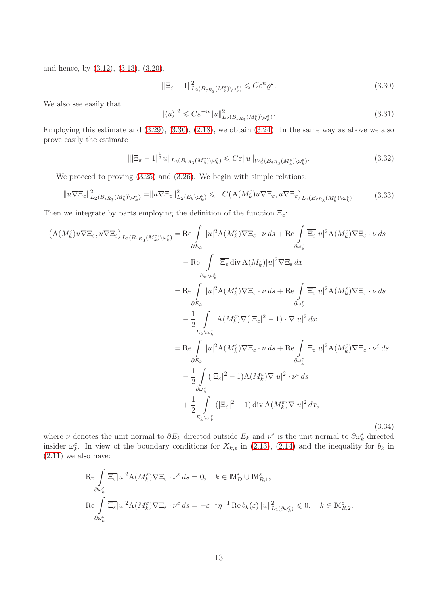and hence, by [\(3.12\)](#page-9-2), [\(3.13\)](#page-9-3), [\(3.20\)](#page-10-3),

<span id="page-12-0"></span>
$$
\|\Xi_{\varepsilon} - 1\|_{L_2(B_{\varepsilon R_3}(M_k^{\varepsilon})\setminus \omega_k^{\varepsilon})}^2 \leqslant C\varepsilon^n \varrho^2. \tag{3.30}
$$

We also see easily that

<span id="page-12-4"></span>
$$
|\langle u \rangle|^2 \leqslant C \varepsilon^{-n} \|u\|_{L_2(B_{\varepsilon R_3}(M_k^{\varepsilon}) \setminus \omega_k^{\varepsilon})}^2.
$$
\n(3.31)

Employing this estimate and [\(3.29\)](#page-11-2), [\(3.30\)](#page-12-0), [\(2.18\)](#page-4-0), we obtain [\(3.24\)](#page-11-3). In the same way as above we also prove easily the estimate

<span id="page-12-1"></span>
$$
\|\left|\Xi_{\varepsilon}-1\right|^{\frac{1}{2}}u\|_{L_2(B_{\varepsilon R_3}(M_k^{\varepsilon})\setminus\omega_k^{\varepsilon})} \leqslant C\varepsilon\|u\|_{W_2^1(B_{\varepsilon R_3}(M_k^{\varepsilon})\setminus\omega_k^{\varepsilon})}.
$$
\n(3.32)

We proceed to proving  $(3.25)$  and  $(3.26)$ . We begin with simple relations:

<span id="page-12-2"></span>
$$
||u\nabla \Xi_{\varepsilon}||_{L_2(B_{\varepsilon R_3}(M_k^{\varepsilon})\setminus \omega_k^{\varepsilon})}^2 = ||u\nabla \Xi_{\varepsilon}||_{L_2(B_k\setminus \omega_k^{\varepsilon})}^2 \leqslant C\left(A(M_k^{\varepsilon})u\nabla \Xi_{\varepsilon}, u\nabla \Xi_{\varepsilon}\right)_{L_2(B_{\varepsilon R_3}(M_k^{\varepsilon})\setminus \omega_k^{\varepsilon})}. \tag{3.33}
$$

Then we integrate by parts employing the definition of the function  $\Xi_{\varepsilon}$ :

<span id="page-12-3"></span>
$$
(A(M_{k}^{\varepsilon})u\nabla \Xi_{\varepsilon}, u\nabla \Xi_{\varepsilon})_{L_{2}(B_{\varepsilon R_{3}}(M_{k}^{\varepsilon})\setminus\omega_{k}^{\varepsilon})} = \text{Re}\int_{\partial E_{k}}|u|^{2}A(M_{k}^{\varepsilon})\nabla \Xi_{\varepsilon}\cdot\nu ds + \text{Re}\int_{\partial \omega_{k}^{\varepsilon}}\overline{\Xi_{\varepsilon}}|u|^{2}A(M_{k}^{\varepsilon})\nabla \Xi_{\varepsilon}\cdot\nu ds
$$
\n
$$
- \text{Re}\int_{E_{k}\setminus\omega_{k}^{\varepsilon}}\overline{\Xi_{\varepsilon}}\operatorname{div}A(M_{k}^{\varepsilon})|u|^{2}\nabla \Xi_{\varepsilon}dx
$$
\n
$$
= \text{Re}\int_{\partial E_{k}}|u|^{2}A(M_{k}^{\varepsilon})\nabla \Xi_{\varepsilon}\cdot\nu ds + \text{Re}\int_{\partial \omega_{k}^{\varepsilon}}\overline{\Xi_{\varepsilon}}|u|^{2}A(M_{k}^{\varepsilon})\nabla \Xi_{\varepsilon}\cdot\nu ds
$$
\n
$$
- \frac{1}{2}\int_{E_{k}\setminus\omega_{k}^{\varepsilon}}A(M_{k}^{\varepsilon})\nabla (\vert \Xi_{\varepsilon}\vert^{2}-1)\cdot\nabla\vert u\vert^{2}dx
$$
\n
$$
= \text{Re}\int_{\partial E_{k}}|u|^{2}A(M_{k}^{\varepsilon})\nabla \Xi_{\varepsilon}\cdot\nu ds + \text{Re}\int_{\partial \omega_{k}^{\varepsilon}}\overline{\Xi_{\varepsilon}}|u|^{2}A(M_{k}^{\varepsilon})\nabla \Xi_{\varepsilon}\cdot\nu^{\varepsilon}ds
$$
\n
$$
- \frac{1}{2}\int_{\partial \omega_{k}^{\varepsilon}}(|\Xi_{\varepsilon}|^{2}-1)A(M_{k}^{\varepsilon})\nabla\vert u|^{2}\cdot\nu^{\varepsilon}ds
$$
\n
$$
+ \frac{1}{2}\int_{E_{k}\setminus\omega_{k}^{\varepsilon}}(|\Xi_{\varepsilon}|^{2}-1)\operatorname{div}A(M_{k}^{\varepsilon})\nabla\vert u|^{2}dx,
$$

where  $\nu$  denotes the unit normal to  $\partial E_k$  directed outside  $E_k$  and  $\nu^{\varepsilon}$  is the unit normal to  $\partial \omega_k^{\varepsilon}$  directed insider  $\omega_k^{\varepsilon}$ . In view of the boundary conditions for  $X_{k,\varepsilon}$  in [\(2.13\)](#page-4-5), [\(2.14\)](#page-4-6) and the inequality for  $b_k$  in  $(2.11)$  we also have:

$$
\operatorname{Re} \int_{\partial \omega_k^{\varepsilon}} \overline{\Xi_{\varepsilon}} |u|^2 \mathcal{A}(M_k^{\varepsilon}) \nabla \Xi_{\varepsilon} \cdot \nu^{\varepsilon} ds = 0, \quad k \in \mathbb{M}_D^{\varepsilon} \cup \mathbb{M}_{R,1}^{\varepsilon},
$$
  
\n
$$
\operatorname{Re} \int_{\partial \omega_k^{\varepsilon}} \overline{\Xi_{\varepsilon}} |u|^2 \mathcal{A}(M_k^{\varepsilon}) \nabla \Xi_{\varepsilon} \cdot \nu^{\varepsilon} ds = -\varepsilon^{-1} \eta^{-1} \operatorname{Re} b_k(\varepsilon) \|u\|_{L_2(\partial \omega_k^{\varepsilon})}^2 \leq 0, \quad k \in \mathbb{M}_{R,2}^{\varepsilon}.
$$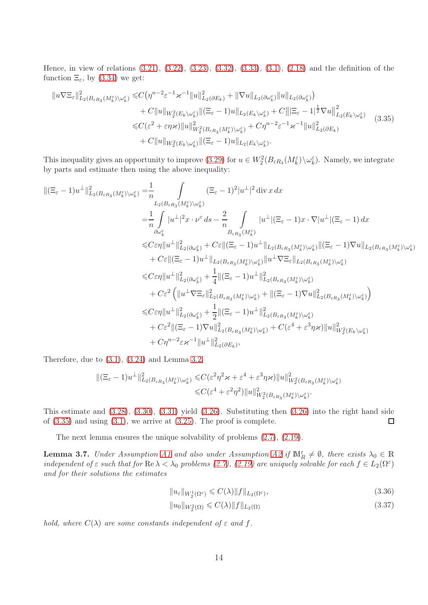Hence, in view of relations [\(3.21\)](#page-11-0), [\(3.22\)](#page-11-6), [\(3.23\)](#page-11-7), [\(3.32\)](#page-12-1), [\(3.33\)](#page-12-2), [\(3.1\)](#page-7-0), [\(2.18\)](#page-4-0) and the definition of the function  $\Xi_{\varepsilon}$ , by [\(3.34\)](#page-12-3) we get:

<span id="page-13-0"></span>
$$
\|u\nabla \Xi_{\varepsilon}\|_{L_2(B_{\varepsilon R_3}(M_k^{\varepsilon})\setminus\omega_k^{\varepsilon})}^2 \leq C \left(\eta^{n-2} \varepsilon^{-1} \varkappa^{-1} \|u\|_{L_2(\partial E_k)}^2 + \|\nabla u\|_{L_2(\partial \omega_k^{\varepsilon})} \|u\|_{L_2(\partial \omega_k^{\varepsilon})}\right) + C \|u\|_{W_2^2(E_k\setminus\omega_k^{\varepsilon})} \|(\Xi_{\varepsilon}-1)u\|_{L_2(E_k\setminus\omega_k^{\varepsilon})} + C \|\|\Xi_{\varepsilon}-1|^{\frac{1}{2}} \nabla u\|_{L_2(E_k\setminus\omega_k^{\varepsilon})}^2 \leq C(\varepsilon^2 + \varepsilon \eta \varkappa) \|u\|_{W_2^2(B_{\varepsilon R_3}(M_k^{\varepsilon})\setminus\omega_k^{\varepsilon})}^2 + C \eta^{n-2} \varepsilon^{-1} \varkappa^{-1} \|u\|_{L_2(\partial E_k)}^2 + C \|u\|_{W_2^2(E_k\setminus\omega_k^{\varepsilon})} \|(\Xi_{\varepsilon}-1)u\|_{L_2(E_k\setminus\omega_k^{\varepsilon})}.
$$
\n(3.35)

This inequality gives an opportunity to improve [\(3.29\)](#page-11-2) for  $u \in W_2^2(B_{\varepsilon R_3}(M_k^{\varepsilon})\setminus \omega_k^{\varepsilon})$ . Namely, we integrate by parts and estimate then using the above inequality:

$$
\begin{split} \|( \Xi_{\varepsilon}-1) u^\perp\|^2_{L_2(B_{\varepsilon R_3}(M^\varepsilon_k)\backslash \omega^\varepsilon_k)}&=\!\!\frac{1}{n}\int\limits_{L_2(B_{\varepsilon R_3}(M^\varepsilon_k)\backslash \omega^\varepsilon_k)} ( \Xi_{\varepsilon}-1)^2 |u^\perp|^2 \operatorname{div} x \, dx \\ & \quad \ \ \, = \!\!\frac{1}{n}\int\limits_{\partial \omega^\varepsilon_k} |u^\perp|^2 x \cdot \nu^\varepsilon \, ds - \frac{2}{n}\int\limits_{B_{\varepsilon R_3}(M^\varepsilon_k)} |u^\perp| (\Xi_{\varepsilon}-1) x \cdot \nabla |u^\perp| (\Xi_{\varepsilon}-1) \, dx \\ & \quad \ \ \le C\varepsilon \eta \| u^\perp\|^2_{L_2(\partial \omega^\varepsilon_k)} + C\varepsilon \| (\Xi_{\varepsilon}-1) u^\perp\|_{L_2(B_{\varepsilon R_3}(M^\varepsilon_k)\backslash \omega^\varepsilon_k)} \|( \Xi_{\varepsilon}-1) \nabla u\|_{L_2(B_{\varepsilon R_3}(M^\varepsilon_k)\backslash \omega^\varepsilon_k)} \\ & \quad \ \ \le C\varepsilon \eta \| u^\perp\|^2_{L_2(\partial \omega^\varepsilon_k)} + \frac{1}{4} \| (\Xi_{\varepsilon}-1) u^\perp\|^2_{L_2(B_{\varepsilon R_3}(M^\varepsilon_k)\backslash \omega^\varepsilon_k)} \\ & \quad \ \ \le C\varepsilon \eta \| u^\perp\|^2_{L_2(\partial \omega^\varepsilon_k)} + \frac{1}{4} \| (\Xi_{\varepsilon}-1) u^\perp\|^2_{L_2(B_{\varepsilon R_3}(M^\varepsilon_k)\backslash \omega^\varepsilon_k)} \\ & \quad \ \ \le C\varepsilon \eta \| u^\perp\|^2_{L_2(B_{\varepsilon R_3}(M^\varepsilon_k)\backslash \omega^\varepsilon_k)} + \frac{1}{2} \| (\Xi_{\varepsilon}-1) u^\perp\|^2_{L_2(B_{\varepsilon R_3}(M^\varepsilon_k)\backslash \omega^\varepsilon_k)} \\ & \quad \ \ \le C\varepsilon \eta \| u^\perp\|^2_{L_2(\partial \omega^\varepsilon_k)} + \frac{1}{2} \| (\Xi_{\varepsilon}-1) u^\perp\|^2_{
$$

Therefore, due to [\(3.1\)](#page-7-0), [\(3.24\)](#page-11-3) and Lemma [3.2,](#page-7-1)

$$
\begin{split} \|( \Xi_{\varepsilon}-1)u^\perp\|^2_{L_2(B_{\varepsilon R_3}(M^\varepsilon_k)\setminus \omega^\varepsilon_k)} \leqslant & C(\varepsilon^2\eta^2\varkappa+\varepsilon^4+\varepsilon^3\eta\varkappa)\| u \|^2_{W^2_2(B_{\varepsilon R_3}(M^\varepsilon_k)\setminus \omega^\varepsilon_k)} \\ \leqslant & C(\varepsilon^4+\varepsilon^2\eta^2)\| u \|^2_{W^2_2(B_{\varepsilon R_3}(M^\varepsilon_k)\setminus \omega^\varepsilon_k)} . \end{split}
$$

This estimate and [\(3.28\)](#page-11-1), [\(3.30\)](#page-12-0), [\(3.31\)](#page-12-4) yield [\(3.26\)](#page-11-5). Substituting then [\(3.26\)](#page-11-5) into the right hand side of  $(3.35)$  and using  $(3.1)$ , we arrive at  $(3.25)$ . The proof is complete.  $\Box$ 

The next lemma ensures the unique solvability of problems [\(2.7\)](#page-2-0), [\(2.19\)](#page-5-0).

**Lemma 3.7.** Under Assumption [A1](#page-2-4) and also under Assumption [A2](#page-3-0) if  $\mathbb{M}_{R}^{\varepsilon} \neq \emptyset$ , there exists  $\lambda_0 \in \mathbb{R}$ independent of  $\varepsilon$  such that for  $\text{Re }\lambda<\lambda_0$  problems [\(2.7\)](#page-2-0), [\(2.19\)](#page-5-0) are uniquely solvable for each  $f\in L_2(\Omega^{\varepsilon})$ and for their solutions the estimates

$$
||u_{\varepsilon}||_{W_2^1(\Omega^{\varepsilon})} \leqslant C(\lambda) ||f||_{L_2(\Omega^{\varepsilon})},\tag{3.36}
$$

<span id="page-13-2"></span><span id="page-13-1"></span>
$$
||u_0||_{W_2^2(\Omega)} \leqslant C(\lambda) ||f||_{L_2(\Omega)} \tag{3.37}
$$

hold, where  $C(\lambda)$  are some constants independent of  $\varepsilon$  and  $f$ .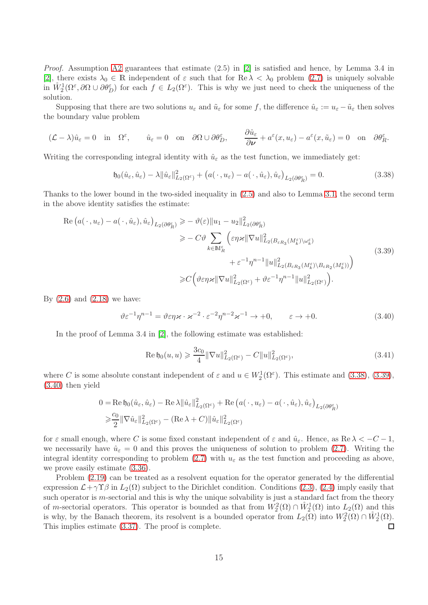*Proof.* Assumption [A2](#page-3-0) guarantees that estimate  $(2.5)$  in [\[2\]](#page-35-2) is satisfied and hence, by Lemma 3.4 in [\[2\]](#page-35-2), there exists  $\lambda_0 \in \mathbb{R}$  independent of  $\varepsilon$  such that for  $\text{Re }\lambda < \lambda_0$  problem [\(2.7\)](#page-2-0) is uniquely solvable in  $\mathring{W}^1_2(\Omega^{\varepsilon},\partial\Omega\cup\partial\theta^{\varepsilon}_D)$  for each  $f\in L_2(\Omega^{\varepsilon})$ . This is why we just need to check the uniqueness of the solution.

Supposing that there are two solutions  $u_{\varepsilon}$  and  $\tilde{u}_{\varepsilon}$  for some f, the difference  $\hat{u}_{\varepsilon} := u_{\varepsilon} - \tilde{u}_{\varepsilon}$  then solves the boundary value problem

$$
(\mathcal{L} - \lambda)\hat{u}_{\varepsilon} = 0 \quad \text{in} \quad \Omega^{\varepsilon}, \qquad \hat{u}_{\varepsilon} = 0 \quad \text{on} \quad \partial\Omega \cup \partial\theta^{\varepsilon}_{D}, \qquad \frac{\partial \hat{u}_{\varepsilon}}{\partial \nu} + a^{\varepsilon}(x, u_{\varepsilon}) - a^{\varepsilon}(x, \tilde{u}_{\varepsilon}) = 0 \quad \text{on} \quad \partial\theta^{\varepsilon}_{R}.
$$

Writing the corresponding integral identity with  $\hat{u}_{\varepsilon}$  as the test function, we immediately get:

<span id="page-14-0"></span>
$$
\mathfrak{h}_0(\hat{u}_{\varepsilon}, \hat{u}_{\varepsilon}) - \lambda \|\hat{u}_{\varepsilon}\|_{L_2(\Omega^{\varepsilon})}^2 + \big(a(\,\cdot\,,u_{\varepsilon}) - a(\,\cdot\,,\hat{u}_{\varepsilon}),\hat{u}_{\varepsilon}\big)_{L_2(\partial \theta_R^{\varepsilon})} = 0. \tag{3.38}
$$

Thanks to the lower bound in the two-sided inequality in [\(2.5\)](#page-2-6) and also to Lemma [3.1,](#page-7-4) the second term in the above identity satisfies the estimate:

<span id="page-14-1"></span>
$$
\operatorname{Re}\left(a(\cdot, u_{\varepsilon}) - a(\cdot, \hat{u}_{\varepsilon}), \hat{u}_{\varepsilon}\right)_{L_{2}(\partial \theta_{R}^{\varepsilon})} \geq -\vartheta(\varepsilon) \|u_{1} - u_{2}\|_{L_{2}(\partial \theta_{R}^{\varepsilon})}^{2}
$$
\n
$$
\geq -C\vartheta \sum_{k \in \mathbb{M}_{R}^{\varepsilon}} \left( \varepsilon \eta \varkappa \|\nabla u\|_{L_{2}(B_{\varepsilon R_{3}}(M_{k}^{\varepsilon}) \setminus \omega_{k}^{\varepsilon})}^{2} + \varepsilon^{-1} \eta^{n-1} \|u\|_{L_{2}(B_{\varepsilon R_{3}}(M_{k}^{\varepsilon}) \setminus B_{\varepsilon R_{2}}(M_{k}^{\varepsilon}))}^{2}\right)
$$
\n
$$
\geq C\left(\vartheta \varepsilon \eta \varkappa \|\nabla u\|_{L_{2}(\Omega^{\varepsilon})}^{2} + \vartheta \varepsilon^{-1} \eta^{n-1} \|u\|_{L_{2}(\Omega^{\varepsilon})}^{2}\right).
$$
\n(3.39)

By  $(2.6)$  and  $(2.18)$  we have:

<span id="page-14-2"></span>
$$
\vartheta \varepsilon^{-1} \eta^{n-1} = \vartheta \varepsilon \eta \varkappa \cdot \varkappa^{-2} \cdot \varepsilon^{-2} \eta^{n-2} \varkappa^{-1} \to +0, \qquad \varepsilon \to +0. \tag{3.40}
$$

In the proof of Lemma 3.4 in [\[2\]](#page-35-2), the following estimate was established:

<span id="page-14-3"></span>Re 
$$
\mathfrak{h}_0(u, u) \geq \frac{3c_0}{4} ||\nabla u||^2_{L_2(\Omega^\varepsilon)} - C ||u||^2_{L_2(\Omega^\varepsilon)},
$$
 (3.41)

where C is some absolute constant independent of  $\varepsilon$  and  $u \in W_2^1(\Omega^{\varepsilon})$ . This estimate and [\(3.38\)](#page-14-0), [\(3.39\)](#page-14-1), [\(3.40\)](#page-14-2) then yield

$$
0 = \text{Re}\, \mathfrak{h}_0(\hat{u}_{\varepsilon}, \hat{u}_{\varepsilon}) - \text{Re}\, \lambda \|\hat{u}_{\varepsilon}\|_{L_2(\Omega^{\varepsilon})}^2 + \text{Re}\, (a(\cdot, u_{\varepsilon}) - a(\cdot, \hat{u}_{\varepsilon}), \hat{u}_{\varepsilon})_{L_2(\partial \theta_R^{\varepsilon})}
$$
  
\$\geq \frac{c\_0}{2} \|\nabla \hat{u}\_{\varepsilon}\|\_{L\_2(\Omega^{\varepsilon})}^2 - (\text{Re}\,\lambda + C) \|\hat{u}\_{\varepsilon}\|\_{L\_2(\Omega^{\varepsilon})}^2

for  $\varepsilon$  small enough, where C is some fixed constant independent of  $\varepsilon$  and  $\hat{u}_{\varepsilon}$ . Hence, as  $\text{Re }\lambda < -C-1$ , we necessarily have  $\hat{u}_{\varepsilon} = 0$  and this proves the uniqueness of solution to problem [\(2.7\)](#page-2-0). Writing the integral identity corresponding to problem [\(2.7\)](#page-2-0) with  $u_{\varepsilon}$  as the test function and proceeding as above, we prove easily estimate [\(3.36\)](#page-13-1).

Problem [\(2.19\)](#page-5-0) can be treated as a resolvent equation for the operator generated by the differential expression  $\mathcal{L}+\gamma\gamma\beta$  in  $L_2(\Omega)$  subject to the Dirichlet condition. Conditions [\(2.3\)](#page-2-3), [\(2.4\)](#page-2-2) imply easily that such operator is m-sectorial and this is why the unique solvability is just a standard fact from the theory of m-sectorial operators. This operator is bounded as that from  $W_2^2(\Omega) \cap W_2^1(\Omega)$  into  $L_2(\Omega)$  and this is why, by the Banach theorem, its resolvent is a bounded operator from  $L_2(\Omega)$  into  $W_2^2(\Omega) \cap W_2^1(\Omega)$ . This implies estimate [\(3.37\)](#page-13-2). The proof is complete.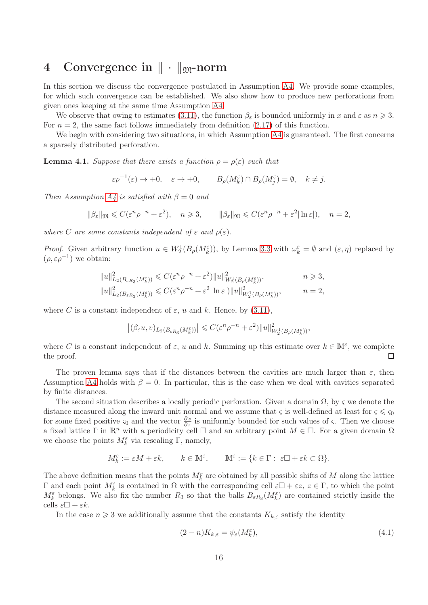## <span id="page-15-0"></span>4 Convergence in  $\|\cdot\|_{\mathfrak{M}}$ -norm

In this section we discuss the convergence postulated in Assumption [A4.](#page-4-2) We provide some examples, for which such convergence can be established. We also show how to produce new perforations from given ones keeping at the same time Assumption [A4.](#page-4-2)

We observe that owing to estimates [\(3.11\)](#page-9-1), the function  $\beta_{\varepsilon}$  is bounded uniformly in x and  $\varepsilon$  as  $n \geq 3$ . For  $n = 2$ , the same fact follows immediately from definition [\(2.17\)](#page-4-3) of this function.

We begin with considering two situations, in which Assumption [A4](#page-4-2) is guaranteed. The first concerns a sparsely distributed perforation.

**Lemma 4.1.** Suppose that there exists a function  $\rho = \rho(\varepsilon)$  such that

$$
\varepsilon \rho^{-1}(\varepsilon) \to +0, \quad \varepsilon \to +0, \qquad B_{\rho}(M_k^{\varepsilon}) \cap B_{\rho}(M_j^{\varepsilon}) = \emptyset, \quad k \neq j.
$$

Then Assumption  $A_4$  is satisfied with  $\beta = 0$  and

$$
\|\beta_{\varepsilon}\|_{\mathfrak{M}} \leqslant C(\varepsilon^n \rho^{-n} + \varepsilon^2), \quad n \geqslant 3, \qquad \|\beta_{\varepsilon}\|_{\mathfrak{M}} \leqslant C(\varepsilon^n \rho^{-n} + \varepsilon^2 |\ln \varepsilon|), \quad n = 2,
$$

where C are some constants independent of  $\varepsilon$  and  $\rho(\varepsilon)$ .

*Proof.* Given arbitrary function  $u \in W_2^1(B_\rho(M_k^{\varepsilon}))$ , by Lemma [3.3](#page-7-5) with  $\omega_k^{\varepsilon} = \emptyset$  and  $(\varepsilon, \eta)$  replaced by  $(\rho, \varepsilon \rho^{-1})$  we obtain:

$$
||u||_{L_2(B_{\varepsilon R_3}(M_k^{\varepsilon}))}^2 \leq C(\varepsilon^n \rho^{-n} + \varepsilon^2) ||u||_{W_2^1(B_{\rho}(M_k^{\varepsilon}))}^2, \qquad n \geq 3,
$$
  

$$
||u||_{L_2(B_{\varepsilon R_3}(M_k^{\varepsilon}))}^2 \leq C(\varepsilon^n \rho^{-n} + \varepsilon^2 |ln \varepsilon|) ||u||_{W_2^1(B_{\rho}(M_k^{\varepsilon}))}^2, \qquad n = 2,
$$

where C is a constant independent of  $\varepsilon$ , u and k. Hence, by [\(3.11\)](#page-9-1),

$$
\left|(\beta_\varepsilon u,v)_{L_2(B_{\varepsilon R_3}(M_k^{\varepsilon}))}\right|\leqslant C(\varepsilon^n \rho^{-n}+\varepsilon^2)\|u\|_{W_2^1(B_{\rho}(M_k^{\varepsilon}))}^2,
$$

where C is a constant independent of  $\varepsilon$ , u and k. Summing up this estimate over  $k \in \mathbb{M}^{\varepsilon}$ , we complete the proof.  $\Box$ 

The proven lemma says that if the distances between the cavities are much larger than  $\varepsilon$ , then Assumption [A4](#page-4-2) holds with  $\beta = 0$ . In particular, this is the case when we deal with cavities separated by finite distances.

The second situation describes a locally periodic perforation. Given a domain  $\Omega$ , by  $\varsigma$  we denote the distance measured along the inward unit normal and we assume that  $\varsigma$  is well-defined at least for  $\varsigma \leqslant \varsigma_0$ for some fixed positive  $\varsigma_0$  and the vector  $\frac{\partial x}{\partial \tau}$  is uniformly bounded for such values of  $\varsigma$ . Then we choose a fixed lattice Γ in  $\mathbb{R}^n$  with a periodicity cell  $\Box$  and an arbitrary point  $M \in \Box$ . For a given domain  $\Omega$ we choose the points  $M_k^{\varepsilon}$  via rescaling  $\Gamma$ , namely,

$$
M_k^\varepsilon:=\varepsilon M+\varepsilon k,\qquad k\in\mathbb{M}^\varepsilon,\qquad \mathbb{M}^\varepsilon:=\{k\in\Gamma:\ \varepsilon\Box+\varepsilon k\subset\Omega\}.
$$

The above definition means that the points  $M_k^{\varepsilon}$  are obtained by all possible shifts of M along the lattice Γ and each point  $M_k^ε$  is contained in Ω with the corresponding cell  $ε□ + εz$ ,  $z ∈ Γ$ , to which the point  $M_k^{\varepsilon}$  belongs. We also fix the number  $R_3$  so that the balls  $B_{\varepsilon R_3}(M_k^{\varepsilon})$  are contained strictly inside the cells  $\varepsilon \Box + \varepsilon k$ .

In the case  $n \geqslant 3$  we additionally assume that the constants  $K_{k,\varepsilon}$  satisfy the identity

<span id="page-15-1"></span>
$$
(2 - n)K_{k,\varepsilon} = \psi_{\varepsilon}(M_k^{\varepsilon}),\tag{4.1}
$$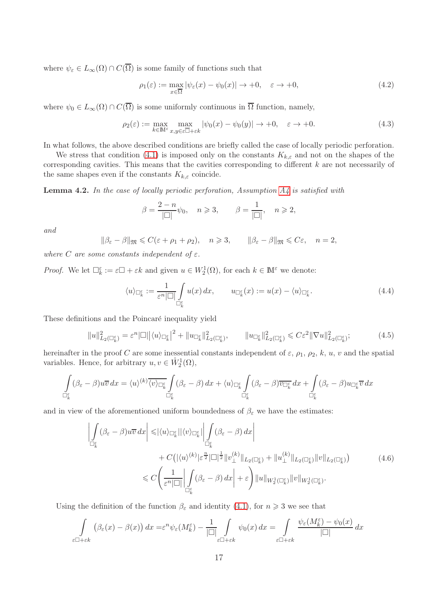where  $\psi_{\varepsilon} \in L_{\infty}(\Omega) \cap C(\overline{\Omega})$  is some family of functions such that

<span id="page-16-0"></span>
$$
\rho_1(\varepsilon) := \max_{x \in \overline{\Omega}} |\psi_{\varepsilon}(x) - \psi_0(x)| \to +0, \quad \varepsilon \to +0,
$$
\n(4.2)

where  $\psi_0 \in L_\infty(\Omega) \cap C(\overline{\Omega})$  is some uniformly continuous in  $\overline{\Omega}$  function, namely,

<span id="page-16-1"></span>
$$
\rho_2(\varepsilon) := \max_{k \in \mathbb{M}^\varepsilon} \max_{x, y \in \varepsilon \overline{\mathbb{D}} + \varepsilon k} |\psi_0(x) - \psi_0(y)| \to +0, \quad \varepsilon \to +0. \tag{4.3}
$$

In what follows, the above described conditions are briefly called the case of locally periodic perforation.

We stress that condition [\(4.1\)](#page-15-1) is imposed only on the constants  $K_{k,\varepsilon}$  and not on the shapes of the corresponding cavities. This means that the cavities corresponding to different  $k$  are not necessarily of the same shapes even if the constants  $K_{k,\varepsilon}$  coincide.

**Lemma 4.2.** In the case of locally periodic perforation, Assumption  $A<sub>4</sub>$  is satisfied with

$$
\beta = \frac{2-n}{|\square|} \psi_0, \quad n \geqslant 3, \qquad \beta = \frac{1}{|\square|}, \quad n \geqslant 2,
$$

and

$$
\|\beta_{\varepsilon}-\beta\|_{\mathfrak{M}}\leqslant C(\varepsilon+\rho_1+\rho_2),\quad n\geqslant 3,\qquad \|\beta_{\varepsilon}-\beta\|_{\mathfrak{M}}\leqslant C\varepsilon,\quad n=2,
$$

where C are some constants independent of  $\varepsilon$ .

*Proof.* We let  $\Box_k^{\varepsilon} := \varepsilon \Box + \varepsilon k$  and given  $u \in W_2^1(\Omega)$ , for each  $k \in \mathbb{M}^{\varepsilon}$  we denote:

<span id="page-16-3"></span>
$$
\langle u \rangle_{\Box_k^{\varepsilon}} := \frac{1}{\varepsilon^n |\Box|} \int\limits_{\Box_k^{\varepsilon}} u(x) \, dx, \qquad u_{\Box_k^{\varepsilon}}(x) := u(x) - \langle u \rangle_{\Box_k^{\varepsilon}}. \tag{4.4}
$$

These definitions and the Poincaré inequality yield

<span id="page-16-4"></span>
$$
||u||_{L_2(\Box_k^{\varepsilon})}^2 = \varepsilon^n |\Box| \langle u \rangle_{\Box_k^{\varepsilon}}|^2 + ||u_{\Box_k^{\varepsilon}}||_{L_2(\Box_k^{\varepsilon})}^2, \qquad ||u_{\Box_k^{\varepsilon}}||_{L_2(\Box_k^{\varepsilon})}^2 \leqslant C\varepsilon^2 ||\nabla u||_{L_2(\Box_k^{\varepsilon})}^2;
$$
 (4.5)

hereinafter in the proof C are some inessential constants independent of  $\varepsilon$ ,  $\rho_1$ ,  $\rho_2$ ,  $k$ ,  $u$ ,  $v$  and the spatial variables. Hence, for arbitrary  $u, v \in \mathring{W}_2^1(\Omega)$ ,

$$
\int_{\mathbb{G}_{k}^{\varepsilon}} (\beta_{\varepsilon} - \beta) u \overline{v} \, dx = \langle u \rangle^{(k)} \overline{\langle v \rangle_{\mathbb{G}_{k}^{\varepsilon}}} \int_{\mathbb{G}_{k}^{\varepsilon}} (\beta_{\varepsilon} - \beta) \, dx + \langle u \rangle_{\mathbb{G}_{k}^{\varepsilon}} \int_{\mathbb{G}_{k}^{\varepsilon}} (\beta_{\varepsilon} - \beta) \overline{v_{\mathbb{G}_{k}^{\varepsilon}}}\, dx + \int_{\mathbb{G}_{k}^{\varepsilon}} (\beta_{\varepsilon} - \beta) u_{\mathbb{G}_{k}^{\varepsilon}} \overline{v} \, dx
$$

and in view of the aforementioned uniform boundedness of  $\beta_{\varepsilon}$  we have the estimates:

<span id="page-16-2"></span>
$$
\left| \int_{\Box_{k}^{\varepsilon}} (\beta_{\varepsilon} - \beta) u \overline{v} \, dx \right| \leqslant |\langle u \rangle_{\Box_{k}^{\varepsilon}}| |\langle v \rangle_{\Box_{k}^{\varepsilon}}| \left| \int_{\Box_{k}^{\varepsilon}} (\beta_{\varepsilon} - \beta) \, dx \right| \n+ C \left( |\langle u \rangle^{(k)} | \varepsilon^{\frac{n}{2}} |\Box|^{1 \over 2} \| v_{\perp}^{(k)} \|_{L_{2}(\Box_{k}^{\varepsilon})} + \| u_{\perp}^{(k)} \|_{L_{2}(\Box_{k}^{\varepsilon})} \| v \|_{L_{2}(\Box_{k}^{\varepsilon})} \right) \n\leqslant C \left( \frac{1}{\varepsilon^{n} |\Box|} \left| \int_{\Box_{k}^{\varepsilon}} (\beta_{\varepsilon} - \beta) \, dx \right| + \varepsilon \right) \| u \|_{W_{2}^{1}(\Box_{k}^{\varepsilon})} \| v \|_{W_{2}^{1}(\Box_{k}^{\varepsilon})}.
$$
\n(4.6)

Using the definition of the function  $\beta_{\varepsilon}$  and identity [\(4.1\)](#page-15-1), for  $n \geq 3$  we see that

$$
\int_{\varepsilon \square + \varepsilon k} \left( \beta_{\varepsilon}(x) - \beta(x) \right) dx = \varepsilon^{n} \psi_{\varepsilon}(M_{k}^{\varepsilon}) - \frac{1}{|\square|} \int_{\varepsilon \square + \varepsilon k} \psi_{0}(x) dx = \int_{\varepsilon \square + \varepsilon k} \frac{\psi_{\varepsilon}(M_{k}^{\varepsilon}) - \psi_{0}(x)}{|\square|} dx
$$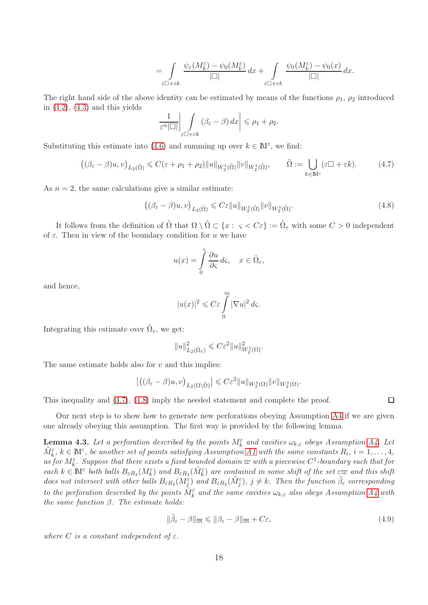$$
=\int\limits_{\varepsilon\Box+\varepsilon k}\frac{\psi_\varepsilon(M^\varepsilon_k)-\psi_0(M^\varepsilon_k)}{|\Box|}\,dx+\int\limits_{\varepsilon\Box+\varepsilon k}\frac{\psi_0(M^\varepsilon_k)-\psi_0(x)}{|\Box|}\,dx.
$$

The right hand side of the above identity can be estimated by means of the functions  $\rho_1$ ,  $\rho_2$  introduced in  $(4.2)$ ,  $(4.3)$  and this yields

$$
\frac{1}{\varepsilon^{n}|\Box|}\bigg|\int\limits_{\varepsilon\Box+\varepsilon k}(\beta_{\varepsilon}-\beta)\,dx\bigg|\leqslant\rho_{1}+\rho_{2}.
$$

Substituting this estimate into [\(4.6\)](#page-16-2) and summing up over  $k \in \mathbb{M}^{\varepsilon}$ , we find:

<span id="page-17-0"></span>
$$
\left( (\beta_{\varepsilon} - \beta)u, v \right)_{L_2(\tilde{\Omega})} \leq C(\varepsilon + \rho_1 + \rho_2) \|u\|_{W_2^1(\tilde{\Omega})} \|v\|_{W_2^1(\tilde{\Omega})}, \qquad \tilde{\Omega} := \bigcup_{k \in \mathbb{M}^{\varepsilon}} (\varepsilon \square + \varepsilon k). \tag{4.7}
$$

As  $n = 2$ , the same calculations give a similar estimate:

<span id="page-17-1"></span>
$$
\left( (\beta_{\varepsilon} - \beta)u, v \right)_{L_2(\tilde{\Omega})} \leqslant C\varepsilon \|u\|_{W_2^1(\tilde{\Omega})} \|v\|_{W_2^1(\tilde{\Omega})}.
$$
\n(4.8)

It follows from the definition of  $\tilde{\Omega}$  that  $\Omega \setminus \tilde{\Omega} \subset \{x : \varsigma < C \varepsilon\} := \hat{\Omega}_{\varepsilon}$  with some  $C > 0$  independent of  $\varepsilon$ . Then in view of the boundary condition for u we have

$$
u(x) = \int_{0}^{s} \frac{\partial u}{\partial \varsigma} d\varsigma, \quad x \in \hat{\Omega}_{\varepsilon},
$$

and hence,

$$
|u(x)|^2 \leqslant C\varepsilon \int\limits_{0}^{s_0} |\nabla u|^2 \, d\varsigma.
$$

Integrating this estimate over  $\hat{\Omega}_{\varepsilon}$ , we get:

$$
||u||_{L_2(\hat{\Omega}_{\varepsilon})}^2 \leqslant C\varepsilon^2 ||u||_{W_2^1(\Omega)}^2.
$$

The same estimate holds also for  $v$  and this implies:

$$
\left| \left( (\beta_{\varepsilon} - \beta)u, v \right)_{L_2(\Omega \setminus \tilde{\Omega})} \right| \leqslant C \varepsilon^2 \|u\|_{W_2^1(\Omega)} \|v\|_{W_2^1(\Omega)}.
$$

This inequality and [\(4.7\)](#page-17-0), [\(4.8\)](#page-17-1) imply the needed statement and complete the proof.

Our next step is to show how to generate new perforations obeying Assumption [A4](#page-4-2) if we are given one already obeying this assumption. The first way is provided by the following lemma.

**Lemma 4.3.** Let a perforation described by the points  $M_k^{\varepsilon}$  and cavities  $\omega_{k,\varepsilon}$  obeys Assumption [A4.](#page-4-2) Let  $\tilde{M}_{k}^{\varepsilon}$ ,  $k \in \mathbb{N}^{\varepsilon}$ , be another set of points satisfying Assumption [A1](#page-2-4) with the same constants  $R_i$ ,  $i = 1, \ldots, 4$ , as for  $M_k^{\varepsilon}$ . Suppose that there exists a fixed bounded domain  $\varpi$  with a piecewise  $C^1$ -boundary such that for each  $k \in \mathbb{N}^{\varepsilon}$  both balls  $B_{\varepsilon R_3}(M_k^{\varepsilon})$  and  $B_{\varepsilon R_3}(\tilde{M}_k^{\varepsilon})$  are contained in some shift of the set  $\varepsilon \infty$  and this shift does not intersect with other balls  $B_{\varepsilon R_3}(M_j^{\varepsilon})$  and  $B_{\varepsilon R_3}(\tilde{M}_j^{\varepsilon})$ ,  $j \neq k$ . Then the function  $\tilde{\beta}_{\varepsilon}$  corresponding to the perforation described by the points  $\tilde{M}_{k}^{\varepsilon}$  and the same cavities  $\omega_{k,\varepsilon}$  also obeys Assumption [A4](#page-4-2) with the same function  $\beta$ . The estimate holds:

<span id="page-17-2"></span>
$$
\|\tilde{\beta}_{\varepsilon} - \beta\|_{\mathfrak{M}} \le \|\beta_{\varepsilon} - \beta\|_{\mathfrak{M}} + C\varepsilon,\tag{4.9}
$$

where C is a constant independent of  $\varepsilon$ .

 $\Box$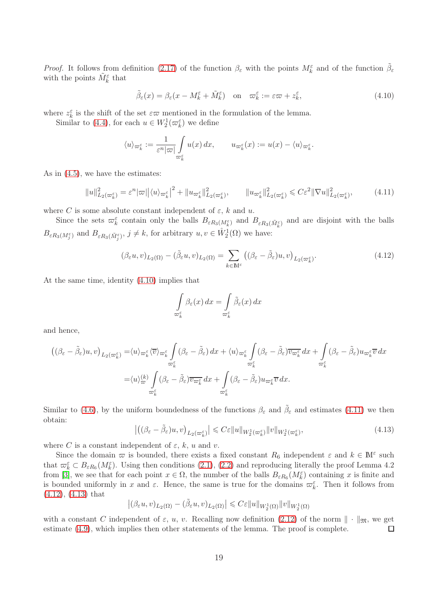*Proof.* It follows from definition [\(2.17\)](#page-4-3) of the function  $\beta_{\varepsilon}$  with the points  $M_{k}^{\varepsilon}$  and of the function  $\tilde{\beta}_{\varepsilon}$ with the points  $\tilde{M}_{k}^{\varepsilon}$  that

<span id="page-18-0"></span>
$$
\tilde{\beta}_{\varepsilon}(x) = \beta_{\varepsilon}(x - M_k^{\varepsilon} + \tilde{M}_k^{\varepsilon}) \quad \text{on} \quad \varpi_k^{\varepsilon} := \varepsilon \varpi + z_k^{\varepsilon},\tag{4.10}
$$

where  $z_k^{\varepsilon}$  is the shift of the set  $\varepsilon\varpi$  mentioned in the formulation of the lemma.

Similar to [\(4.4\)](#page-16-3), for each  $u \in W_2^1(\varpi_k^{\varepsilon})$  we define

$$
\langle u \rangle_{\varpi_k^{\varepsilon}} := \frac{1}{\varepsilon^n |\varpi|} \int\limits_{\varpi_k^{\varepsilon}} u(x) \, dx, \qquad u_{\varpi_k^{\varepsilon}}(x) := u(x) - \langle u \rangle_{\varpi_k^{\varepsilon}}.
$$

As in [\(4.5\)](#page-16-4), we have the estimates:

<span id="page-18-1"></span>
$$
||u||_{L_2(\varpi_k^{\varepsilon})}^2 = \varepsilon^n |\varpi| \langle u \rangle_{\varpi_k^{\varepsilon}}|^2 + ||u_{\varpi_k^{\varepsilon}}||_{L_2(\varpi_k^{\varepsilon})}^2, \qquad ||u_{\varpi_k^{\varepsilon}}||_{L_2(\varpi_k^{\varepsilon})}^2 \leqslant C\varepsilon^2 ||\nabla u||_{L_2(\varpi_k^{\varepsilon})}^2, \tag{4.11}
$$

where C is some absolute constant independent of  $\varepsilon$ , k and u.

Since the sets  $\varpi_k^{\varepsilon}$  contain only the balls  $B_{\varepsilon R_3(M_k^{\varepsilon})}$  and  $B_{\varepsilon R_3(M_k^{\varepsilon})}$  and are disjoint with the balls  $B_{\varepsilon R_3(M_j^{\varepsilon})}$  and  $B_{\varepsilon R_3(\tilde{M}_j^{\varepsilon})}$ ,  $j \neq k$ , for arbitrary  $u, v \in \mathring{W}_2^1(\Omega)$  we have:

<span id="page-18-2"></span>
$$
(\beta_{\varepsilon} u, v)_{L_2(\Omega)} - (\tilde{\beta}_{\varepsilon} u, v)_{L_2(\Omega)} = \sum_{k \in \mathbb{M}^{\varepsilon}} \left( (\beta_{\varepsilon} - \tilde{\beta}_{\varepsilon}) u, v \right)_{L_2(\varpi_k^{\varepsilon})}.
$$
\n(4.12)

At the same time, identity [\(4.10\)](#page-18-0) implies that

$$
\int\limits_{\varpi_k^{\varepsilon}} \beta_{\varepsilon}(x) dx = \int\limits_{\varpi_k^{\varepsilon}} \tilde{\beta}_{\varepsilon}(x) dx
$$

and hence,

$$
\begin{split}\n\left( (\beta_{\varepsilon}-\tilde{\beta}_{\varepsilon})u,v \right)_{L_{2}(\varpi_{k}^{\varepsilon})} &= \langle u \rangle_{\varpi_{k}^{\varepsilon}} \langle \overline{v} \rangle_{\varpi_{k}^{\varepsilon}} \int_{\varpi_{k}^{\varepsilon}} (\beta_{\varepsilon}-\tilde{\beta}_{\varepsilon}) dx + \langle u \rangle_{\varpi_{k}^{\varepsilon}} \int_{\varpi_{k}^{\varepsilon}} (\beta_{\varepsilon}-\tilde{\beta}_{\varepsilon}) \overline{v_{\varpi_{k}^{\varepsilon}}} dx + \int_{\varpi_{k}^{\varepsilon}} (\beta_{\varepsilon}-\tilde{\beta}_{\varepsilon}) u_{\varpi_{k}^{\varepsilon}} \overline{v} dx \\
&= \langle u \rangle_{\varpi}^{(k)} \int_{\varpi_{k}^{\varepsilon}} (\beta_{\varepsilon}-\tilde{\beta}_{\varepsilon}) \overline{v_{\varpi_{k}^{\varepsilon}}} dx + \int_{\varpi_{k}^{\varepsilon}} (\beta_{\varepsilon}-\tilde{\beta}_{\varepsilon}) u_{\varpi_{k}^{\varepsilon}} \overline{v} dx.\n\end{split}
$$

Similar to [\(4.6\)](#page-16-2), by the uniform boundedness of the functions  $\beta_{\varepsilon}$  and  $\tilde{\beta}_{\varepsilon}$  and estimates [\(4.11\)](#page-18-1) we then obtain:

<span id="page-18-3"></span>
$$
\left| \left( (\beta_{\varepsilon} - \tilde{\beta}_{\varepsilon}) u, v \right)_{L_2(\varpi_k^{\varepsilon})} \right| \leqslant C \varepsilon \| u \|_{W_2^1(\varpi_k^{\varepsilon})} \| v \|_{W_2^1(\varpi_k^{\varepsilon})}, \tag{4.13}
$$

where C is a constant independent of  $\varepsilon$ , k, u and v.

Since the domain  $\varpi$  is bounded, there exists a fixed constant  $R_6$  independent  $\varepsilon$  and  $k \in \mathbb{M}^{\varepsilon}$  such that  $\varpi_k^{\varepsilon} \subset B_{\varepsilon R_6}(M_k^{\varepsilon})$ . Using then conditions [\(2.1\)](#page-2-5), [\(2.2\)](#page-2-8) and reproducing literally the proof Lemma 4.2 from [\[3\]](#page-35-1), we see that for each point  $x \in \Omega$ , the number of the balls  $B_{\varepsilon R_6}(M_k^{\varepsilon})$  containing x is finite and is bounded uniformly in x and  $\varepsilon$ . Hence, the same is true for the domains  $\varpi_k^{\varepsilon}$ . Then it follows from [\(4.12\)](#page-18-2), [\(4.13\)](#page-18-3) that

$$
\left| (\beta_{\varepsilon} u, v)_{L_2(\Omega)} - (\tilde{\beta}_{\varepsilon} u, v)_{L_2(\Omega)} \right| \leqslant C \varepsilon ||u||_{W_2^1(\Omega)} ||v||_{W_2^1(\Omega)}
$$

with a constant C independent of  $\varepsilon$ , u, v. Recalling now definition [\(2.12\)](#page-3-3) of the norm  $\|\cdot\|_{\mathfrak{M}}$ , we get estimate [\(4.9\)](#page-17-2), which implies then other statements of the lemma. The proof is complete.  $\Box$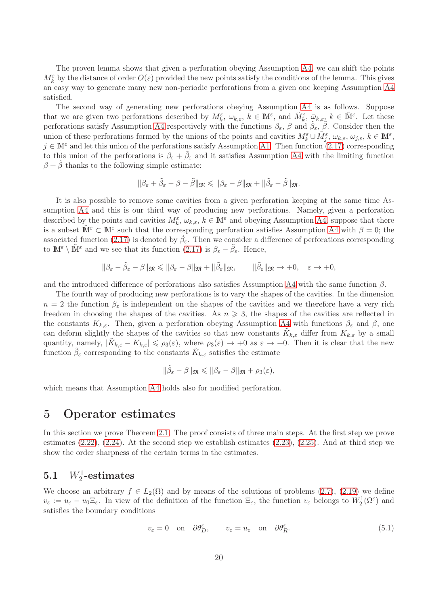The proven lemma shows that given a perforation obeying Assumption [A4,](#page-4-2) we can shift the points  $M_k^{\varepsilon}$  by the distance of order  $O(\varepsilon)$  provided the new points satisfy the conditions of the lemma. This gives an easy way to generate many new non-periodic perforations from a given one keeping Assumption [A4](#page-4-2) satisfied.

The second way of generating new perforations obeying Assumption [A4](#page-4-2) is as follows. Suppose that we are given two perforations described by  $M_k^{\varepsilon}$ ,  $\omega_{k,\varepsilon}$ ,  $k \in \mathbb{N}^{\varepsilon}$ , and  $\tilde{M}_k^{\varepsilon}$ ,  $\tilde{\omega}_{k,\varepsilon}$ ,  $k \in \tilde{\mathbb{N}}^{\varepsilon}$ . Let these perforations satisfy Assumption [A4](#page-4-2) respectively with the functions  $\beta_{\varepsilon}$ ,  $\beta$  and  $\tilde{\beta}_{\varepsilon}$ ,  $\tilde{\beta}$ . Consider then the union of these perforations formed by the unions of the points and cavities  $M_k^{\varepsilon} \cup \tilde{M}_j^{\varepsilon}, \omega_{k,\varepsilon}, \omega_{j,\varepsilon}, k \in \mathbb{M}^{\varepsilon}$ ,  $j \in \mathbb{M}^{\varepsilon}$  and let this union of the perforations satisfy Assumption [A1.](#page-2-4) Then function [\(2.17\)](#page-4-3) corresponding to this union of the perforations is  $\beta_{\varepsilon} + \tilde{\beta}_{\varepsilon}$  and it satisfies Assumption [A4](#page-4-2) with the limiting function  $\beta + \beta$  thanks to the following simple estimate:

$$
\|\beta_{\varepsilon}+\tilde{\beta}_{\varepsilon}-\beta-\tilde{\beta}\|_{\mathfrak{M}}\leqslant\|\beta_{\varepsilon}-\beta\|_{\mathfrak{M}}+\|\tilde{\beta}_{\varepsilon}-\tilde{\beta}\|_{\mathfrak{M}}.
$$

It is also possible to remove some cavities from a given perforation keeping at the same time Assumption [A4](#page-4-2) and this is our third way of producing new perforations. Namely, given a perforation described by the points and cavities  $M_k^{\varepsilon}$ ,  $\omega_{k,\varepsilon}$ ,  $k \in \mathbb{M}^{\varepsilon}$  and obeying Assumption [A4,](#page-4-2) suppose that there is a subset  $\tilde{M}^{\varepsilon} \subset M^{\varepsilon}$  such that the corresponding perforation satisfies Assumption [A4](#page-4-2) with  $\beta = 0$ ; the associated function [\(2.17\)](#page-4-3) is denoted by  $\tilde{\beta}_{\varepsilon}$ . Then we consider a difference of perforations corresponding to  $\mathbb{M}^{\varepsilon} \setminus \tilde{\mathbb{M}}^{\varepsilon}$  and we see that its function  $(2.17)$  is  $\beta_{\varepsilon} - \tilde{\beta}_{\varepsilon}$ . Hence,

$$
\|\beta_{\varepsilon}-\tilde{\beta}_{\varepsilon}-\beta\|_{\mathfrak{M}}\leqslant\|\beta_{\varepsilon}-\beta\|_{\mathfrak{M}}+\|\tilde{\beta}_{\varepsilon}\|_{\mathfrak{M}},\qquad\|\tilde{\beta}_{\varepsilon}\|_{\mathfrak{M}}\to+0,\quad \varepsilon\to+0,
$$

and the introduced difference of perforations also satisfies Assumption [A4](#page-4-2) with the same function  $\beta$ .

The fourth way of producing new perforations is to vary the shapes of the cavities. In the dimension  $n = 2$  the function  $\beta_{\varepsilon}$  is independent on the shapes of the cavities and we therefore have a very rich freedom in choosing the shapes of the cavities. As  $n \geq 3$ , the shapes of the cavities are reflected in the constants  $K_{k,\varepsilon}$ . Then, given a perforation obeying Assumption [A4](#page-4-2) with functions  $\beta_{\varepsilon}$  and  $\beta$ , one can deform slightly the shapes of the cavities so that new constants  $\tilde{K}_{k,\varepsilon}$  differ from  $K_{k,\varepsilon}$  by a small quantity, namely,  $|\tilde{K}_{k,\varepsilon} - K_{k,\varepsilon}| \leq \rho_3(\varepsilon)$ , where  $\rho_3(\varepsilon) \to +0$  as  $\varepsilon \to +0$ . Then it is clear that the new function  $\tilde{\beta}_{\varepsilon}$  corresponding to the constants  $\tilde{K}_{k,\varepsilon}$  satisfies the estimate

$$
\|\tilde{\beta}_{\varepsilon}-\beta\|_{\mathfrak{M}}\leqslant\|\beta_{\varepsilon}-\beta\|_{\mathfrak{M}}+\rho_{3}(\varepsilon),
$$

which means that Assumption [A4](#page-4-2) holds also for modified perforation.

## 5 Operator estimates

In this section we prove Theorem [2.1.](#page-5-5) The proof consists of three main steps. At the first step we prove estimates  $(2.22)$ ,  $(2.24)$ . At the second step we establish estimates  $(2.23)$ ,  $(2.25)$ . And at third step we show the order sharpness of the certain terms in the estimates.

## <span id="page-19-1"></span>5.1  $W_2^1$ -estimates

We choose an arbitrary  $f \in L_2(\Omega)$  and by means of the solutions of problems [\(2.7\)](#page-2-0), [\(2.19\)](#page-5-0) we define  $v_{\varepsilon} := u_{\varepsilon} - u_0 \Xi_{\varepsilon}$ . In view of the definition of the function  $\Xi_{\varepsilon}$ , the function  $v_{\varepsilon}$  belongs to  $W_2^1(\Omega^{\varepsilon})$  and satisfies the boundary conditions

<span id="page-19-0"></span>
$$
v_{\varepsilon} = 0 \quad \text{on} \quad \partial \theta_D^{\varepsilon}, \qquad v_{\varepsilon} = u_{\varepsilon} \quad \text{on} \quad \partial \theta_R^{\varepsilon}. \tag{5.1}
$$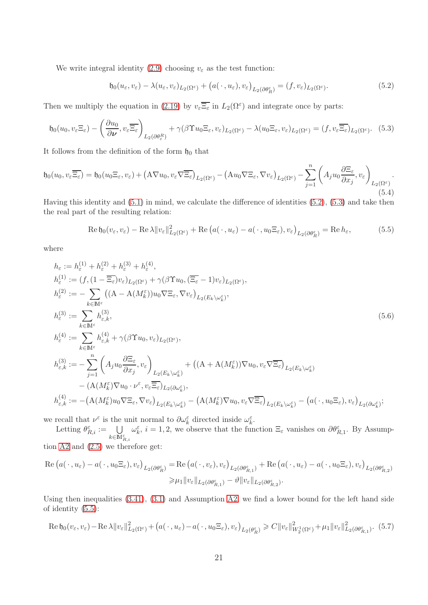We write integral identity [\(2.9\)](#page-3-4) choosing  $v_{\varepsilon}$  as the test function:

<span id="page-20-0"></span>
$$
\mathfrak{h}_0(u_\varepsilon, v_\varepsilon) - \lambda(u_\varepsilon, v_\varepsilon)_{L_2(\Omega^\varepsilon)} + \big(a(\,\cdot\,, u_\varepsilon), v_\varepsilon\big)_{L_2(\partial \theta_R^\varepsilon)} = (f, v_\varepsilon)_{L_2(\Omega^\varepsilon)}.
$$
\n(5.2)

Then we multiply the equation in [\(2.19\)](#page-5-0) by  $v_{\varepsilon} \overline{\Xi_{\varepsilon}}$  in  $L_2(\Omega^{\varepsilon})$  and integrate once by parts:

<span id="page-20-1"></span>
$$
\mathfrak{h}_0(u_0, v_{\varepsilon} \Xi_{\varepsilon}) - \left(\frac{\partial u_0}{\partial \nu}, v_{\varepsilon} \overline{\Xi_{\varepsilon}}\right)_{L_2(\partial \theta_{\varepsilon}^R)} + \gamma (\beta \Upsilon u_0 \Xi_{\varepsilon}, v_{\varepsilon})_{L_2(\Omega^{\varepsilon})} - \lambda (u_0 \Xi_{\varepsilon}, v_{\varepsilon})_{L_2(\Omega^{\varepsilon})} = (f, v_{\varepsilon} \overline{\Xi_{\varepsilon}})_{L_2(\Omega^{\varepsilon})}. \tag{5.3}
$$

It follows from the definition of the form  $\mathfrak{h}_0$  that

<span id="page-20-5"></span>
$$
\mathfrak{h}_0(u_0, v_{\varepsilon} \overline{\Xi_{\varepsilon}}) = \mathfrak{h}_0(u_0 \Xi_{\varepsilon}, v_{\varepsilon}) + \left(A \nabla u_0, v_{\varepsilon} \nabla \overline{\Xi_{\varepsilon}}\right)_{L_2(\Omega^{\varepsilon})} - \left(A u_0 \nabla \Xi_{\varepsilon}, \nabla v_{\varepsilon}\right)_{L_2(\Omega^{\varepsilon})} - \sum_{j=1}^n \left(A_j u_0 \frac{\partial \Xi_{\varepsilon}}{\partial x_j}, v_{\varepsilon}\right)_{L_2(\Omega^{\varepsilon})}.
$$
\n(5.4)

Having this identity and [\(5.1\)](#page-19-0) in mind, we calculate the difference of identities [\(5.2\)](#page-20-0), [\(5.3\)](#page-20-1) and take then the real part of the resulting relation:

<span id="page-20-3"></span><span id="page-20-2"></span>
$$
\operatorname{Re}\mathfrak{h}_0(v_\varepsilon, v_\varepsilon) - \operatorname{Re}\lambda \|v_\varepsilon\|_{L_2(\Omega^\varepsilon)}^2 + \operatorname{Re}\left(a(\,\cdot\,, u_\varepsilon) - a(\,\cdot\,, u_0 \Xi_\varepsilon), v_\varepsilon\right)_{L_2(\partial \theta_R^\varepsilon)} = \operatorname{Re}h_\varepsilon,\tag{5.5}
$$

where

$$
h_{\varepsilon} := h_{\varepsilon}^{(1)} + h_{\varepsilon}^{(2)} + h_{\varepsilon}^{(3)} + h_{\varepsilon}^{(4)},
$$
\n
$$
h_{\varepsilon}^{(1)} := (f, (1 - \overline{\Xi}_{\varepsilon}) v_{\varepsilon})_{L_2(\Omega^{\varepsilon})} + \gamma(\beta \Upsilon u_0, (\overline{\Xi}_{\varepsilon} - 1) v_{\varepsilon})_{L_2(\Omega^{\varepsilon})},
$$
\n
$$
h_{\varepsilon}^{(2)} := - \sum_{k \in \mathbb{M}^{\varepsilon}} ((\mathbf{A} - \mathbf{A}(M_k^{\varepsilon})) u_0 \nabla \Xi_{\varepsilon}, \nabla v_{\varepsilon})_{L_2(E_k \setminus \omega_k^{\varepsilon})},
$$
\n
$$
h_{\varepsilon}^{(3)} := \sum_{k \in \mathbb{M}^{\varepsilon}} h_{\varepsilon,k}^{(4)},
$$
\n
$$
h_{\varepsilon}^{(4)} := \sum_{k \in \mathbb{M}^{\varepsilon}} h_{\varepsilon,k}^{(4)} + \gamma(\beta \Upsilon u_0, v_{\varepsilon})_{L_2(\Omega^{\varepsilon})},
$$
\n
$$
h_{\varepsilon,k}^{(3)} := -\sum_{j=1}^{n} \left( A_j u_0 \frac{\partial \Xi_{\varepsilon}}{\partial x_j}, v_{\varepsilon} \right)_{L_2(E_k \setminus \omega_k^{\varepsilon})} + ((\mathbf{A} + \mathbf{A}(M_k^{\varepsilon})) \nabla u_0, v_{\varepsilon} \nabla \overline{\Xi}_{\varepsilon})_{L_2(E_k \setminus \omega_k^{\varepsilon})} - (\mathbf{A}(M_k^{\varepsilon}) \nabla u_0 \cdot \nu^{\varepsilon}, v_{\varepsilon} \overline{\Xi_{\varepsilon}})_{L_2(\partial \omega_k^{\varepsilon})},
$$
\n
$$
h_{\varepsilon,k}^{(4)} := -(\mathbf{A}(M_k^{\varepsilon}) u_0 \nabla \Xi_{\varepsilon}, \nabla v_{\varepsilon})_{L_2(E_k \setminus \omega_k^{\varepsilon})} - (\mathbf{A}(M_k^{\varepsilon}) \nabla u_0, v_{\varepsilon} \nabla \overline{\Xi}_{\varepsilon
$$

we recall that  $\nu^{\varepsilon}$  is the unit normal to  $\partial \omega^{\varepsilon}_{k}$  directed inside  $\omega^{\varepsilon}_{k}$ .

Letting  $\theta_{R,i}^{\varepsilon} := \bigcup_{k \in \mathbb{M}_{R,i}^{\varepsilon}}$  $\omega_k^{\varepsilon}$ ,  $i = 1, 2$ , we observe that the function  $\Xi_{\varepsilon}$  vanishes on  $\partial \theta_{R,1}^{\varepsilon}$ . By Assumption [A2](#page-3-0) and [\(2.5\)](#page-2-6) we therefore get:

$$
\operatorname{Re}\left(a(\,\cdot\,,u_{\varepsilon})-a(\,\cdot\,,u_0\Xi_{\varepsilon}),v_{\varepsilon}\right)_{L_2(\partial\theta_R^{\varepsilon})} = \operatorname{Re}\left(a(\,\cdot\,,v_{\varepsilon}),v_{\varepsilon}\right)_{L_2(\partial\theta_{R,1}^{\varepsilon})} + \operatorname{Re}\left(a(\,\cdot\,,u_{\varepsilon})-a(\,\cdot\,,u_0\Xi_{\varepsilon}),v_{\varepsilon}\right)_{L_2(\partial\theta_{R,2}^{\varepsilon})}
$$

$$
\geq \mu_1 \|v_{\varepsilon}\|_{L_2(\partial\theta_{R,1}^{\varepsilon})} - \vartheta \|v_{\varepsilon}\|_{L_2(\partial\theta_{R,2}^{\varepsilon})}.
$$

Using then inequalities [\(3.41\)](#page-14-3), [\(3.1\)](#page-7-0) and Assumption [A2,](#page-3-0) we find a lower bound for the left hand side of identity [\(5.5\)](#page-20-2):

<span id="page-20-4"></span>
$$
\operatorname{Re}\mathfrak{h}_0(v_\varepsilon, v_\varepsilon) - \operatorname{Re}\lambda \|v_\varepsilon\|_{L_2(\Omega^\varepsilon)}^2 + \left(a(\,\cdot\,, u_\varepsilon) - a(\,\cdot\,, u_0 \Xi_\varepsilon), v_\varepsilon\right)_{L_2(\theta_R^\varepsilon)} \geqslant C \|v_\varepsilon\|_{W_2^1(\Omega^\varepsilon)}^2 + \mu_1 \|v_\varepsilon\|_{L_2(\partial \theta_{R,1}^\varepsilon)}^2. \tag{5.7}
$$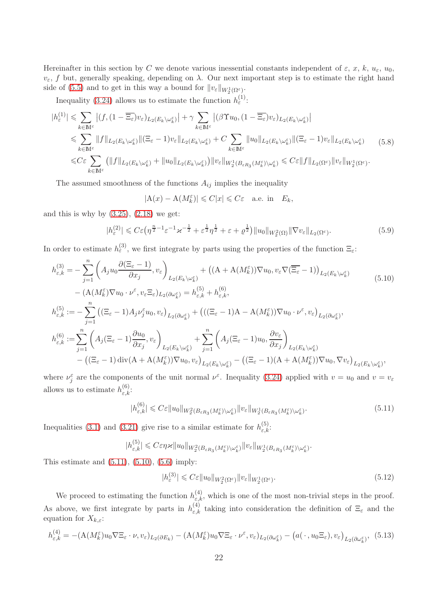Hereinafter in this section by C we denote various inessential constants independent of  $\varepsilon$ , x, k,  $u_{\varepsilon}$ ,  $u_0$ ,  $v_{\varepsilon}$ , f but, generally speaking, depending on  $\lambda$ . Our next important step is to estimate the right hand side of [\(5.5\)](#page-20-2) and to get in this way a bound for  $||v_{\varepsilon}||_{W_2^1(\Omega^{\varepsilon})}$ .

Inequality [\(3.24\)](#page-11-3) allows us to estimate the function  $h_{\varepsilon}^{(1)}$ :

<span id="page-21-3"></span>
$$
|h_{\varepsilon}^{(1)}| \leqslant \sum_{k \in \mathbb{M}^{\varepsilon}} \left| (f, (1 - \overline{\Xi_{\varepsilon}})v_{\varepsilon})_{L_{2}(E_{k} \setminus \omega_{k}^{\varepsilon})} \right| + \gamma \sum_{k \in \mathbb{M}^{\varepsilon}} \left| (\beta \Upsilon u_{0}, (1 - \overline{\Xi_{\varepsilon}})v_{\varepsilon})_{L_{2}(E_{k} \setminus \omega_{k}^{\varepsilon})} \right|
$$
  
\n
$$
\leqslant \sum_{k \in \mathbb{M}^{\varepsilon}} \|f\|_{L_{2}(E_{k} \setminus \omega_{k}^{\varepsilon})} \|(\Xi_{\varepsilon} - 1)v_{\varepsilon}\|_{L_{2}(E_{k} \setminus \omega_{k}^{\varepsilon})} + C \sum_{k \in \mathbb{M}^{\varepsilon}} \|u_{0}\|_{L_{2}(E_{k} \setminus \omega_{k}^{\varepsilon})} \|(\Xi_{\varepsilon} - 1)v_{\varepsilon}\|_{L_{2}(E_{k} \setminus \omega_{k}^{\varepsilon})} \tag{5.8}
$$
  
\n
$$
\leqslant C \varepsilon \sum_{k \in \mathbb{M}^{\varepsilon}} \left( \|f\|_{L_{2}(E_{k} \setminus \omega_{k}^{\varepsilon})} + \|u_{0}\|_{L_{2}(E_{k} \setminus \omega_{k}^{\varepsilon})} \right) \|v_{\varepsilon}\|_{W_{2}^{1}(B_{\varepsilon}R_{3}(M_{k}^{\varepsilon}) \setminus \omega_{k}^{\varepsilon})} \leqslant C \varepsilon \|f\|_{L_{2}(\Omega^{\varepsilon})} \|v_{\varepsilon}\|_{W_{2}^{1}(\Omega^{\varepsilon})}.
$$

The assumed smoothness of the functions  $A_{ij}$  implies the inequality

$$
|\mathcal{A}(x) - \mathcal{A}(M_k^{\varepsilon})| \leq C|x| \leq C\varepsilon \quad \text{a.e. in} \quad E_k,
$$

and this is why by  $(3.25)$ ,  $(2.18)$  we get:

<span id="page-21-4"></span>
$$
|h_{\varepsilon}^{(2)}| \leqslant C\varepsilon \left(\eta^{\frac{n}{2}-1}\varepsilon^{-1}\varkappa^{-\frac{1}{2}} + \varepsilon^{\frac{1}{2}}\eta^{\frac{1}{2}} + \varepsilon + \varrho^{\frac{1}{2}}\right) \|u_0\|_{W_2^2(\Omega)} \|\nabla v_{\varepsilon}\|_{L_2(\Omega^{\varepsilon})}.
$$
\n
$$
(5.9)
$$

In order to estimate  $h_{\varepsilon}^{(3)}$ , we first integrate by parts using the properties of the function  $\Xi_{\varepsilon}$ :

$$
h_{\varepsilon,k}^{(3)} = -\sum_{j=1}^{n} \left( A_j u_0 \frac{\partial (\Xi_{\varepsilon} - 1)}{\partial x_j}, v_{\varepsilon} \right)_{L_2(E_k \setminus \omega_k^{\varepsilon})} + \left( (A + A(M_k^{\varepsilon})) \nabla u_0, v_{\varepsilon} \nabla (\overline{\Xi_{\varepsilon}} - 1) \right)_{L_2(E_k \setminus \omega_k^{\varepsilon})} \tag{5.10}
$$
  
\n
$$
- \left( A(M_k^{\varepsilon}) \nabla u_0 \cdot \nu^{\varepsilon}, v_{\varepsilon} \Xi_{\varepsilon} \right)_{L_2(\partial \omega_k^{\varepsilon})} = h_{\varepsilon,k}^{(5)} + h_{\varepsilon,k}^{(6)},
$$
  
\n
$$
h_{\varepsilon,k}^{(5)} := -\sum_{j=1}^{n} \left( (\Xi_{\varepsilon} - 1) A_j \nu_j^{\varepsilon} u_0, v_{\varepsilon} \right)_{L_2(\partial \omega_k^{\varepsilon})} + \left( ((\Xi_{\varepsilon} - 1)A - A(M_k^{\varepsilon})) \nabla u_0 \cdot \nu^{\varepsilon}, v_{\varepsilon} \right)_{L_2(\partial \omega_k^{\varepsilon})},
$$
  
\n
$$
h_{\varepsilon,k}^{(6)} := \sum_{j=1}^{n} \left( A_j (\Xi_{\varepsilon} - 1) \frac{\partial u_0}{\partial x_j}, v_{\varepsilon} \right)_{L_2(E_k \setminus \omega_k^{\varepsilon})} + \sum_{j=1}^{n} \left( A_j (\Xi_{\varepsilon} - 1) u_0, \frac{\partial v_{\varepsilon}}{\partial x_j} \right)_{L_2(E_k \setminus \omega_k^{\varepsilon})} \right)_{L_2(E_k \setminus \omega_k^{\varepsilon})} - \left( (\Xi_{\varepsilon} - 1)(A + A(M_k^{\varepsilon})) \nabla u_0, \nabla v_{\varepsilon} \right)_{L_2(E_k \setminus \omega_k^{\varepsilon})},
$$
  
\n(5.10)

where  $\nu_j^{\varepsilon}$  are the components of the unit normal  $\nu^{\varepsilon}$ . Inequality [\(3.24\)](#page-11-3) applied with  $v = u_0$  and  $v = v_{\varepsilon}$ allows us to estimate  $h_{\varepsilon,k}^{(6)}$ :

<span id="page-21-0"></span>
$$
|h_{\varepsilon,k}^{(6)}| \leqslant C\varepsilon \|u_0\|_{W_2^2(B_{\varepsilon R_3}(M_k^{\varepsilon})\setminus\omega_k^{\varepsilon})} \|v_{\varepsilon}\|_{W_2^1(B_{\varepsilon R_3}(M_k^{\varepsilon})\setminus\omega_k^{\varepsilon})}.
$$
\n
$$
(5.11)
$$

Inequalities [\(3.1\)](#page-7-0) and [\(3.21\)](#page-11-0) give rise to a similar estimate for  $h_{\varepsilon,k}^{(5)}$ .

$$
|h_{\varepsilon,k}^{(5)}| \leqslant C\varepsilon\eta\varkappa \|u_0\|_{W_2^2(B_{\varepsilon R_3}(M_k^{\varepsilon})\setminus \omega_k^{\varepsilon})}\|v_{\varepsilon}\|_{W_2^1(B_{\varepsilon R_3}(M_k^{\varepsilon})\setminus \omega_k^{\varepsilon})}
$$

This estimate and  $(5.11)$ ,  $(5.10)$ ,  $(5.6)$  imply:

<span id="page-21-5"></span>
$$
|h_{\varepsilon}^{(3)}| \leqslant C\varepsilon \|u_0\|_{W_2^2(\Omega^{\varepsilon})} \|v_{\varepsilon}\|_{W_2^1(\Omega^{\varepsilon})}.
$$
\n
$$
(5.12)
$$

<span id="page-21-1"></span>.

We proceed to estimating the function  $h_{\varepsilon,k}^{(4)}$ , which is one of the most non-trivial steps in the proof. As above, we first integrate by parts in  $h_{\varepsilon,k}^{(4)}$  taking into consideration the definition of  $\Xi_{\varepsilon}$  and the equation for  $X_{k,\varepsilon}$ :

<span id="page-21-2"></span>
$$
h_{\varepsilon,k}^{(4)} = -(\mathcal{A}(M_k^{\varepsilon})u_0 \nabla \Xi_{\varepsilon} \cdot \nu, v_{\varepsilon})_{L_2(\partial E_k)} - (\mathcal{A}(M_k^{\varepsilon})u_0 \nabla \Xi_{\varepsilon} \cdot \nu^{\varepsilon}, v_{\varepsilon})_{L_2(\partial \omega_k^{\varepsilon})} - (a(\cdot, u_0 \Xi_{\varepsilon}), v_{\varepsilon})_{L_2(\partial \omega_k^{\varepsilon})}, (5.13)
$$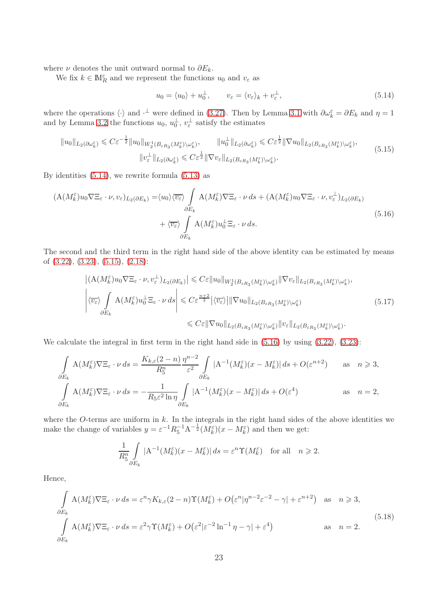where  $\nu$  denotes the unit outward normal to  $\partial E_k$ .

We fix  $k\in\mathbb{M}^{\varepsilon}_R$  and we represent the functions  $u_0$  and  $v_{\varepsilon}$  as

<span id="page-22-0"></span>
$$
u_0 = \langle u_0 \rangle + u_0^{\perp}, \qquad v_{\varepsilon} = \langle v_{\varepsilon} \rangle_k + v_{\varepsilon}^{\perp}, \tag{5.14}
$$

where the operations  $\langle \cdot \rangle$  and  $\cdot^{\perp}$  were defined in [\(3.27\)](#page-11-8). Then by Lemma [3.1](#page-7-4) with  $\partial \omega_k^{\varepsilon} = \partial E_k$  and  $\eta = 1$ and by Lemma [3.2](#page-7-1) the functions  $u_0, u_0^{\perp}, v_{\varepsilon}^{\perp}$  satisfy the estimates

<span id="page-22-1"></span>
$$
||u_0||_{L_2(\partial \omega_k^{\varepsilon})} \leq C\varepsilon^{-\frac{1}{2}}||u_0||_{W_2^1(B_{\varepsilon R_3}(M_k^{\varepsilon})\setminus \omega_k^{\varepsilon})}, \qquad ||u_0^{\perp}||_{L_2(\partial \omega_k^{\varepsilon})} \leq C\varepsilon^{\frac{1}{2}}||\nabla u_0||_{L_2(B_{\varepsilon R_3}(M_k^{\varepsilon})\setminus \omega_k^{\varepsilon})},
$$

$$
||v_{\varepsilon}^{\perp}||_{L_2(\partial \omega_k^{\varepsilon})} \leq C\varepsilon^{\frac{1}{2}}||\nabla v_{\varepsilon}||_{L_2(B_{\varepsilon R_3}(M_k^{\varepsilon})\setminus \omega_k^{\varepsilon})}.
$$
(5.15)

By identities [\(5.14\)](#page-22-0), we rewrite formula [\(5.13\)](#page-21-2) as

<span id="page-22-2"></span>
$$
(A(M_k^{\varepsilon})u_0 \nabla \Xi_{\varepsilon} \cdot \nu, v_{\varepsilon})_{L_2(\partial E_k)} = \langle u_0 \rangle \langle \overline{v_{\varepsilon}} \rangle \int_{\partial E_k} A(M_k^{\varepsilon}) \nabla \Xi_{\varepsilon} \cdot \nu \, ds + (A(M_k^{\varepsilon})u_0 \nabla \Xi_{\varepsilon} \cdot \nu, v_{\varepsilon}^{\perp})_{L_2(\partial E_k)} + \langle \overline{v_{\varepsilon}} \rangle \int_{\partial E_k} A(M_k^{\varepsilon}) u_0^{\perp} \Xi_{\varepsilon} \cdot \nu \, ds.
$$
\n(5.16)

The second and the third term in the right hand side of the above identity can be estimated by means of [\(3.22\)](#page-11-6), [\(3.23\)](#page-11-7), [\(5.15\)](#page-22-1), [\(2.18\)](#page-4-0):

<span id="page-22-3"></span>
$$
\left| (A(M_k^{\varepsilon})u_0 \nabla \Xi_{\varepsilon} \cdot \nu, v_{\varepsilon}^{\perp})_{L_2(\partial E_k)} \right| \leq C \varepsilon \|u_0\|_{W_2^1(B_{\varepsilon R_3}(M_k^{\varepsilon}) \setminus \omega_k^{\varepsilon})} \|\nabla v_{\varepsilon}\|_{L_2(B_{\varepsilon R_3}(M_k^{\varepsilon}) \setminus \omega_k^{\varepsilon})},
$$
  

$$
\left| \langle \overline{v_{\varepsilon}} \rangle \int_{\partial E_k} A(M_k^{\varepsilon}) u_0^{\perp} \Xi_{\varepsilon} \cdot \nu \, ds \right| \leq C \varepsilon^{\frac{n+2}{2}} \left| \langle \overline{v_{\varepsilon}} \rangle \right| \|\nabla u_0\|_{L_2(B_{\varepsilon R_3}(M_k^{\varepsilon}) \setminus \omega_k^{\varepsilon})} \right| \leq C \varepsilon \| \nabla u_0 \|_{L_2(B_{\varepsilon R_3}(M_k^{\varepsilon}) \setminus \omega_k^{\varepsilon})} \|v_{\varepsilon}\|_{L_2(B_{\varepsilon R_3}(M_k^{\varepsilon}) \setminus \omega_k^{\varepsilon})}.
$$
(5.17)

We calculate the integral in first term in the right hand side in  $(5.16)$  by using  $(3.22)$ ,  $(3.23)$ :

$$
\int_{\partial E_k} A(M_k^{\varepsilon}) \nabla \Xi_{\varepsilon} \cdot \nu \, ds = \frac{K_{k,\varepsilon}(2-n)}{R_5^n} \frac{\eta^{n-2}}{\varepsilon^2} \int_{\partial E_k} |A^{-1}(M_k^{\varepsilon})(x - M_k^{\varepsilon})| \, ds + O(\varepsilon^{n+2}) \quad \text{as} \quad n \geq 3,
$$
\n
$$
\int_{\partial E_k} A(M_k^{\varepsilon}) \nabla \Xi_{\varepsilon} \cdot \nu \, ds = -\frac{1}{R_5 \varepsilon^2 \ln \eta} \int_{\partial E_k} |A^{-1}(M_k^{\varepsilon})(x - M_k^{\varepsilon})| \, ds + O(\varepsilon^4) \quad \text{as} \quad n = 2,
$$

where the O-terms are uniform in  $k$ . In the integrals in the right hand sides of the above identities we make the change of variables  $y = \varepsilon^{-1} R_5^{-1} A^{-\frac{1}{2}} (M_k^{\varepsilon}) (x - M_k^{\varepsilon})$  and then we get:

$$
\frac{1}{R_5^n} \int\limits_{\partial E_k} |A^{-1}(M_k^{\varepsilon})(x - M_k^{\varepsilon})| ds = \varepsilon^n \Upsilon(M_k^{\varepsilon}) \quad \text{for all} \quad n \geqslant 2.
$$

Hence,

<span id="page-22-4"></span>
$$
\int_{\partial E_k} A(M_k^{\varepsilon}) \nabla \Xi_{\varepsilon} \cdot \nu \, ds = \varepsilon^n \gamma K_{k,\varepsilon} (2-n) \Upsilon(M_k^{\varepsilon}) + O(\varepsilon^n |\eta^{n-2} \varepsilon^{-2} - \gamma| + \varepsilon^{n+2}) \quad \text{as} \quad n \geqslant 3,
$$
\n
$$
\int_{\partial E_k} A(M_k^{\varepsilon}) \nabla \Xi_{\varepsilon} \cdot \nu \, ds = \varepsilon^2 \gamma \Upsilon(M_k^{\varepsilon}) + O(\varepsilon^2 |\varepsilon^{-2} \ln^{-1} \eta - \gamma| + \varepsilon^4) \qquad \text{as} \quad n = 2.
$$
\n(5.18)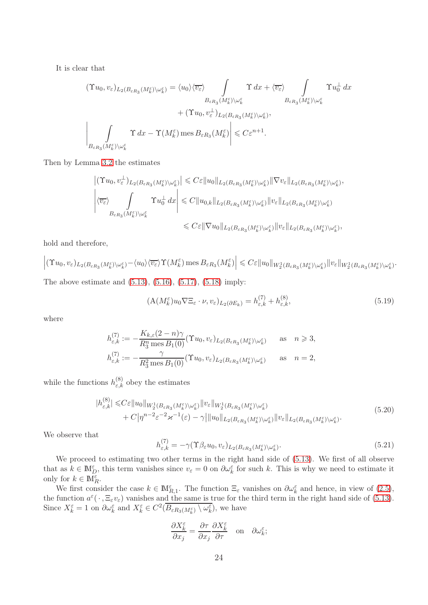It is clear that

$$
\begin{split} (\Upsilon u_0, v_{\varepsilon})_{L_2(B_{\varepsilon R_3}(M_k^{\varepsilon})\setminus \omega_k^{\varepsilon})} &= \langle u_0 \rangle \langle \overline{v_{\varepsilon}} \rangle \int_{B_{\varepsilon R_3}(M_k^{\varepsilon})\setminus \omega_k^{\varepsilon}} \Upsilon \, dx + \langle \overline{v_{\varepsilon}} \rangle \int_{B_{\varepsilon R_3}(M_k^{\varepsilon})\setminus \omega_k^{\varepsilon}} \Upsilon u_0^{\perp} \, dx \\ &+ (\Upsilon u_0, v_{\varepsilon}^{\perp})_{L_2(B_{\varepsilon R_3}(M_k^{\varepsilon})\setminus \omega_k^{\varepsilon})}, \\ \left| \int_{B_{\varepsilon R_3}(M_k^{\varepsilon})\setminus \omega_k^{\varepsilon}} \Upsilon \, dx - \Upsilon(M_k^{\varepsilon}) \operatorname{mes} B_{\varepsilon R_3}(M_k^{\varepsilon}) \right| &\leq C \varepsilon^{n+1}. \end{split}
$$

Then by Lemma [3.2](#page-7-1) the estimates

$$
\begin{split} \left| (\Upsilon u_0, v_\varepsilon^\perp)_{L_2(B_{\varepsilon R_3}(M_k^\varepsilon)\backslash \omega_k^\varepsilon)} \right| &\leqslant C \varepsilon \| u_0 \|_{L_2(B_{\varepsilon R_3}(M_k^\varepsilon)\backslash \omega_k^\varepsilon)} \|\nabla v_\varepsilon\|_{L_2(B_{\varepsilon R_3}(M_k^\varepsilon)\backslash \omega_k^\varepsilon)},\\ \left| \langle \overline{v_\varepsilon} \rangle \int\limits_{B_{\varepsilon R_3}(M_k^\varepsilon)\backslash \omega_k^\varepsilon} \Upsilon u_0^\perp dx \right| &\leqslant C \| u_{0,k} \|_{L_2(B_{\varepsilon R_3}(M_k^\varepsilon)\backslash \omega_k^\varepsilon)} \| v_\varepsilon \|_{L_2(B_{\varepsilon R_3}(M_k^\varepsilon)\backslash \omega_k^\varepsilon)}\\ &\leqslant C \varepsilon \|\nabla u_0 \|_{L_2(B_{\varepsilon R_3}(M_k^\varepsilon)\backslash \omega_k^\varepsilon)} \| v_\varepsilon \|_{L_2(B_{\varepsilon R_3}(M_k^\varepsilon)\backslash \omega_k^\varepsilon)}, \end{split}
$$

hold and therefore,

$$
\left| (\Upsilon u_0, v_{\varepsilon})_{L_2(B_{\varepsilon R_3}(M_k^{\varepsilon})\setminus \omega_k^{\varepsilon})} - \langle u_0 \rangle \langle \overline{v_{\varepsilon}} \rangle \Upsilon(M_k^{\varepsilon}) \operatorname{mes} B_{\varepsilon R_3}(M_k^{\varepsilon}) \right| \leqslant C \varepsilon \|u_0\|_{W_2^1(B_{\varepsilon R_3}(M_k^{\varepsilon})\setminus \omega_k^{\varepsilon})} \|v_{\varepsilon}\|_{W_2^1(B_{\varepsilon R_3}(M_k^{\varepsilon})\setminus \omega_k^{\varepsilon})}.
$$
  
The above estimate and (5.13). (5.16). (5.17). (5.18) implies

The above estimate and  $(5.13)$ ,  $(5.16)$ ,  $(5.17)$ ,  $(5.18)$  imply:

<span id="page-23-0"></span>
$$
\left(\mathbf{A}(M_k^{\varepsilon})u_0\nabla \Xi_{\varepsilon}\cdot\nu,v_{\varepsilon}\right)_{L_2(\partial E_k)} = h_{\varepsilon,k}^{(7)} + h_{\varepsilon,k}^{(8)},\tag{5.19}
$$

where

 $\overline{1}$ 

$$
h_{\varepsilon,k}^{(7)} := -\frac{K_{k,\varepsilon}(2-n)\gamma}{R_3^n \text{ mes } B_1(0)} (\Upsilon u_0, v_\varepsilon)_{L_2(B_{\varepsilon R_3}(M_k^{\varepsilon})\setminus \omega_k^{\varepsilon})} \quad \text{as} \quad n \geq 3,
$$
  

$$
h_{\varepsilon,k}^{(7)} := -\frac{\gamma}{R_3^2 \text{ mes } B_1(0)} (\Upsilon u_0, v_\varepsilon)_{L_2(B_{\varepsilon R_3}(M_k^{\varepsilon})\setminus \omega_k^{\varepsilon})} \quad \text{as} \quad n = 2,
$$

while the functions  $h_{\varepsilon,k}^{(8)}$  obey the estimates

<span id="page-23-2"></span>
$$
|h_{\varepsilon,k}^{(8)}| \leq C\varepsilon \|u_0\|_{W_2^1(B_{\varepsilon R_3}(M_k^{\varepsilon})\setminus\omega_k^{\varepsilon})} \|v_{\varepsilon}\|_{W_2^1(B_{\varepsilon R_3}(M_k^{\varepsilon})\setminus\omega_k^{\varepsilon})} + C\big|\eta^{n-2}\varepsilon^{-2}\varkappa^{-1}(\varepsilon) - \gamma \big|\|u_0\|_{L_2(B_{\varepsilon R_3}(M_k^{\varepsilon})\setminus\omega_k^{\varepsilon})} \|v_{\varepsilon}\|_{L_2(B_{\varepsilon R_3}(M_k^{\varepsilon})\setminus\omega_k^{\varepsilon})}.
$$
\n(5.20)

We observe that

<span id="page-23-1"></span>
$$
h_{\varepsilon,k}^{(7)} = -\gamma (\Upsilon \beta_{\varepsilon} u_0, v_{\varepsilon})_{L_2(B_{\varepsilon R_3}(M_k^{\varepsilon}) \setminus \omega_k^{\varepsilon})}.
$$
\n(5.21)

We proceed to estimating two other terms in the right hand side of [\(5.13\)](#page-21-2). We first of all observe that as  $k \in \mathbb{M}_{D}^{\varepsilon}$ , this term vanishes since  $v_{\varepsilon} = 0$  on  $\partial \omega_k^{\varepsilon}$  for such k. This is why we need to estimate it only for  $k \in \mathbb{M}_{R}^{\varepsilon}$ .

We first consider the case  $k \in \mathbb{M}_{R,1}^{\varepsilon}$ . The function  $\Xi_{\varepsilon}$  vanishes on  $\partial \omega_k^{\varepsilon}$  and hence, in view of [\(2.5\)](#page-2-6), the function  $a^{\varepsilon}(\cdot,\Xi_{\varepsilon}v_{\varepsilon})$  vanishes and the same is true for the third term in the right hand side of [\(5.13\)](#page-21-2). Since  $X_k^{\varepsilon} = 1$  on  $\partial \omega_k^{\varepsilon}$  and  $X_k^{\varepsilon} \in C^2(\overline{B_{\varepsilon R_3(M_k^{\varepsilon})} \setminus \omega_k^{\varepsilon}})$ , we have

$$
\frac{\partial X^{\varepsilon}_k}{\partial x_j} = \frac{\partial \tau}{\partial x_j} \frac{\partial X^{\varepsilon}_k}{\partial \tau} \quad \text{on} \quad \partial \omega^{\varepsilon}_k;
$$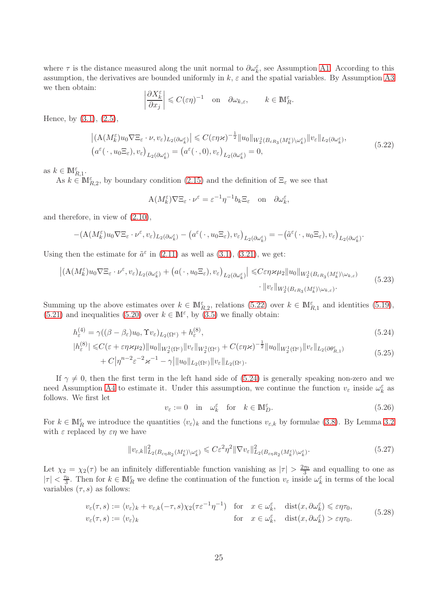where  $\tau$  is the distance measured along the unit normal to  $\partial \omega_k^{\varepsilon}$ , see Assumption [A1.](#page-2-4) According to this assumption, the derivatives are bounded uniformly in  $k, \varepsilon$  and the spatial variables. By Assumption [A3](#page-4-1) we then obtain:

$$
\left|\frac{\partial X_k^{\varepsilon}}{\partial x_j}\right| \leqslant C(\varepsilon \eta)^{-1} \quad \text{on} \quad \partial \omega_{k,\varepsilon}, \qquad k \in \mathbb{M}_R^{\varepsilon}.
$$

Hence, by [\(3.1\)](#page-7-0), [\(2.5\)](#page-2-6),

<span id="page-24-0"></span>
$$
\left| \left( \mathbf{A} (M_k^{\varepsilon}) u_0 \nabla \Xi_{\varepsilon} \cdot \nu, v_{\varepsilon} \right) L_2(\partial \omega_{\varepsilon}^{\varepsilon}) \right| \leqslant C(\varepsilon \eta \varkappa)^{-\frac{1}{2}} \| u_0 \|_{W_2^1(B_{\varepsilon R_3}(M_k^{\varepsilon}) \setminus \omega_{\varepsilon}^{\varepsilon})} \| v_{\varepsilon} \|_{L_2(\partial \omega_{\varepsilon}^{\varepsilon})},
$$
\n
$$
\left( a^{\varepsilon} (\cdot, u_0 \Xi_{\varepsilon}), v_{\varepsilon} \right)_{L_2(\partial \omega_{\varepsilon}^{\varepsilon})} = \left( a^{\varepsilon} (\cdot, 0), v_{\varepsilon} \right)_{L_2(\partial \omega_{\varepsilon}^{\varepsilon})} = 0,
$$
\n
$$
(5.22)
$$

as  $k \in M_{R,1}^{\varepsilon}$ .

As  $k \in M_{R,2}^{\varepsilon}$ , by boundary condition [\(2.15\)](#page-4-7) and the definition of  $\Xi_{\varepsilon}$  we see that

$$
\mathcal{A}(M_k^{\varepsilon})\nabla \Xi_{\varepsilon} \cdot \nu^{\varepsilon} = \varepsilon^{-1} \eta^{-1} b_k \Xi_{\varepsilon} \quad \text{on} \quad \partial \omega_k^{\varepsilon},
$$

and therefore, in view of [\(2.10\)](#page-3-1),

$$
-(\mathbf{A}(M_k^{\varepsilon})u_0\nabla \Xi_{\varepsilon}\cdot\nu^{\varepsilon},v_{\varepsilon})_{L_2(\partial \omega_k^{\varepsilon})}-\big(a^{\varepsilon}(\cdot,u_0\Xi_{\varepsilon}),v_{\varepsilon}\big)_{L_2(\partial \omega_k^{\varepsilon})}=-\big(\tilde{a}^{\varepsilon}(\cdot,u_0\Xi_{\varepsilon}),v_{\varepsilon}\big)_{L_2(\partial \omega_k^{\varepsilon})}.
$$

Using then the estimate for  $\tilde{a}^{\varepsilon}$  in [\(2.11\)](#page-3-2) as well as [\(3.1\)](#page-7-0), [\(3.21\)](#page-11-0), we get:

<span id="page-24-5"></span>
$$
\left| \left( \mathcal{A}(M_k^{\varepsilon}) u_0 \nabla \Xi_{\varepsilon} \cdot \nu^{\varepsilon}, v_{\varepsilon} \right)_{L_2(\partial \omega_k^{\varepsilon})} + \left( a(\cdot, u_0 \Xi_{\varepsilon}), v_{\varepsilon} \right)_{L_2(\partial \omega_k^{\varepsilon})} \right| \leq C \varepsilon \eta \varkappa \mu_2 \|u_0\|_{W_2^1(B_{\varepsilon R_3}(M_k^{\varepsilon}) \setminus \omega_{k,\varepsilon})} \cdot \|v_{\varepsilon}\|_{W_2^1(B_{\varepsilon R_3}(M_k^{\varepsilon}) \setminus \omega_{k,\varepsilon})} \tag{5.23}
$$

Summing up the above estimates over  $k \in \mathbb{M}_{R,2}^{\varepsilon}$ , relations [\(5.22\)](#page-24-0) over  $k \in \mathbb{M}_{R,1}^{\varepsilon}$  and identities [\(5.19\)](#page-23-0), [\(5.21\)](#page-23-1) and inequalities [\(5.20\)](#page-23-2) over  $k \in \mathbb{M}^{\varepsilon}$ , by [\(3.5\)](#page-8-1) we finally obtain:

$$
h_{\varepsilon}^{(4)} = \gamma((\beta - \beta_{\varepsilon})u_0, \Upsilon v_{\varepsilon})_{L_2(\Omega^{\varepsilon})} + h_{\varepsilon}^{(8)},
$$
\n(5.24)

$$
|h_{\varepsilon}^{(8)}| \leq C(\varepsilon + \varepsilon \eta \varkappa \mu_2) \|u_0\|_{W_2^1(\Omega^{\varepsilon})} \|v_{\varepsilon}\|_{W_2^1(\Omega^{\varepsilon})} + C(\varepsilon \eta \varkappa)^{-\frac{1}{2}} \|u_0\|_{W_2^1(\Omega^{\varepsilon})} \|v_{\varepsilon}\|_{L_2(\partial \theta_{R,1}^{\varepsilon})} + C\big|\eta^{n-2}\varepsilon^{-2}\varkappa^{-1} - \gamma \big| \|u_0\|_{L_2(\Omega^{\varepsilon})} \|v_{\varepsilon}\|_{L_2(\Omega^{\varepsilon})}.
$$
\n(5.25)

If  $\gamma \neq 0$ , then the first term in the left hand side of [\(5.24\)](#page-24-1) is generally speaking non-zero and we need Assumption [A4](#page-4-2) to estimate it. Under this assumption, we continue the function  $v_{\varepsilon}$  inside  $\omega_k^{\varepsilon}$  as follows. We first let

<span id="page-24-4"></span><span id="page-24-3"></span><span id="page-24-1"></span>
$$
v_{\varepsilon} := 0 \quad \text{in} \quad \omega_k^{\varepsilon} \quad \text{for} \quad k \in \mathbb{M}_D^{\varepsilon}.
$$

For  $k \in \mathbb{M}_R^{\varepsilon}$  we introduce the quantities  $\langle v_{\varepsilon} \rangle_k$  and the functions  $v_{\varepsilon,k}$  by formulae [\(3.8\)](#page-8-4). By Lemma [3.2](#page-7-1) with  $\varepsilon$  replaced by  $\varepsilon \eta$  we have

<span id="page-24-2"></span>
$$
\|v_{\varepsilon,k}\|_{L_2(B_{\varepsilon\eta R_2}(M_k^{\varepsilon})\setminus\omega_k^{\varepsilon})}^2 \leqslant C\varepsilon^2\eta^2 \|\nabla v_{\varepsilon}\|_{L_2(B_{\varepsilon\eta R_2}(M_k^{\varepsilon})\setminus\omega_k^{\varepsilon})}^2.
$$
\n
$$
(5.27)
$$

Let  $\chi_2 = \chi_2(\tau)$  be an infinitely differentiable function vanishing as  $|\tau| > \frac{2\tau_0}{3}$  $\frac{\tau_0}{3}$  and equalling to one as  $|\tau| < \frac{\tau_0}{3}$  $\frac{r_0}{3}$ . Then for  $k \in \mathbb{M}_R^{\varepsilon}$  we define the continuation of the function  $v_{\varepsilon}$  inside  $\omega_k^{\varepsilon}$  in terms of the local variables  $(\tau, s)$  as follows:

<span id="page-24-6"></span>
$$
v_{\varepsilon}(\tau,s) := \langle v_{\varepsilon} \rangle_k + v_{\varepsilon,k}(-\tau,s) \chi_2(\tau \varepsilon^{-1} \eta^{-1}) \quad \text{for} \quad x \in \omega_k^{\varepsilon}, \quad \text{dist}(x,\partial \omega_k^{\varepsilon}) \leq \varepsilon \eta \tau_0,
$$
  
\n
$$
v_{\varepsilon}(\tau,s) := \langle v_{\varepsilon} \rangle_k \qquad \text{for} \quad x \in \omega_k^{\varepsilon}, \quad \text{dist}(x,\partial \omega_k^{\varepsilon}) > \varepsilon \eta \tau_0.
$$
 (5.28)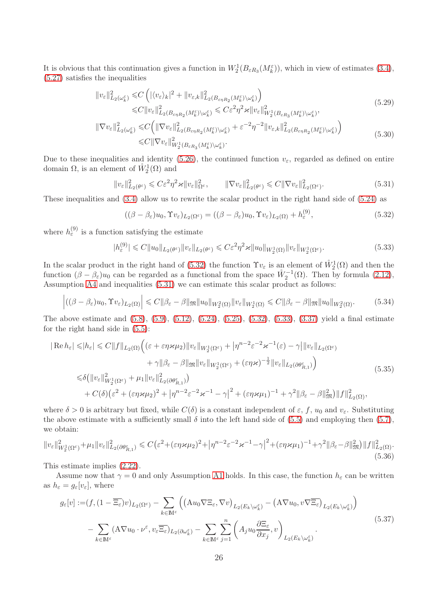It is obvious that this continuation gives a function in  $W_2^1(B_{\varepsilon R_3}(M_k^{\varepsilon}))$ , which in view of estimates [\(3.4\)](#page-8-5), [\(5.27\)](#page-24-2) satisfies the inequalities

$$
\|v_{\varepsilon}\|_{L_2(\omega_k^{\varepsilon})}^2 \leq C \left( |\langle v_{\varepsilon} \rangle_k|^2 + \|v_{\varepsilon,k}\|_{L_2(B_{\varepsilon \eta R_2}(M_k^{\varepsilon}) \setminus \omega_k^{\varepsilon})}^2 \right)
$$
  

$$
\leq C \|v_{\varepsilon}\|_{L_2(B_{\varepsilon \eta R_2}(M_k^{\varepsilon}) \setminus \omega_k^{\varepsilon})}^2 \leq C \varepsilon^2 \eta^2 \varkappa \|v_{\varepsilon}\|_{W_2^1(B_{\varepsilon R_3}(M_k^{\varepsilon}) \setminus \omega_k^{\varepsilon})}^2,
$$
(5.29)

$$
\|\nabla v_{\varepsilon}\|_{L_2(\omega_k^{\varepsilon})}^2 \leq C \Big( \|\nabla v_{\varepsilon}\|_{L_2(B_{\varepsilon\eta R_2}(M_k^{\varepsilon})\setminus\omega_k^{\varepsilon})}^2 + \varepsilon^{-2} \eta^{-2} \|v_{\varepsilon,k}\|_{L_2(B_{\varepsilon\eta R_2}(M_k^{\varepsilon})\setminus\omega_k^{\varepsilon})}^2 \Big)
$$
  

$$
\leq C \|\nabla v_{\varepsilon}\|_{W_2^1(B_{\varepsilon R_3}(M_k^{\varepsilon})\setminus\omega_k^{\varepsilon})}^2.
$$
 (5.30)

Due to these inequalities and identity [\(5.26\)](#page-24-3), the continued function  $v_{\varepsilon}$ , regarded as defined on entire domain  $\Omega$ , is an element of  $\mathring{W}^1_2(\Omega)$  and

<span id="page-25-1"></span>
$$
\|v_{\varepsilon}\|_{L_2(\theta^{\varepsilon})}^2 \leqslant C\varepsilon^2 \eta^2 \varkappa \|v_{\varepsilon}\|_{\Omega^{\varepsilon}}^2, \qquad \|\nabla v_{\varepsilon}\|_{L_2(\theta^{\varepsilon})}^2 \leqslant C \|\nabla v_{\varepsilon}\|_{L_2(\Omega^{\varepsilon})}^2.
$$
\n
$$
(5.31)
$$

These inequalities and  $(3.4)$  allow us to rewrite the scalar product in the right hand side of  $(5.24)$  as

<span id="page-25-7"></span><span id="page-25-6"></span><span id="page-25-0"></span>
$$
((\beta - \beta_{\varepsilon})u_0, \Upsilon v_{\varepsilon})_{L_2(\Omega^{\varepsilon})} = ((\beta - \beta_{\varepsilon})u_0, \Upsilon v_{\varepsilon})_{L_2(\Omega)} + h_{\varepsilon}^{(9)},
$$
\n(5.32)

where  $h_{\varepsilon}^{(9)}$  is a function satisfying the estimate

<span id="page-25-2"></span>
$$
|h_{\varepsilon}^{(9)}| \leq C \|u_0\|_{L_2(\theta^{\varepsilon})} \|v_{\varepsilon}\|_{L_2(\theta^{\varepsilon})} \leq C \varepsilon^2 \eta^2 \varkappa \|u_0\|_{W_2^1(\Omega)} \|v_{\varepsilon}\|_{W_2^1(\Omega^{\varepsilon})}.
$$
\n
$$
(5.33)
$$

In the scalar product in the right hand of [\(5.32\)](#page-25-0) the function  $\Upsilon v_{\varepsilon}$  is an element of  $\mathring{W}_2^1(\Omega)$  and then the function  $(\beta - \beta_{\varepsilon})u_0$  can be regarded as a functional from the space  $\mathring{W}_2^{-1}(\Omega)$ . Then by formula  $(2.12)$ , Assumption [A4](#page-4-2) and inequalities [\(5.31\)](#page-25-1) we can estimate this scalar product as follows:

<span id="page-25-4"></span>
$$
\left| \left( (\beta - \beta_{\varepsilon}) u_0, \Upsilon v_{\varepsilon} \right)_{L_2(\Omega)} \right| \leq C \| \beta_{\varepsilon} - \beta \| \mathfrak{M} \| u_0 \|_{W_2^2(\Omega)} \| v_{\varepsilon} \|_{W_2^1(\Omega)} \leq C \| \beta_{\varepsilon} - \beta \| \mathfrak{M} \| u_0 \|_{W_2^2(\Omega)}.
$$
 (5.34)

The above estimate and [\(5.8\)](#page-21-3), [\(5.9\)](#page-21-4), [\(5.12\)](#page-21-5), [\(5.24\)](#page-24-1), [\(5.25\)](#page-24-4), [\(5.32\)](#page-25-0), [\(5.33\)](#page-25-2), [\(3.37\)](#page-13-2) yield a final estimate for the right hand side in [\(5.5\)](#page-20-2):

<span id="page-25-5"></span>
$$
|\operatorname{Re} h_{\varepsilon}| \leqslant |h_{\varepsilon}| \leqslant C \|f\|_{L_2(\Omega)} \Big( (\varepsilon + \varepsilon \eta \varkappa \mu_2) \|v_{\varepsilon}\|_{W_2^1(\Omega^{\varepsilon})} + |\eta^{n-2} \varepsilon^{-2} \varkappa^{-1}(\varepsilon) - \gamma| \|v_{\varepsilon}\|_{L_2(\Omega^{\varepsilon})} + \gamma \|\beta_{\varepsilon} - \beta\|_{\mathfrak{M}} \|v_{\varepsilon}\|_{W_2^1(\Omega^{\varepsilon})} + (\varepsilon \eta \varkappa)^{-\frac{1}{2}} \|v_{\varepsilon}\|_{L_2(\partial \theta^{\varepsilon}_{R,1})} \Big) \leqslant \delta \big( \|v_{\varepsilon}\|_{W_2^1(\Omega^{\varepsilon})}^2 + \mu_1 \|v_{\varepsilon}\|_{L_2(\partial \theta^{\varepsilon}_{R,1})}^2 \big) + C(\delta) \big( \varepsilon^2 + (\varepsilon \eta \varkappa \mu_2)^2 + |\eta^{n-2} \varepsilon^{-2} \varkappa^{-1} - \gamma|^2 + (\varepsilon \eta \varkappa \mu_1)^{-1} + \gamma^2 \| \beta_{\varepsilon} - \beta \|_{\mathfrak{M}}^2 \big) \|f\|_{L_2(\Omega)}^2,
$$
\n
$$
(5.35)
$$

where  $\delta > 0$  is arbitrary but fixed, while  $C(\delta)$  is a constant independent of  $\varepsilon$ , f,  $u_0$  and  $v_{\varepsilon}$ . Substituting the above estimate with a sufficiently small  $\delta$  into the left hand side of [\(5.5\)](#page-20-2) and employing then [\(5.7\)](#page-20-4), we obtain:

<span id="page-25-8"></span>
$$
||v_{\varepsilon}||_{W_{2}^{1}(\Omega^{\varepsilon})}^{2} + \mu_{1}||v_{\varepsilon}||_{L_{2}(\partial\theta^{\varepsilon}_{R,1})}^{2} \leq C(\varepsilon^{2} + (\varepsilon\eta\varkappa\mu_{2})^{2} + |\eta^{n-2}\varepsilon^{-2}\varkappa^{-1} - \gamma|^{2} + (\varepsilon\eta\varkappa\mu_{1})^{-1} + \gamma^{2}||\beta_{\varepsilon} - \beta||_{\mathfrak{M}}^{2})||f||_{L_{2}(\Omega)}^{2}.
$$
\n(5.36)

This estimate implies [\(2.22\)](#page-5-2).

Assume now that  $\gamma = 0$  and only Assumption [A1](#page-2-4) holds. In this case, the function  $h_{\varepsilon}$  can be written as  $h_{\varepsilon} = g_{\varepsilon}[v_{\varepsilon}],$  where

<span id="page-25-3"></span>
$$
g_{\varepsilon}[v] := (f, (1 - \overline{\Xi_{\varepsilon}})v)_{L_2(\Omega^{\varepsilon})} - \sum_{k \in \mathbb{M}^{\varepsilon}} \left( \left( \mathbf{A}u_0 \nabla \Xi_{\varepsilon}, \nabla v \right)_{L_2(E_k \setminus \omega_k^{\varepsilon})} - \left( \mathbf{A} \nabla u_0, v \nabla \overline{\Xi_{\varepsilon}} \right)_{L_2(E_k \setminus \omega_k^{\varepsilon})} \right) - \sum_{k \in \mathbb{M}^{\varepsilon}} \left( \mathbf{A} \nabla u_0 \cdot \nu^{\varepsilon}, v_{\varepsilon} \overline{\Xi_{\varepsilon}} \right)_{L_2(\partial \omega_k^{\varepsilon})} - \sum_{k \in \mathbb{M}^{\varepsilon}} \sum_{j=1}^n \left( A_j u_0 \frac{\partial \Xi_{\varepsilon}}{\partial x_j}, v \right)_{L_2(E_k \setminus \omega_k^{\varepsilon})}.
$$
\n
$$
(5.37)
$$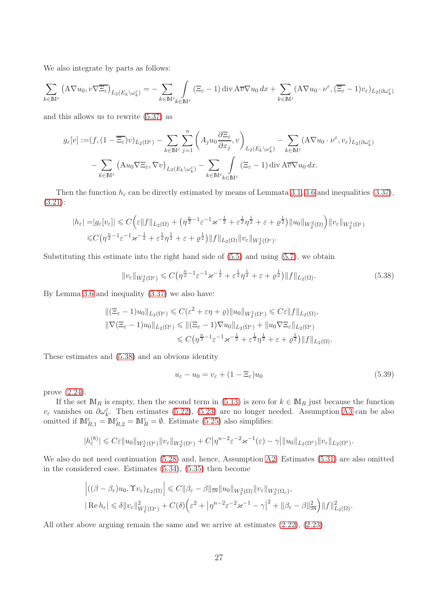We also integrate by parts as follows:

$$
\sum_{k \in \mathbb{M}^{\varepsilon}} \left( \mathbf{A} \nabla u_0, v \nabla \overline{\Xi_{\varepsilon}} \right)_{L_2(E_k \setminus \omega_k^{\varepsilon})} = - \sum_{k \in \mathbb{M}^{\varepsilon}} \int_{k \in \mathbb{M}^{\varepsilon}} (\Xi_{\varepsilon} - 1) \operatorname{div} \mathbf{A} \overline{v} \nabla u_0 \, dx + \sum_{k \in \mathbb{M}^{\varepsilon}} (\mathbf{A} \nabla u_0 \cdot v^{\varepsilon}, (\overline{\Xi_{\varepsilon}} - 1) v_{\varepsilon})_{L_2(\partial \omega_k^{\varepsilon})}
$$

and this allows us to rewrite [\(5.37\)](#page-25-3) as

$$
g_{\varepsilon}[v] := (f, (1 - \overline{\Xi_{\varepsilon}})v)_{L_2(\Omega^{\varepsilon})} - \sum_{k \in \mathbb{M}^{\varepsilon}} \sum_{j=1}^n \left( A_j u_0 \frac{\partial \Xi_{\varepsilon}}{\partial x_j}, v \right)_{L_2(E_k \setminus \omega_k^{\varepsilon})} - \sum_{k \in \mathbb{M}^{\varepsilon}} (A \nabla u_0 \cdot \nu^{\varepsilon}, v_{\varepsilon})_{L_2(\partial \omega_k^{\varepsilon})}
$$

$$
- \sum_{k \in \mathbb{M}^{\varepsilon}} \left( A u_0 \nabla \Xi_{\varepsilon}, \nabla v \right)_{L_2(E_k \setminus \omega_k^{\varepsilon})} - \sum_{k \in \mathbb{M}^{\varepsilon}} \int_{\Sigma \in \mathbb{M}^{\varepsilon}} (\Xi_{\varepsilon} - 1) \operatorname{div} A \overline{v} \nabla u_0 \, dx.
$$

Then the function  $h_{\varepsilon}$  can be directly estimated by means of Lemmata [3.1,](#page-7-4) [3.6](#page-11-9) and inequalities [\(3.37\)](#page-13-2), [\(3.21\)](#page-11-0):

$$
|h_{\varepsilon}| = |g_{\varepsilon}[v_{\varepsilon}]| \leqslant C \Big( \varepsilon \|f\|_{L_2(\Omega)} + \big( \eta^{\frac{n}{2}-1} \varepsilon^{-1} \varkappa^{-\frac{1}{2}} + \varepsilon^{\frac{1}{2}} \eta^{\frac{1}{2}} + \varepsilon + \varrho^{\frac{1}{2}} \big) \|u_0\|_{W_2^2(\Omega)} \Big) \|v_{\varepsilon}\|_{W_2^1(\Omega^{\varepsilon})}
$$
  

$$
\leq C \big( \eta^{\frac{n}{2}-1} \varepsilon^{-1} \varkappa^{-\frac{1}{2}} + \varepsilon^{\frac{1}{2}} \eta^{\frac{1}{2}} + \varepsilon + \varrho^{\frac{1}{2}} \big) \|f\|_{L_2(\Omega)} \|v_{\varepsilon}\|_{W_2^1(\Omega^{\varepsilon})}.
$$

Substituting this estimate into the right hand side of  $(5.5)$  and using  $(5.7)$ , we obtain

<span id="page-26-0"></span>
$$
||v_{\varepsilon}||_{W_2^1(\Omega^{\varepsilon})} \leqslant C \left( \eta^{\frac{n}{2}-1} \varepsilon^{-1} \varkappa^{-\frac{1}{2}} + \varepsilon^{\frac{1}{2}} \eta^{\frac{1}{2}} + \varepsilon + \varrho^{\frac{1}{2}} \right) ||f||_{L_2(\Omega)}.
$$
\n
$$
(5.38)
$$

By Lemma [3.6](#page-11-9) and inequality [\(3.37\)](#page-13-2) we also have:

$$
\begin{aligned} ||(\Xi_{\varepsilon}-1)u_0||_{L_2(\Omega^{\varepsilon})} &\leq C(\varepsilon^2+\varepsilon\eta+\varrho) ||u_0||_{W_2^1(\Omega^{\varepsilon})} \leqslant C\varepsilon||f||_{L_2(\Omega)},\\ ||\nabla(\Xi_{\varepsilon}-1)u_0||_{L_2(\Omega^{\varepsilon})} &\leqslant ||(\Xi_{\varepsilon}-1)\nabla u_0||_{L_2(\Omega^{\varepsilon})}+||u_0\nabla\Xi_{\varepsilon}||_{L_2(\Omega^{\varepsilon})}\\ &\leqslant C\left(\eta^{\frac{n}{2}-1}\varepsilon^{-1}\varkappa^{-\frac{1}{2}}+\varepsilon^{\frac{1}{2}}\eta^{\frac{1}{2}}+\varepsilon+\varrho^{\frac{1}{2}}\right) ||f||_{L_2(\Omega)}. \end{aligned}
$$

These estimates and [\(5.38\)](#page-26-0) and an obvious identity

<span id="page-26-1"></span>
$$
u_{\varepsilon} - u_0 = v_{\varepsilon} + (1 - \Xi_{\varepsilon})u_0 \tag{5.39}
$$

prove [\(2.24\)](#page-5-3).

If the set  $\mathbb{M}_R$  is empty, then the second term in [\(5.13\)](#page-21-2) is zero for  $k \in \mathbb{M}_R$  just because the function  $v_{\varepsilon}$  vanishes on  $\partial \omega_k^{\varepsilon}$ . Then estimates [\(5.22\)](#page-24-0), [\(5.23\)](#page-24-5) are no longer needed. Assumption [A3](#page-4-1) can be also omitted if  $\mathbb{M}_{R,1}^{\varepsilon} = \mathbb{M}_{R,2}^{\varepsilon} = \mathbb{M}_R^{\varepsilon} = \emptyset$ . Estimate [\(5.25\)](#page-24-4) also simplifies:

$$
|h_{\varepsilon}^{(8)}| \leqslant C\varepsilon \|u_0\|_{W_2^1(\Omega^{\varepsilon})} \|v_{\varepsilon}\|_{W_2^1(\Omega^{\varepsilon})} + C\big|\eta^{n-2}\varepsilon^{-2}\varkappa^{-1}(\varepsilon) - \gamma\big| \|u_0\|_{L_2(\Omega^{\varepsilon})} \|v_{\varepsilon}\|_{L_2(\Omega^{\varepsilon})}.
$$

We also do not need continuation  $(5.28)$  and, hence, Assumption [A2.](#page-3-0) Estimates  $(5.31)$  are also omitted in the considered case. Estimates [\(5.34\)](#page-25-4), [\(5.35\)](#page-25-5) then become

$$
\left| ((\beta - \beta_{\varepsilon})u_0, \Upsilon v_{\varepsilon})_{L_2(\Omega)} \right| \leq C \|\beta_{\varepsilon} - \beta\|_{\mathfrak{M}} \|u_0\|_{W_2^2(\Omega)} \|v_{\varepsilon}\|_{W_2^1(\Omega_{\varepsilon})},
$$
  
\n
$$
|\operatorname{Re} h_{\varepsilon}| \leq \delta \|v_{\varepsilon}\|_{W_2^1(\Omega_{\varepsilon})}^2 + C(\delta) \Big( \varepsilon^2 + \left| \eta^{n-2} \varepsilon^{-2} \varkappa^{-1} - \gamma \right|^2 + \|\beta_{\varepsilon} - \beta\|_{\mathfrak{M}}^2 \Big) \|f\|_{L_2(\Omega)}^2.
$$

All other above arguing remain the same and we arrive at estimates [\(2.22\)](#page-5-2), [\(2.23\)](#page-5-1).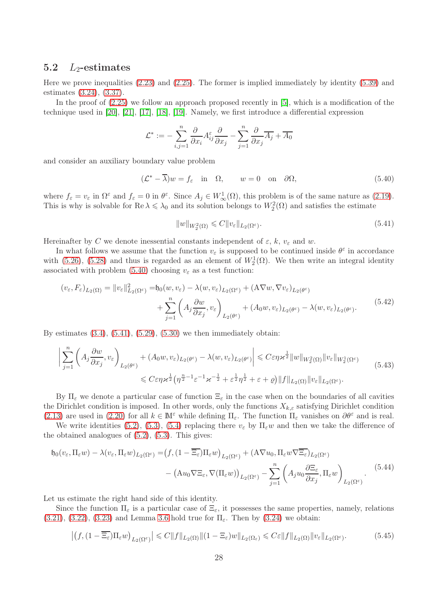#### 5.2  $L_2$ -estimates

Here we prove inequalities [\(2.23\)](#page-5-1) and [\(2.25\)](#page-5-4). The former is implied immediately by identity [\(5.39\)](#page-26-1) and estimates [\(3.24\)](#page-11-3), [\(3.37\)](#page-13-2).

In the proof of  $(2.25)$  we follow an approach proposed recently in [\[5\]](#page-36-12), which is a modification of the technique used in [\[20\]](#page-36-13), [\[21\]](#page-36-14), [\[17\]](#page-36-15), [\[18\]](#page-36-16), [\[19\]](#page-36-17). Namely, we first introduce a differential expression

$$
\mathcal{L}^* := -\sum_{i,j=1}^n \frac{\partial}{\partial x_i} A_{ij}^\varepsilon \frac{\partial}{\partial x_j} - \sum_{j=1}^n \frac{\partial}{\partial x_j} \overline{A_j} + \overline{A_0}
$$

and consider an auxiliary boundary value problem

<span id="page-27-0"></span>
$$
(\mathcal{L}^* - \overline{\lambda})w = f_{\varepsilon} \quad \text{in} \quad \Omega, \qquad w = 0 \quad \text{on} \quad \partial\Omega,
$$
 (5.40)

where  $f_{\varepsilon} = v_{\varepsilon}$  in  $\Omega^{\varepsilon}$  and  $f_{\varepsilon} = 0$  in  $\theta^{\varepsilon}$ . Since  $A_j \in W^1_{\infty}(\Omega)$ , this problem is of the same nature as  $(2.19)$ . This is why is solvable for  $\text{Re }\lambda \leq \lambda_0$  and its solution belongs to  $W_2^2(\Omega)$  and satisfies the estimate

<span id="page-27-1"></span>
$$
||w||_{W_2^2(\Omega)} \leqslant C||v_{\varepsilon}||_{L_2(\Omega^{\varepsilon})}.
$$
\n
$$
(5.41)
$$

Hereinafter by C we denote inessential constants independent of  $\varepsilon$ ,  $k$ ,  $v_{\varepsilon}$  and w.

In what follows we assume that the function  $v_{\varepsilon}$  is supposed to be continued inside  $\theta^{\varepsilon}$  in accordance with [\(5.26\)](#page-24-3), [\(5.28\)](#page-24-6) and thus is regarded as an element of  $W_2^1(\Omega)$ . We then write an integral identity associated with problem [\(5.40\)](#page-27-0) choosing  $v_{\varepsilon}$  as a test function:

<span id="page-27-4"></span>
$$
(v_{\varepsilon}, F_{\varepsilon})_{L_2(\Omega)} = ||v_{\varepsilon}||_{L_2(\Omega^{\varepsilon})}^2 = \mathfrak{h}_0(w, v_{\varepsilon}) - \lambda(w, v_{\varepsilon})_{L_2(\Omega^{\varepsilon})} + (\mathbf{A}\nabla w, \nabla v_{\varepsilon})_{L_2(\theta^{\varepsilon})} + \sum_{j=1}^n \left( A_j \frac{\partial w}{\partial x_j}, v_{\varepsilon} \right)_{L_2(\theta^{\varepsilon})} + (A_0 w, v_{\varepsilon})_{L_2(\theta^{\varepsilon})} - \lambda(w, v_{\varepsilon})_{L_2(\theta^{\varepsilon})}.
$$
\n(5.42)

By estimates  $(3.4)$ ,  $(5.41)$ ,  $(5.29)$ ,  $(5.30)$  we then immediately obtain:

<span id="page-27-5"></span>
$$
\left| \sum_{j=1}^{n} \left( A_j \frac{\partial w}{\partial x_j}, v_{\varepsilon} \right)_{L_2(\theta^{\varepsilon})} + (A_0 w, v_{\varepsilon})_{L_2(\theta^{\varepsilon})} - \lambda(w, v_{\varepsilon})_{L_2(\theta^{\varepsilon})} \right| \leqslant C \varepsilon \eta \varkappa^{\frac{1}{2}} \|w\|_{W_2^2(\Omega)} \|v_{\varepsilon}\|_{W_2^1(\Omega^{\varepsilon})}
$$
\n
$$
\leqslant C \varepsilon \eta \varkappa^{\frac{1}{2}} \left( \eta^{\frac{n}{2}-1} \varepsilon^{-1} \varkappa^{-\frac{1}{2}} + \varepsilon^{\frac{1}{2}} \eta^{\frac{1}{2}} + \varepsilon + \varrho \right) \|f\|_{L_2(\Omega)} \|v_{\varepsilon}\|_{L_2(\Omega^{\varepsilon})}.
$$
\n(5.43)

By  $\Pi_{\varepsilon}$  we denote a particular case of function  $\Xi_{\varepsilon}$  in the case when on the boundaries of all cavities the Dirichlet condition is imposed. In other words, only the functions  $X_{k,\varepsilon}$  satisfying Dirichlet condition [\(2.13\)](#page-4-5) are used in [\(2.20\)](#page-5-6) for all  $k \in \mathbb{M}^{\varepsilon}$  while defining  $\Pi_{\varepsilon}$ . The function  $\Pi_{\varepsilon}$  vanishes on  $\partial \theta^{\varepsilon}$  and is real.

We write identities [\(5.2\)](#page-20-0), [\(5.3\)](#page-20-1), [\(5.4\)](#page-20-5) replacing there  $v_{\varepsilon}$  by  $\Pi_{\varepsilon}w$  and then we take the difference of the obtained analogues of  $(5.2)$ ,  $(5.3)$ . This gives:

<span id="page-27-2"></span>
$$
\mathfrak{h}_0(v_\varepsilon, \Pi_\varepsilon w) - \lambda(v_\varepsilon, \Pi_\varepsilon w)_{L_2(\Omega^\varepsilon)} = (f, (1 - \overline{\Xi_\varepsilon}) \Pi_\varepsilon w)_{L_2(\Omega^\varepsilon)} + (\Lambda \nabla u_0, \Pi_\varepsilon w \nabla \overline{\Xi_\varepsilon})_{L_2(\Omega^\varepsilon)}
$$

$$
- (\Lambda u_0 \nabla \Xi_\varepsilon, \nabla (\Pi_\varepsilon w))_{L_2(\Omega^\varepsilon)} - \sum_{j=1}^n \left( A_j u_0 \frac{\partial \Xi_\varepsilon}{\partial x_j}, \Pi_\varepsilon w \right)_{L_2(\Omega^\varepsilon)}.
$$
(5.44)

Let us estimate the right hand side of this identity.

Since the function  $\Pi_{\varepsilon}$  is a particular case of  $\Xi_{\varepsilon}$ , it possesses the same properties, namely, relations  $(3.21), (3.22), (3.23)$  $(3.21), (3.22), (3.23)$  $(3.21), (3.22), (3.23)$  $(3.21), (3.22), (3.23)$  $(3.21), (3.22), (3.23)$  and Lemma [3.6](#page-11-9) hold true for  $\Pi_{\varepsilon}$ . Then by  $(3.24)$  we obtain:

<span id="page-27-3"></span>
$$
\left| \left( f, (1 - \overline{\Xi_{\varepsilon}}) \Pi_{\varepsilon} w \right)_{L_2(\Omega^{\varepsilon})} \right| \leq C \| f \|_{L_2(\Omega)} \| (1 - \Xi_{\varepsilon}) w \|_{L_2(\Omega_{\varepsilon})} \leq C \varepsilon \| f \|_{L_2(\Omega)} \| v_{\varepsilon} \|_{L_2(\Omega^{\varepsilon})}.
$$
 (5.45)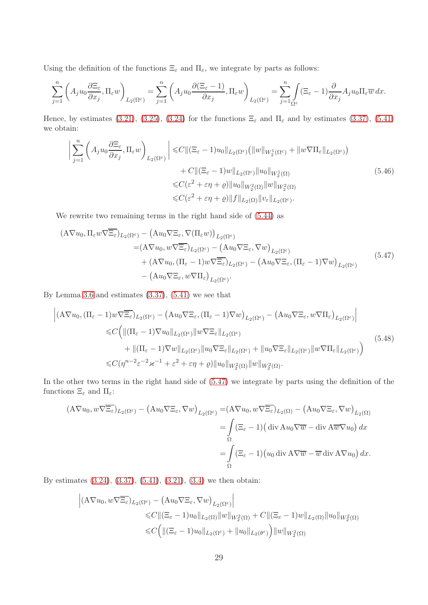Using the definition of the functions  $\Xi_{\varepsilon}$  and  $\Pi_{\varepsilon}$ , we integrate by parts as follows:

$$
\sum_{j=1}^n \left( A_j u_0 \frac{\partial \Xi_\varepsilon}{\partial x_j}, \Pi_\varepsilon w \right)_{L_2(\Omega^\varepsilon)} = \sum_{j=1}^n \left( A_j u_0 \frac{\partial (\Xi_\varepsilon - 1)}{\partial x_j}, \Pi_\varepsilon w \right)_{L_2(\Omega^\varepsilon)} = \sum_{j=1}^n \int_{\Omega^\varepsilon} (\Xi_\varepsilon - 1) \frac{\partial}{\partial x_j} A_j u_0 \Pi_\varepsilon \overline{w} \, dx.
$$

Hence, by estimates [\(3.21\)](#page-11-0), [\(3.25\)](#page-11-4), [\(3.24\)](#page-11-3) for the functions  $\Xi_{\varepsilon}$  and  $\Pi_{\varepsilon}$  and by estimates [\(3.37\)](#page-13-2), [\(5.41\)](#page-27-1) we obtain:

<span id="page-28-1"></span>
$$
\left| \sum_{j=1}^{n} \left( A_j u_0 \frac{\partial \Xi_{\varepsilon}}{\partial x_j}, \Pi_{\varepsilon} w \right)_{L_2(\Omega^{\varepsilon})} \right| \leq C \| (\Xi_{\varepsilon} - 1) u_0 \|_{L_2(\Omega^{\varepsilon})} \left( \|w\|_{W_2^1(\Omega^{\varepsilon})} + \|w \nabla \Pi_{\varepsilon}\|_{L_2(\Omega^{\varepsilon})} \right) + C \| (\Xi_{\varepsilon} - 1) w \|_{L_2(\Omega^{\varepsilon})} \|u_0\|_{W_2^1(\Omega)} \leq C (\varepsilon^2 + \varepsilon \eta + \varrho) \|u_0\|_{W_2^2(\Omega)} \|w\|_{W_2^2(\Omega)} \leq C (\varepsilon^2 + \varepsilon \eta + \varrho) \|f\|_{L_2(\Omega)} \|v_{\varepsilon}\|_{L_2(\Omega^{\varepsilon})}.
$$
\n(5.46)

We rewrite two remaining terms in the right hand side of [\(5.44\)](#page-27-2) as

<span id="page-28-0"></span>
$$
(A\nabla u_0, \Pi_{\varepsilon} w \nabla \overline{\Xi_{\varepsilon}})_{L_2(\Omega^{\varepsilon})} - (Au_0 \nabla \Xi_{\varepsilon}, \nabla (\Pi_{\varepsilon} w))_{L_2(\Omega^{\varepsilon})}
$$
  
\n
$$
= (A \nabla u_0, w \nabla \overline{\Xi_{\varepsilon}})_{L_2(\Omega^{\varepsilon})} - (Au_0 \nabla \Xi_{\varepsilon}, \nabla w)_{L_2(\Omega^{\varepsilon})}
$$
  
\n
$$
+ (A \nabla u_0, (\Pi_{\varepsilon} - 1) w \nabla \overline{\Xi_{\varepsilon}})_{L_2(\Omega^{\varepsilon})} - (Au_0 \nabla \Xi_{\varepsilon}, (\Pi_{\varepsilon} - 1) \nabla w)_{L_2(\Omega^{\varepsilon})}
$$
  
\n
$$
- (Au_0 \nabla \Xi_{\varepsilon}, w \nabla \Pi_{\varepsilon})_{L_2(\Omega^{\varepsilon})}.
$$
\n(5.47)

By Lemma [3.6](#page-11-9) and estimates  $(3.37)$ ,  $(5.41)$  we see that

<span id="page-28-2"></span>
$$
\begin{split}\n\left| (\mathbf{A} \nabla u_0, (\Pi_{\varepsilon} - 1) w \nabla \overline{\Xi_{\varepsilon}})_{L_2(\Omega^{\varepsilon})} - (\mathbf{A} u_0 \nabla \Xi_{\varepsilon}, (\Pi_{\varepsilon} - 1) \nabla w)_{L_2(\Omega^{\varepsilon})} - (\mathbf{A} u_0 \nabla \Xi_{\varepsilon}, w \nabla \Pi_{\varepsilon})_{L_2(\Omega^{\varepsilon})} \right| \\
&\leq C \Big( \| (\Pi_{\varepsilon} - 1) \nabla u_0 \|_{L_2(\Omega^{\varepsilon})} \| w \nabla \Xi_{\varepsilon} \|_{L_2(\Omega^{\varepsilon})} \\
&\quad + \| (\Pi_{\varepsilon} - 1) \nabla w \|_{L_2(\Omega^{\varepsilon})} \| u_0 \nabla \Xi_{\varepsilon} \|_{L_2(\Omega^{\varepsilon})} + \| u_0 \nabla \Xi_{\varepsilon} \|_{L_2(\Omega^{\varepsilon})} \| w \nabla \Pi_{\varepsilon} \|_{L_2(\Omega^{\varepsilon})} \Big)\n\end{split} \tag{5.48}
$$

In the other two terms in the right hand side of [\(5.47\)](#page-28-0) we integrate by parts using the definition of the functions  $\Xi_\varepsilon$  and  $\Pi_\varepsilon\text{:}$ 

$$
\begin{split} (\mathbf{A}\nabla u_0, w\nabla \overline{\Xi_{\varepsilon}})_{L_2(\Omega^{\varepsilon})} - \left(\mathbf{A}u_0\nabla \Xi_{\varepsilon}, \nabla w\right)_{L_2(\Omega^{\varepsilon})} &= (\mathbf{A}\nabla u_0, w\nabla \overline{\Xi_{\varepsilon}})_{L_2(\Omega)} - \left(\mathbf{A}u_0\nabla \Xi_{\varepsilon}, \nabla w\right)_{L_2(\Omega)} \\ &= \int_{\Omega} (\Xi_{\varepsilon} - 1) \left(\operatorname{div} \mathbf{A}u_0\nabla \overline{w} - \operatorname{div} \mathbf{A} \overline{w} \nabla u_0\right) dx \\ &= \int_{\Omega} (\Xi_{\varepsilon} - 1) \left(u_0 \operatorname{div} \mathbf{A} \nabla \overline{w} - \overline{w} \operatorname{div} \mathbf{A} \nabla u_0\right) dx. \end{split}
$$

By estimates [\(3.24\)](#page-11-3), [\(3.37\)](#page-13-2), [\(5.41\)](#page-27-1), [\(3.21\)](#page-11-0), [\(3.4\)](#page-8-5) we then obtain:

$$
\left| (\mathbf{A} \nabla u_0, w \nabla \overline{\Xi_{\varepsilon}})_{L_2(\Omega^{\varepsilon})} - (\mathbf{A} u_0 \nabla \Xi_{\varepsilon}, \nabla w)_{L_2(\Omega^{\varepsilon})} \right|
$$
  
\n
$$
\leq C \| (\Xi_{\varepsilon} - 1) u_0 \|_{L_2(\Omega)} \|w\|_{W_2^2(\Omega)} + C \| (\Xi_{\varepsilon} - 1) w \|_{L_2(\Omega)} \|u_0\|_{W_2^2(\Omega)}
$$
  
\n
$$
\leq C \Big( \| (\Xi_{\varepsilon} - 1) u_0 \|_{L_2(\Omega^{\varepsilon})} + \|u_0 \|_{L_2(\theta^{\varepsilon})} \Big) \|w\|_{W_2^2(\Omega)}
$$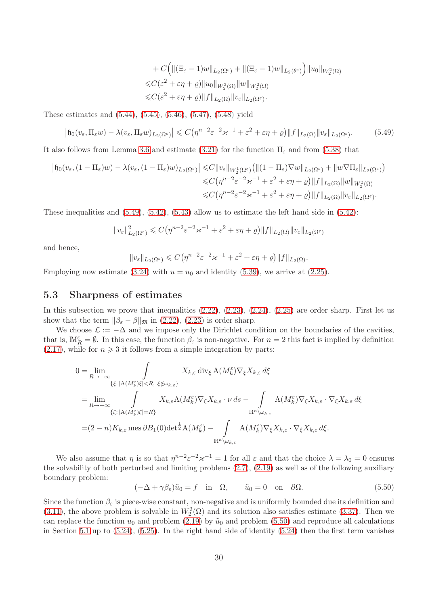$$
+ C \Big( \| (\Xi_{\varepsilon} - 1) w \|_{L_2(\Omega^{\varepsilon})} + \| (\Xi_{\varepsilon} - 1) w \|_{L_2(\theta^{\varepsilon})} \Big) \| u_0 \|_{W_2^2(\Omega)}
$$
  

$$
\leq C (\varepsilon^2 + \varepsilon \eta + \varrho) \| u_0 \|_{W_2^2(\Omega)} \| w \|_{W_2^2(\Omega)}
$$
  

$$
\leq C (\varepsilon^2 + \varepsilon \eta + \varrho) \| f \|_{L_2(\Omega)} \| v_{\varepsilon} \|_{L_2(\Omega^{\varepsilon})}.
$$

These estimates and [\(5.44\)](#page-27-2), [\(5.45\)](#page-27-3), [\(5.46\)](#page-28-1), [\(5.47\)](#page-28-0), [\(5.48\)](#page-28-2) yield

<span id="page-29-0"></span>
$$
\left|\mathfrak{h}_0(v_\varepsilon,\Pi_\varepsilon w)-\lambda(v_\varepsilon,\Pi_\varepsilon w)_{L_2(\Omega^\varepsilon)}\right|\leqslant C\left(\eta^{n-2}\varepsilon^{-2}\varkappa^{-1}+\varepsilon^2+\varepsilon\eta+\varrho\right)\|f\|_{L_2(\Omega)}\|v_\varepsilon\|_{L_2(\Omega^\varepsilon)}.\tag{5.49}
$$

It also follows from Lemma [3.6](#page-11-9) and estimate [\(3.21\)](#page-11-0) for the function  $\Pi_{\varepsilon}$  and from [\(5.38\)](#page-26-0) that

$$
\begin{split} \left| \mathfrak{h}_0(v_{\varepsilon}, (1-\Pi_{\varepsilon})w) - \lambda(v_{\varepsilon}, (1-\Pi_{\varepsilon})w)_{L_2(\Omega^{\varepsilon})} \right| &\leqslant C \|v_{\varepsilon}\|_{W_2^1(\Omega^{\varepsilon})} \big( \| (1-\Pi_{\varepsilon})\nabla w \|_{L_2(\Omega^{\varepsilon})} + \| w \nabla \Pi_{\varepsilon} \|_{L_2(\Omega^{\varepsilon})} \big) \\ &\leqslant C \big( \eta^{n-2} \varepsilon^{-2} \varkappa^{-1} + \varepsilon^2 + \varepsilon \eta + \varrho \big) \| f \|_{L_2(\Omega)} \| w \|_{W_2^2(\Omega)} \\ &\leqslant C \big( \eta^{n-2} \varepsilon^{-2} \varkappa^{-1} + \varepsilon^2 + \varepsilon \eta + \varrho \big) \| f \|_{L_2(\Omega)} \| v_{\varepsilon} \|_{L_2(\Omega^{\varepsilon})} . \end{split}
$$

These inequalities and  $(5.49)$ ,  $(5.42)$ ,  $(5.43)$  allow us to estimate the left hand side in  $(5.42)$ :

$$
||v_{\varepsilon}||_{L_2(\Omega^{\varepsilon})}^2 \leq C(\eta^{n-2}\varepsilon^{-2}\varkappa^{-1} + \varepsilon^2 + \varepsilon\eta + \varrho) ||f||_{L_2(\Omega)} ||v_{\varepsilon}||_{L_2(\Omega^{\varepsilon})}
$$

and hence,

$$
||v_{\varepsilon}||_{L_2(\Omega^{\varepsilon})} \leqslant C(\eta^{n-2}\varepsilon^{-2}\varkappa^{-1}+\varepsilon^2+\varepsilon\eta+\varrho)||f||_{L_2(\Omega)}.
$$

Employing now estimate [\(3.24\)](#page-11-3) with  $u = u_0$  and identity [\(5.39\)](#page-26-1), we arrive at [\(2.25\)](#page-5-4).

#### 5.3 Sharpness of estimates

In this subsection we prove that inequalities  $(2.22)$ ,  $(2.23)$ ,  $(2.24)$ ,  $(2.25)$  are order sharp. First let us show that the term  $\|\beta_{\varepsilon} - \beta\|_{\mathfrak{M}}$  in [\(2.22\)](#page-5-2), [\(2.23\)](#page-5-1) is order sharp.

We choose  $\mathcal{L} := -\Delta$  and we impose only the Dirichlet condition on the boundaries of the cavities, that is,  $\mathbb{M}_R^{\varepsilon} = \emptyset$ . In this case, the function  $\beta_{\varepsilon}$  is non-negative. For  $n = 2$  this fact is implied by definition  $(2.17)$ , while for  $n \geq 3$  it follows from a simple integration by parts:

$$
0 = \lim_{R \to +\infty} \int_{\{\xi : |A(M_k^{\varepsilon})\xi| < R, \xi \notin \omega_{k,\varepsilon}\}} X_{k,\varepsilon} \operatorname{div}_{\xi} A(M_k^{\varepsilon}) \nabla_{\xi} X_{k,\varepsilon} d\xi
$$
\n
$$
= \lim_{R \to +\infty} \int_{\{\xi : |A(M_k^{\varepsilon})\xi| = R\}} X_{k,\varepsilon} A(M_k^{\varepsilon}) \nabla_{\xi} X_{k,\varepsilon} \cdot \nu \, ds - \int_{R^n \setminus \omega_{k,\varepsilon}} A(M_k^{\varepsilon}) \nabla_{\xi} X_{k,\varepsilon} \cdot \nabla_{\xi} X_{k,\varepsilon} d\xi
$$
\n
$$
= (2 - n) K_{k,\varepsilon} \operatorname{mes} \partial B_1(0) \det^{\frac{1}{2}} A(M_k^{\varepsilon}) - \int_{R^n \setminus \omega_{k,\varepsilon}} A(M_k^{\varepsilon}) \nabla_{\xi} X_{k,\varepsilon} \cdot \nabla_{\xi} X_{k,\varepsilon} d\xi.
$$

We also assume that  $\eta$  is so that  $\eta^{n-2} \varepsilon^{-2} \varkappa^{-1} = 1$  for all  $\varepsilon$  and that the choice  $\lambda = \lambda_0 = 0$  ensures the solvability of both perturbed and limiting problems [\(2.7\)](#page-2-0), [\(2.19\)](#page-5-0) as well as of the following auxiliary boundary problem:

<span id="page-29-1"></span>
$$
(-\Delta + \gamma \beta_{\varepsilon})\tilde{u}_0 = f \quad \text{in} \quad \Omega, \qquad \tilde{u}_0 = 0 \quad \text{on} \quad \partial\Omega. \tag{5.50}
$$

Since the function  $\beta_{\varepsilon}$  is piece-wise constant, non-negative and is uniformly bounded due its definition and [\(3.11\)](#page-9-1), the above problem is solvable in  $W_2^2(\Omega)$  and its solution also satisfies estimate [\(3.37\)](#page-13-2). Then we can replace the function  $u_0$  and problem [\(2.19\)](#page-5-0) by  $\tilde{u}_0$  and problem [\(5.50\)](#page-29-1) and reproduce all calculations in Section [5.1](#page-19-1) up to [\(5.24\)](#page-24-1), [\(5.25\)](#page-24-4). In the right hand side of identity [\(5.24\)](#page-24-1) then the first term vanishes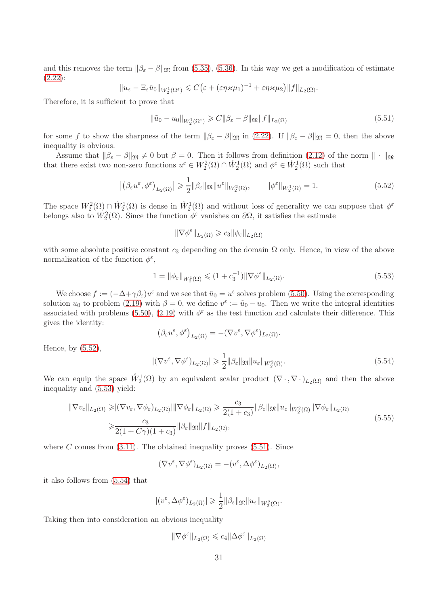and this removes the term  $\|\beta_{\varepsilon} - \beta\|_{\mathfrak{M}}$  from [\(5.35\)](#page-25-5), [\(5.36\)](#page-25-8). In this way we get a modification of estimate [\(2.22\)](#page-5-2):

$$
||u_{\varepsilon}-\Xi_{\varepsilon}\tilde{u}_0||_{W_2^1(\Omega^{\varepsilon})}\leqslant C\big(\varepsilon+(\varepsilon\eta\varkappa\mu_1)^{-1}+\varepsilon\eta\varkappa\mu_2\big)||f||_{L_2(\Omega)}.
$$

Therefore, it is sufficient to prove that

<span id="page-30-2"></span>
$$
\|\tilde{u}_0 - u_0\|_{W_2^1(\Omega^\varepsilon)} \geqslant C \|\beta_\varepsilon - \beta\|_{\mathfrak{M}} \|f\|_{L_2(\Omega)} \tag{5.51}
$$

for some f to show the sharpness of the term  $\|\beta_{\varepsilon} - \beta\|_{\mathfrak{M}}$  in [\(2.22\)](#page-5-2). If  $\|\beta_{\varepsilon} - \beta\|_{\mathfrak{M}} = 0$ , then the above inequality is obvious.

Assume that  $\|\beta_{\varepsilon} - \beta\|_{\mathfrak{M}} \neq 0$  but  $\beta = 0$ . Then it follows from definition [\(2.12\)](#page-3-3) of the norm  $\|\cdot\|_{\mathfrak{M}}$ that there exist two non-zero functions  $u^{\varepsilon} \in W_2^2(\Omega) \cap W_2^1(\Omega)$  and  $\phi^{\varepsilon} \in W_2^1(\Omega)$  such that

<span id="page-30-0"></span>
$$
\left| \left( \beta_{\varepsilon} u^{\varepsilon}, \phi^{\varepsilon} \right)_{L_2(\Omega)} \right| \geq \frac{1}{2} \| \beta_{\varepsilon} \|_{\mathfrak{M}} \| u^{\varepsilon} \|_{W_2^2(\Omega)}, \qquad \| \phi^{\varepsilon} \|_{W_2^1(\Omega)} = 1.
$$
 (5.52)

The space  $W_2^2(\Omega) \cap \mathring{W}_2^1(\Omega)$  is dense in  $\mathring{W}_2^1(\Omega)$  and without loss of generality we can suppose that  $\phi^{\varepsilon}$ belongs also to  $W_2^2(\Omega)$ . Since the function  $\phi^{\varepsilon}$  vanishes on  $\partial\Omega$ , it satisfies the estimate

 $\|\nabla \phi^{\varepsilon}\|_{L_2(\Omega)} \geqslant c_3 \|\phi_{\varepsilon}\|_{L_2(\Omega)}$ 

with some absolute positive constant  $c_3$  depending on the domain  $\Omega$  only. Hence, in view of the above normalization of the function  $\phi^{\varepsilon}$ ,

<span id="page-30-1"></span>
$$
1 = \|\phi_{\varepsilon}\|_{W_2^1(\Omega)} \leq (1 + c_3^{-1}) \|\nabla \phi^{\varepsilon}\|_{L_2(\Omega)}.
$$
\n(5.53)

We choose  $f := (-\Delta + \gamma \beta_{\varepsilon}) u^{\varepsilon}$  and we see that  $\tilde{u}_0 = u^{\varepsilon}$  solves problem [\(5.50\)](#page-29-1). Using the corresponding solution  $u_0$  to problem [\(2.19\)](#page-5-0) with  $\beta = 0$ , we define  $v^{\varepsilon} := \tilde{u}_0 - u_0$ . Then we write the integral identities associated with problems [\(5.50\)](#page-29-1), [\(2.19\)](#page-5-0) with  $\phi^{\epsilon}$  as the test function and calculate their difference. This gives the identity:

$$
\left(\beta_{\varepsilon}u^{\varepsilon},\phi^{\varepsilon}\right)_{L_{2}(\Omega)} = -(\nabla v^{\varepsilon},\nabla\phi^{\varepsilon})_{L_{2}(\Omega)}.
$$

Hence, by [\(5.52\)](#page-30-0),

<span id="page-30-3"></span>
$$
|(\nabla v^{\varepsilon}, \nabla \phi^{\varepsilon})_{L_2(\Omega)}| \geq \frac{1}{2} ||\beta_{\varepsilon}||_{\mathfrak{M}} ||u_{\varepsilon}||_{W_2^2(\Omega)}.
$$
\n(5.54)

We can equip the space  $\mathring{W}^1_2(\Omega)$  by an equivalent scalar product  $(\nabla \cdot, \nabla \cdot)_{L_2(\Omega)}$  and then the above inequality and [\(5.53\)](#page-30-1) yield:

<span id="page-30-4"></span>
$$
\|\nabla v_{\varepsilon}\|_{L_2(\Omega)} \geqslant |(\nabla v_{\varepsilon}, \nabla \phi_{\varepsilon})_{L_2(\Omega)}| \|\nabla \phi_{\varepsilon}\|_{L_2(\Omega)} \geqslant \frac{c_3}{2(1+c_3)} \|\beta_{\varepsilon}\|_{\mathfrak{M}} \|u_{\varepsilon}\|_{W_2^2(\Omega)} \|\nabla \phi_{\varepsilon}\|_{L_2(\Omega)}
$$
\n
$$
\geqslant \frac{c_3}{2(1+C\gamma)(1+c_3)} \|\beta_{\varepsilon}\|_{\mathfrak{M}} \|f\|_{L_2(\Omega)},
$$
\n(5.55)

where C comes from  $(3.11)$ . The obtained inequality proves  $(5.51)$ . Since

$$
(\nabla v^{\varepsilon}, \nabla \phi^{\varepsilon})_{L_2(\Omega)} = -(v^{\varepsilon}, \Delta \phi^{\varepsilon})_{L_2(\Omega)},
$$

it also follows from [\(5.54\)](#page-30-3) that

$$
|(v^{\varepsilon},\Delta\phi^{\varepsilon})_{L_2(\Omega)}|\geqslant \frac{1}{2}\|\beta_{\varepsilon}\|_{\mathfrak{M}}\|u_{\varepsilon}\|_{W^2_2(\Omega)}.
$$

Taking then into consideration an obvious inequality

$$
\|\nabla \phi^{\varepsilon}\|_{L_2(\Omega)} \leqslant c_4 \|\Delta \phi^{\varepsilon}\|_{L_2(\Omega)}
$$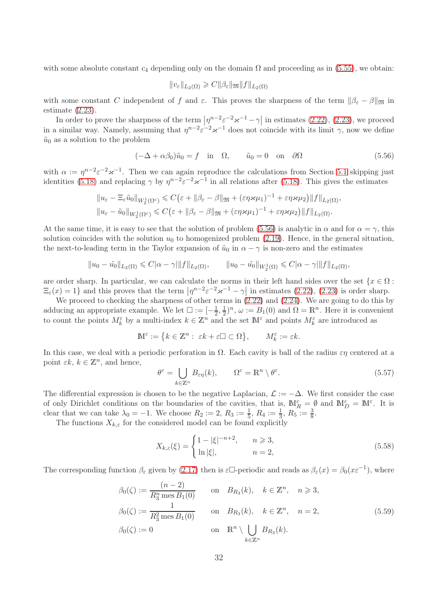with some absolute constant  $c_4$  depending only on the domain  $\Omega$  and proceeding as in [\(5.55\)](#page-30-4), we obtain:

$$
||v_{\varepsilon}||_{L_2(\Omega)} \geqslant C||\beta_{\varepsilon}||\mathfrak{M}||f||_{L_2(\Omega)}
$$

with some constant C independent of f and  $\varepsilon$ . This proves the sharpness of the term  $\|\beta_{\varepsilon} - \beta\|_{\mathfrak{M}}$  in estimate [\(2.23\)](#page-5-1).

In order to prove the sharpness of the term  $|\eta^{n-2} \varepsilon^{-2} \varkappa^{-1} - \gamma|$  in estimates [\(2.22\)](#page-5-2), [\(2.23\)](#page-5-1), we proceed in a similar way. Namely, assuming that  $\eta^{n-2} \varepsilon^{-2} \varkappa^{-1}$  does not coincide with its limit  $\gamma$ , now we define  $\tilde{u}_0$  as a solution to the problem

<span id="page-31-0"></span>
$$
(-\Delta + \alpha \beta_0)\tilde{u}_0 = f \quad \text{in} \quad \Omega, \qquad \tilde{u}_0 = 0 \quad \text{on} \quad \partial \Omega \tag{5.56}
$$

with  $\alpha := \eta^{n-2} \varepsilon^{-2} \varkappa^{-1}$ . Then we can again reproduce the calculations from Section [5.1](#page-19-1) skipping just identities [\(5.18\)](#page-22-4) and replacing  $\gamma$  by  $\eta^{n-2} \varepsilon^{-2} \varkappa^{-1}$  in all relations after (5.18). This gives the estimates

$$
||u_{\varepsilon}-\Xi_{\varepsilon}\tilde{u}_0||_{W_2^1(\Omega^{\varepsilon})}\leqslant C\big(\varepsilon+\|\beta_{\varepsilon}-\beta\|_{\mathfrak{M}}+(\varepsilon\eta\varkappa\mu_1)^{-1}+\varepsilon\eta\varkappa\mu_2\big)\|f\|_{L_2(\Omega)},
$$
  

$$
||u_{\varepsilon}-\tilde{u}_0||_{W_2^1(\Omega^{\varepsilon})}\leqslant C\big(\varepsilon+\|\beta_{\varepsilon}-\beta\|_{\mathfrak{M}}+(\varepsilon\eta\varkappa\mu_1)^{-1}+\varepsilon\eta\varkappa\mu_2\big)\|f\|_{L_2(\Omega)}.
$$

At the same time, it is easy to see that the solution of problem [\(5.56\)](#page-31-0) is analytic in  $\alpha$  and for  $\alpha = \gamma$ , this solution coincides with the solution  $u_0$  to homogenized problem [\(2.19\)](#page-5-0). Hence, in the general situation, the next-to-leading term in the Taylor expansion of  $\tilde{u}_0$  in  $\alpha - \gamma$  is non-zero and the estimates

$$
||u_0 - \tilde{u_0}||_{L_2(\Omega)} \leq C|\alpha - \gamma| ||f||_{L_2(\Omega)}, \qquad ||u_0 - \tilde{u_0}||_{W_2^1(\Omega)} \leq C|\alpha - \gamma| ||f||_{L_2(\Omega)},
$$

are order sharp. In particular, we can calculate the norms in their left hand sides over the set  $\{x \in \Omega :$  $\Xi_{\varepsilon}(x) = 1$  and this proves that the term  $\left|\eta^{n-2}\varepsilon^{-2}\varkappa^{-1} - \gamma\right|$  in estimates [\(2.22\)](#page-5-2), [\(2.23\)](#page-5-1) is order sharp.

We proceed to checking the sharpness of other terms in  $(2.22)$  and  $(2.24)$ . We are going to do this by adducing an appropriate example. We let  $\square := \left[-\frac{1}{2}\right]$  $\frac{1}{2}, \frac{1}{2}$  $(\frac{1}{2})^n$ ,  $\omega := B_1(0)$  and  $\Omega = \mathbb{R}^n$ . Here it is convenient to count the points  $M_k^{\varepsilon}$  by a multi-index  $k \in \mathbb{Z}^n$  and the set  $\mathbb{M}^{\varepsilon}$  and points  $M_k^{\varepsilon}$  are introduced as

$$
\mathbb{M}^\varepsilon:=\big\{k\in\mathbb{Z}^n:\ \varepsilon k+\varepsilon\square\subset\Omega\big\},\qquad M^\varepsilon_k:=\varepsilon k.
$$

In this case, we deal with a periodic perforation in  $\Omega$ . Each cavity is ball of the radius *εη* centered at a point  $\epsilon k, k \in \mathbb{Z}^n$ , and hence,

<span id="page-31-2"></span>
$$
\theta^{\varepsilon} = \bigcup_{k \in \mathbb{Z}^n} B_{\varepsilon \eta}(k), \qquad \Omega^{\varepsilon} = \mathbb{R}^n \setminus \theta^{\varepsilon}.
$$
 (5.57)

The differential expression is chosen to be the negative Laplacian,  $\mathcal{L} := -\Delta$ . We first consider the case of only Dirichlet conditions on the boundaries of the cavities, that is,  $\mathbb{M}_{R}^{\varepsilon} = \emptyset$  and  $\mathbb{M}_{D}^{\varepsilon} = \mathbb{M}^{\varepsilon}$ . It is clear that we can take  $\lambda_0 = -1$ . We choose  $R_2 := 2$ ,  $R_3 := \frac{1}{5}$ ,  $R_4 := \frac{1}{3}$ ,  $R_5 := \frac{3}{8}$ .

The functions  $X_{k,\varepsilon}$  for the considered model can be found explicitly

<span id="page-31-1"></span>
$$
X_{k,\varepsilon}(\xi) = \begin{cases} 1 - |\xi|^{-n+2}, & n \ge 3, \\ \ln |\xi|, & n = 2, \end{cases}
$$
 (5.58)

The corresponding function  $\beta_{\varepsilon}$  given by [\(2.17\)](#page-4-3) then is  $\varepsilon\Box$ -periodic and reads as  $\beta_{\varepsilon}(x) = \beta_0(x\varepsilon^{-1})$ , where

<span id="page-31-3"></span>
$$
\beta_0(\zeta) := \frac{(n-2)}{R_3^n \operatorname{mes} B_1(0)} \quad \text{on} \quad B_{R_3}(k), \quad k \in \mathbb{Z}^n, \quad n \ge 3,
$$
  
\n
$$
\beta_0(\zeta) := \frac{1}{R_3^2 \operatorname{mes} B_1(0)} \quad \text{on} \quad B_{R_3}(k), \quad k \in \mathbb{Z}^n, \quad n = 2,
$$
  
\n
$$
\beta_0(\zeta) := 0 \quad \text{on} \quad \mathbb{R}^n \setminus \bigcup_{k \in \mathbb{Z}^n} B_{R_3}(k).
$$
\n(5.59)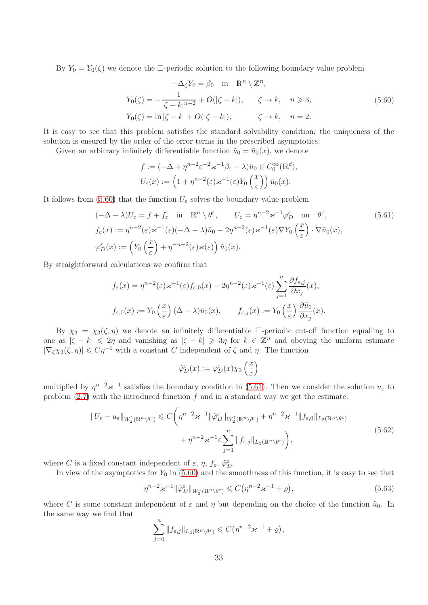By  $Y_0 = Y_0(\zeta)$  we denote the  $\Box$ -periodic solution to the following boundary value problem

<span id="page-32-0"></span>
$$
-\Delta_{\zeta} Y_0 = \beta_0 \quad \text{in} \quad \mathbb{R}^n \setminus \mathbb{Z}^n,
$$
  
\n
$$
Y_0(\zeta) = -\frac{1}{|\zeta - k|^{n-2}} + O(|\zeta - k|), \qquad \zeta \to k, \quad n \ge 3,
$$
  
\n
$$
Y_0(\zeta) = \ln |\zeta - k| + O(|\zeta - k|), \qquad \zeta \to k, \quad n = 2.
$$
  
\n(5.60)

It is easy to see that this problem satisfies the standard solvability condition; the uniqueness of the solution is ensured by the order of the error terms in the prescribed asymptotics.

Given an arbitrary infinitely differentiable function  $\tilde{u}_0 = \tilde{u}_0(x)$ , we denote

<span id="page-32-1"></span>
$$
f := (-\Delta + \eta^{n-2} \varepsilon^{-2} \varkappa^{-1} \beta_{\varepsilon} - \lambda) \tilde{u}_0 \in C_0^{\infty}(\mathbb{R}^d),
$$
  

$$
U_{\varepsilon}(x) := \left(1 + \eta^{n-2}(\varepsilon) \varkappa^{-1}(\varepsilon) Y_0\left(\frac{x}{\varepsilon}\right)\right) \tilde{u}_0(x).
$$

It follows from [\(5.60\)](#page-32-0) that the function  $U_{\varepsilon}$  solves the boundary value problem

$$
(-\Delta - \lambda)U_{\varepsilon} = f + f_{\varepsilon} \quad \text{in} \quad \mathbb{R}^n \setminus \theta^{\varepsilon}, \qquad U_{\varepsilon} = \eta^{n-2} \varepsilon^{-1} \varphi_D^{\varepsilon} \quad \text{on} \quad \theta^{\varepsilon},
$$
\n
$$
f_{\varepsilon}(x) := \eta^{n-2}(\varepsilon) \varepsilon^{-1}(\varepsilon) (-\Delta - \lambda) \tilde{u}_0 - 2\eta^{n-2}(\varepsilon) \varepsilon^{-1}(\varepsilon) \nabla Y_0 \left(\frac{x}{\varepsilon}\right) \cdot \nabla \tilde{u}_0(x),
$$
\n
$$
\varphi_D^{\varepsilon}(x) := \left(Y_0 \left(\frac{x}{\varepsilon}\right) + \eta^{-n+2}(\varepsilon) \varepsilon(\varepsilon)\right) \tilde{u}_0(x).
$$
\n(5.61)

By straightforward calculations we confirm that

$$
f_{\varepsilon}(x) = \eta^{n-2}(\varepsilon) \varkappa^{-1}(\varepsilon) f_{\varepsilon,0}(x) - 2\eta^{n-2}(\varepsilon) \varkappa^{-1}(\varepsilon) \sum_{j=1}^{n} \frac{\partial f_{\varepsilon,j}}{\partial x_j}(x),
$$
  

$$
f_{\varepsilon,0}(x) := Y_0\left(\frac{x}{\varepsilon}\right) (\Delta - \lambda) \tilde{u}_0(x), \qquad f_{\varepsilon,j}(x) := Y_0\left(\frac{x}{\varepsilon}\right) \frac{\partial \tilde{u}_0}{\partial x_j}(x).
$$

By  $\chi_3 = \chi_3(\zeta, \eta)$  we denote an infinitely differentiable  $\Box$ -periodic cut-off function equalling to one as  $|\zeta - k| \leq 2\eta$  and vanishing as  $|\zeta - k| \geq 3\eta$  for  $k \in \mathbb{Z}^n$  and obeying the uniform estimate  $|\nabla_\zeta \chi_3(\zeta, \eta)| \leqslant C\eta^{-1}$  with a constant C independent of  $\zeta$  and  $\eta$ . The function

$$
\tilde{\varphi}_D^{\varepsilon}(x) := \varphi_D^{\varepsilon}(x) \chi_3\left(\frac{x}{\varepsilon}\right)
$$

multiplied by  $\eta^{n-2} \varkappa^{-1}$  satisfies the boundary condition in [\(5.61\)](#page-32-1). Then we consider the solution  $u_{\varepsilon}$  to problem  $(2.7)$  with the introduced function f and in a standard way we get the estimate:

<span id="page-32-3"></span>
$$
||U_{\varepsilon} - u_{\varepsilon}||_{W_2^1(\mathbb{R}^n \setminus \theta^{\varepsilon})} \leq C \bigg(\eta^{n-2} \varkappa^{-1} ||\tilde{\varphi}_D^{\varepsilon}||_{W_2^1(\mathbb{R}^n \setminus \theta^{\varepsilon})} + \eta^{n-2} \varkappa^{-1} ||f_{\varepsilon,0}||_{L_2(\mathbb{R}^n \setminus \theta^{\varepsilon})} + \eta^{n-2} \varkappa^{-1} \varepsilon \sum_{j=1}^n ||f_{\varepsilon,j}||_{L_2(\mathbb{R}^n \setminus \theta^{\varepsilon})} \bigg),
$$
\n(5.62)

where C is a fixed constant independent of  $\varepsilon$ ,  $\eta$ ,  $f_{\varepsilon}$ ,  $\tilde{\varphi}_D^{\varepsilon}$ .

In view of the asymptotics for  $Y_0$  in [\(5.60\)](#page-32-0) and the smoothness of this function, it is easy to see that

<span id="page-32-2"></span>
$$
\eta^{n-2} \varkappa^{-1} \| \tilde{\varphi}_D^{\varepsilon} \|_{W_2^1(\mathbb{R}^n \setminus \theta^{\varepsilon})} \leqslant C \big( \eta^{n-2} \varkappa^{-1} + \varrho \big), \tag{5.63}
$$

where C is some constant independent of  $\varepsilon$  and  $\eta$  but depending on the choice of the function  $\tilde{u}_0$ . In the same way we find that

$$
\sum_{j=0}^n \|f_{\varepsilon,j}\|_{L_2(\mathbb{R}^n \setminus \theta^{\varepsilon})} \leqslant C(\eta^{n-2} \varkappa^{-1} + \varrho),
$$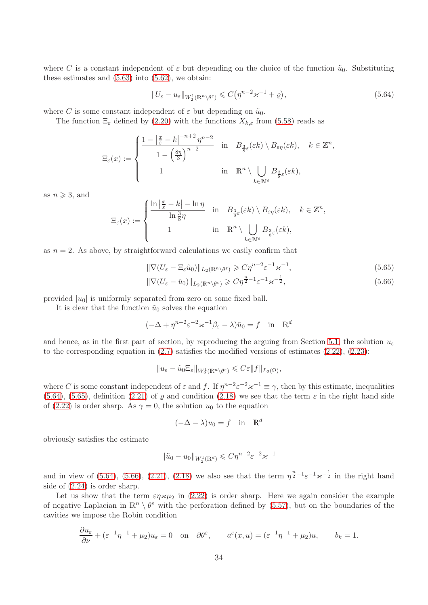where C is a constant independent of  $\varepsilon$  but depending on the choice of the function  $\tilde{u}_0$ . Substituting these estimates and  $(5.63)$  into  $(5.62)$ , we obtain:

<span id="page-33-0"></span>
$$
||U_{\varepsilon} - u_{\varepsilon}||_{W_2^1(\mathbb{R}^n \setminus \theta^{\varepsilon})} \leqslant C(\eta^{n-2} \varepsilon^{-1} + \varrho), \tag{5.64}
$$

<span id="page-33-2"></span><span id="page-33-1"></span>,

where C is some constant independent of  $\varepsilon$  but depending on  $\tilde{u}_0$ .

The function  $\Xi_{\varepsilon}$  defined by [\(2.20\)](#page-5-6) with the functions  $X_{k,\varepsilon}$  from [\(5.58\)](#page-31-1) reads as

$$
\Xi_{\varepsilon}(x) := \begin{cases} \frac{1 - \left|\frac{x}{\varepsilon} - k\right|^{-n+2} \eta^{n-2}}{1 - \left(\frac{8\eta}{3}\right)^{n-2}} & \text{in} \quad B_{\frac{3}{8}\varepsilon}(\varepsilon k) \setminus B_{\varepsilon\eta}(\varepsilon k), \quad k \in \mathbb{Z}^n \\ 1 & \text{in} \quad \mathbb{R}^n \setminus \bigcup_{k \in \mathbb{M}^{\varepsilon}} B_{\frac{3}{8}\varepsilon}(\varepsilon k), \end{cases}
$$

as  $n \geqslant 3$ , and

$$
\Xi_{\varepsilon}(x) := \begin{cases} \frac{\ln\left|\frac{x}{\varepsilon} - k\right| - \ln \eta}{\ln\frac{3}{8}\eta} & \text{in} \quad B_{\frac{3}{8}\varepsilon}(\varepsilon k) \setminus B_{\varepsilon\eta}(\varepsilon k), \quad k \in \mathbb{Z}^n, \\ 1 & \text{in} \quad \mathbb{R}^n \setminus \bigcup_{k \in \mathbb{M}^{\varepsilon}} B_{\frac{3}{8}\varepsilon}(\varepsilon k), \end{cases}
$$

as  $n = 2$ . As above, by straightforward calculations we easily confirm that

$$
\|\nabla (U_{\varepsilon} - \Xi_{\varepsilon} \tilde{u}_0)\|_{L_2(\mathbb{R}^n \setminus \theta^{\varepsilon})} \geqslant C\eta^{n-2} \varepsilon^{-1} \varkappa^{-1},\tag{5.65}
$$

$$
\|\nabla (U_{\varepsilon} - \tilde{u}_0)\|_{L_2(\mathbb{R}^n \setminus \theta^{\varepsilon})} \geqslant C\eta^{\frac{n}{2}-1} \varepsilon^{-1} \varkappa^{-\frac{1}{2}},\tag{5.66}
$$

provided  $|u_0|$  is uniformly separated from zero on some fixed ball.

It is clear that the function  $\tilde{u}_0$  solves the equation

$$
(-\Delta + \eta^{n-2} \varepsilon^{-2} \varkappa^{-1} \beta_{\varepsilon} - \lambda) \tilde{u}_0 = f \quad \text{in} \quad \mathbb{R}^d
$$

and hence, as in the first part of section, by reproducing the arguing from Section [5.1,](#page-19-1) the solution  $u_{\varepsilon}$ to the corresponding equation in  $(2.7)$  satisfies the modified versions of estimates  $(2.22)$ ,  $(2.23)$ :

$$
||u_{\varepsilon}-\tilde{u}_0\Xi_{\varepsilon}||_{W_2^1(\mathbb{R}^n\setminus\theta^{\varepsilon})}\leqslant C{\varepsilon}||f||_{L_2(\Omega)},
$$

where C is some constant independent of  $\varepsilon$  and f. If  $\eta^{n-2} \varepsilon^{-2} \varkappa^{-1} \equiv \gamma$ , then by this estimate, inequalities [\(5.64\)](#page-33-0), [\(5.65\)](#page-33-1), definition [\(2.21\)](#page-5-7) of  $\varrho$  and condition [\(2.18\)](#page-4-0) we see that the term  $\varepsilon$  in the right hand side of [\(2.22\)](#page-5-2) is order sharp. As  $\gamma = 0$ , the solution  $u_0$  to the equation

$$
(-\Delta - \lambda)u_0 = f \quad \text{in} \quad \mathbb{R}^d
$$

obviously satisfies the estimate

$$
\|\tilde{u}_0 - u_0\|_{W_2^1(\mathbb{R}^d)} \leqslant C\eta^{n-2}\varepsilon^{-2}\varkappa^{-1}
$$

and in view of  $(5.64)$ ,  $(5.66)$ ,  $(2.21)$ ,  $(2.18)$  we also see that the term  $\eta^{\frac{n}{2}-1} \varepsilon^{-1} \varkappa^{-\frac{1}{2}}$  in the right hand side of [\(2.24\)](#page-5-3) is order sharp.

Let us show that the term  $\varepsilon \eta \varkappa \mu_2$  in [\(2.22\)](#page-5-2) is order sharp. Here we again consider the example of negative Laplacian in  $\mathbb{R}^n \setminus \theta^{\varepsilon}$  with the perforation defined by [\(5.57\)](#page-31-2), but on the boundaries of the cavities we impose the Robin condition

$$
\frac{\partial u_{\varepsilon}}{\partial \nu} + (\varepsilon^{-1} \eta^{-1} + \mu_2) u_{\varepsilon} = 0 \quad \text{on} \quad \partial \theta^{\varepsilon}, \qquad a^{\varepsilon}(x, u) = (\varepsilon^{-1} \eta^{-1} + \mu_2) u, \qquad b_k = 1.
$$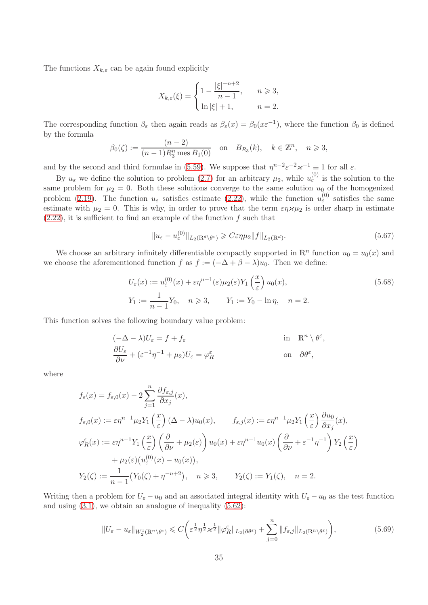The functions  $X_{k,\varepsilon}$  can be again found explicitly

$$
X_{k,\varepsilon}(\xi) = \begin{cases} 1 - \frac{|\xi|^{-n+2}}{n-1}, & n \ge 3, \\ \ln |\xi| + 1, & n = 2. \end{cases}
$$

The corresponding function  $\beta_{\varepsilon}$  then again reads as  $\beta_{\varepsilon}(x) = \beta_0(x \varepsilon^{-1})$ , where the function  $\beta_0$  is defined by the formula

$$
\beta_0(\zeta) := \frac{(n-2)}{(n-1)R_3^n \text{ mes } B_1(0)}
$$
 on  $B_{R_3}(k)$ ,  $k \in \mathbb{Z}^n$ ,  $n \ge 3$ ,

and by the second and third formulae in [\(5.59\)](#page-31-3). We suppose that  $\eta^{n-2} \varepsilon^{-2} \varkappa^{-1} \equiv 1$  for all  $\varepsilon$ .

By  $u_{\varepsilon}$  we define the solution to problem [\(2.7\)](#page-2-0) for an arbitrary  $\mu_2$ , while  $u_{\varepsilon}^{(0)}$  is the solution to the same problem for  $\mu_2 = 0$ . Both these solutions converge to the same solution  $u_0$  of the homogenized problem [\(2.19\)](#page-5-0). The function  $u_{\varepsilon}$  satisfies estimate [\(2.22\)](#page-5-2), while the function  $u_{\varepsilon}^{(0)}$  satisfies the same estimate with  $\mu_2 = 0$ . This is why, in order to prove that the term  $\varepsilon \eta \varkappa \mu_2$  is order sharp in estimate  $(2.22)$ , it is sufficient to find an example of the function f such that

<span id="page-34-2"></span><span id="page-34-1"></span>
$$
||u_{\varepsilon} - u_{\varepsilon}^{(0)}||_{L_2(\mathbb{R}^d \setminus \theta^{\varepsilon})} \geqslant C \varepsilon \eta \mu_2 ||f||_{L_2(\mathbb{R}^d)}.
$$
\n
$$
(5.67)
$$

We choose an arbitrary infinitely differentiable compactly supported in  $\mathbb{R}^n$  function  $u_0 = u_0(x)$  and we choose the aforementioned function f as  $f := (-\Delta + \beta - \lambda)u_0$ . Then we define:

$$
U_{\varepsilon}(x) := u_{\varepsilon}^{(0)}(x) + \varepsilon \eta^{n-1}(\varepsilon) \mu_2(\varepsilon) Y_1\left(\frac{x}{\varepsilon}\right) u_0(x),
$$
  
\n
$$
Y_1 := \frac{1}{n-1} Y_0, \quad n \ge 3, \qquad Y_1 := Y_0 - \ln \eta, \quad n = 2.
$$
\n(5.68)

This function solves the following boundary value problem:

$$
(-\Delta - \lambda)U_{\varepsilon} = f + f_{\varepsilon} \quad \text{in} \quad \mathbb{R}^n \setminus \theta^{\varepsilon},
$$
  
\n
$$
\frac{\partial U_{\varepsilon}}{\partial \nu} + (\varepsilon^{-1} \eta^{-1} + \mu_2)U_{\varepsilon} = \varphi_R^{\varepsilon} \quad \text{on} \quad \partial \theta^{\varepsilon},
$$

where

$$
f_{\varepsilon}(x) = f_{\varepsilon,0}(x) - 2 \sum_{j=1}^{n} \frac{\partial f_{\varepsilon,j}}{\partial x_j}(x),
$$
  
\n
$$
f_{\varepsilon,0}(x) := \varepsilon \eta^{n-1} \mu_2 Y_1\left(\frac{x}{\varepsilon}\right) (\Delta - \lambda) u_0(x), \qquad f_{\varepsilon,j}(x) := \varepsilon \eta^{n-1} \mu_2 Y_1\left(\frac{x}{\varepsilon}\right) \frac{\partial u_0}{\partial x_j}(x),
$$
  
\n
$$
\varphi_R^{\varepsilon}(x) := \varepsilon \eta^{n-1} Y_1\left(\frac{x}{\varepsilon}\right) \left(\frac{\partial}{\partial \nu} + \mu_2(\varepsilon)\right) u_0(x) + \varepsilon \eta^{n-1} u_0(x) \left(\frac{\partial}{\partial \nu} + \varepsilon^{-1} \eta^{-1}\right) Y_2\left(\frac{x}{\varepsilon}\right)
$$
  
\n
$$
+ \mu_2(\varepsilon) (u_{\varepsilon}^{(0)}(x) - u_0(x)),
$$
  
\n
$$
Y_2(\zeta) := \frac{1}{n-1} \big(Y_0(\zeta) + \eta^{-n+2}\big), \quad n \ge 3, \qquad Y_2(\zeta) := Y_1(\zeta), \quad n = 2.
$$

Writing then a problem for  $U_{\varepsilon} - u_0$  and an associated integral identity with  $U_{\varepsilon} - u_0$  as the test function and using  $(3.1)$ , we obtain an analogue of inequality  $(5.62)$ :

<span id="page-34-0"></span>
$$
||U_{\varepsilon} - u_{\varepsilon}||_{W_2^1(\mathbb{R}^n \setminus \theta^{\varepsilon})} \leq C \bigg( \varepsilon^{\frac{1}{2}} \eta^{\frac{1}{2}} \varkappa^{\frac{1}{2}} ||\varphi_R^{\varepsilon}||_{L_2(\partial \theta^{\varepsilon})} + \sum_{j=0}^n ||f_{\varepsilon,j}||_{L_2(\mathbb{R}^n \setminus \theta^{\varepsilon})} \bigg),
$$
(5.69)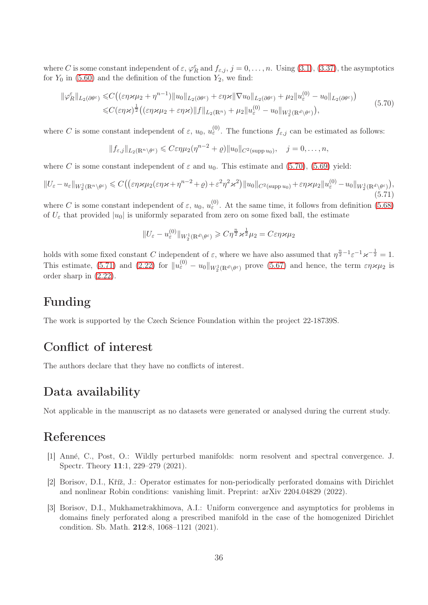where C is some constant independent of  $\varepsilon$ ,  $\varphi_R^{\varepsilon}$  and  $f_{\varepsilon,j}$ ,  $j=0,\ldots,n$ . Using [\(3.1\)](#page-7-0), [\(3.37\)](#page-13-2), the asymptotics for  $Y_0$  in [\(5.60\)](#page-32-0) and the definition of the function  $Y_2$ , we find:

<span id="page-35-3"></span>
$$
\|\varphi_R^{\varepsilon}\|_{L_2(\partial\theta^{\varepsilon})} \leq C \big( (\varepsilon\eta\varkappa\mu_2 + \eta^{n-1})\|u_0\|_{L_2(\partial\theta^{\varepsilon})} + \varepsilon\eta\varkappa \|\nabla u_0\|_{L_2(\partial\theta^{\varepsilon})} + \mu_2\|u_{\varepsilon}^{(0)} - u_0\|_{L_2(\partial\theta^{\varepsilon})} \big) \leq C(\varepsilon\eta\varkappa)^{\frac{1}{2}} \big( (\varepsilon\eta\varkappa\mu_2 + \varepsilon\eta\varkappa)\|f\|_{L_2(\mathbb{R}^n)} + \mu_2\|u_{\varepsilon}^{(0)} - u_0\|_{W_2^1(\mathbb{R}^d\setminus\theta^{\varepsilon})} \big),
$$
\n(5.70)

where C is some constant independent of  $\varepsilon$ ,  $u_0$ ,  $u_{\varepsilon}^{(0)}$ . The functions  $f_{\varepsilon,j}$  can be estimated as follows:

$$
||f_{\varepsilon,j}||_{L_2(\mathbb{R}^n \setminus \theta^{\varepsilon})} \leqslant C \varepsilon \eta \mu_2(\eta^{n-2} + \varrho) ||u_0||_{C^2(\text{supp } u_0)}, \quad j = 0, \ldots, n,
$$

where C is some constant independent of  $\varepsilon$  and  $u_0$ . This estimate and [\(5.70\)](#page-35-3), [\(5.69\)](#page-34-0) yield:

<span id="page-35-4"></span>
$$
||U_{\varepsilon}-u_{\varepsilon}||_{W_2^1(\mathbb{R}^n\setminus\theta^{\varepsilon})}\leqslant C\big(\big(\varepsilon\eta\varkappa\mu_2(\varepsilon\eta\varkappa+\eta^{n-2}+\varrho)+\varepsilon^2\eta^2\varkappa^2\big)\|u_0\|_{C^2(\text{supp}\,u_0)}+\varepsilon\eta\varkappa\mu_2||u_{\varepsilon}^{(0)}-u_0||_{W_2^1(\mathbb{R}^d\setminus\theta^{\varepsilon})}\big),\tag{5.71}
$$

where C is some constant independent of  $\varepsilon$ ,  $u_0$ ,  $u_{\varepsilon}^{(0)}$ . At the same time, it follows from definition [\(5.68\)](#page-34-1) of  $U_{\varepsilon}$  that provided  $|u_0|$  is uniformly separated from zero on some fixed ball, the estimate

$$
||U_{\varepsilon}-u_{\varepsilon}^{(0)}||_{W_2^1(\mathbb{R}^d\setminus\theta^{\varepsilon})}\geqslant C\eta^{\frac{n}{2}}\varkappa^{\frac{1}{2}}\mu_2=C\varepsilon\eta\varkappa\mu_2
$$

holds with some fixed constant C independent of  $\varepsilon$ , where we have also assumed that  $\eta^{\frac{n}{2}-1}\varepsilon^{-1} \varkappa^{-\frac{1}{2}}=1$ . This estimate, [\(5.71\)](#page-35-4) and [\(2.22\)](#page-5-2) for  $||u_{\varepsilon}^{(0)} - u_0||_{W_2^1(\mathbb{R}^d \setminus \theta^{\varepsilon})}$  prove [\(5.67\)](#page-34-2) and hence, the term  $\varepsilon \eta \varkappa \mu_2$  is order sharp in [\(2.22\)](#page-5-2).

## Funding

The work is supported by the Czech Science Foundation within the project 22-18739S.

## Conflict of interest

The authors declare that they have no conflicts of interest.

## Data availability

Not applicable in the manuscript as no datasets were generated or analysed during the current study.

## <span id="page-35-0"></span>References

- [1] Ann´e, C., Post, O.: Wildly perturbed manifolds: norm resolvent and spectral convergence. J. Spectr. Theory 11:1, 229–279 (2021).
- <span id="page-35-2"></span>[2] Borisov, D.I., Kříž, J.: Operator estimates for non-periodically perforated domains with Dirichlet and nonlinear Robin conditions: vanishing limit. Preprint: arXiv 2204.04829 (2022).
- <span id="page-35-1"></span>[3] Borisov, D.I., Mukhametrakhimova, A.I.: Uniform convergence and asymptotics for problems in domains finely perforated along a prescribed manifold in the case of the homogenized Dirichlet condition. Sb. Math. 212:8, 1068–1121 (2021).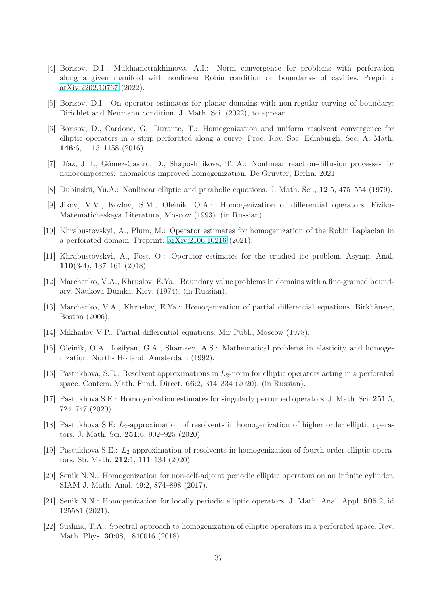- <span id="page-36-9"></span>[4] Borisov, D.I., Mukhametrakhimova, A.I.: Norm convergence for problems with perforation along a given manifold with nonlinear Robin condition on boundaries of cavities. Preprint: [arXiv:2202.10767](http://arxiv.org/abs/2202.10767) (2022).
- <span id="page-36-12"></span><span id="page-36-10"></span>[5] Borisov, D.I.: On operator estimates for planar domains with non-regular curving of boundary: Dirichlet and Neumann condition. J. Math. Sci. (2022), to appear
- [6] Borisov, D., Cardone, G., Durante, T.: Homogenization and uniform resolvent convergence for elliptic operators in a strip perforated along a curve. Proc. Roy. Soc. Edinburgh. Sec. A. Math. 146:6, 1115–1158 (2016).
- <span id="page-36-3"></span>[7] Díaz, J. I., Gómez-Castro, D., Shaposhnikova, T. A.: Nonlinear reaction-diffusion processes for nanocomposites: anomalous improved homogenization. De Gruyter, Berlin, 2021.
- <span id="page-36-4"></span>[8] Dubinskii, Yu.A.: Nonlinear elliptic and parabolic equations. J. Math. Sci., 12:5, 475–554 (1979).
- <span id="page-36-7"></span>[9] Jikov, V.V., Kozlov, S.M., Oleinik, O.A.: Homogenization of differential operators. Fiziko-Matematicheskaya Literatura, Moscow (1993). (in Russian).
- <span id="page-36-8"></span>[10] Khrabustovskyi, A., Plum, M.: Operator estimates for homogenization of the Robin Laplacian in a perforated domain. Preprint: [arXiv:2106.10216](http://arxiv.org/abs/2106.10216) (2021).
- [11] Khrabustovskyi, A., Post. O.: Operator estimates for the crushed ice problem. Asymp. Anal. 110(3-4), 137–161 (2018).
- <span id="page-36-0"></span>[12] Marchenko, V.A., Khruslov, E.Ya.: Boundary value problems in domains with a fine-grained boundary, Naukova Dumka, Kiev, (1974). (in Russian).
- <span id="page-36-11"></span><span id="page-36-1"></span>[13] Marchenko, V.A., Khruslov, E.Ya.: Homogenization of partial differential equations. Birkhäuser, Boston (2006).
- <span id="page-36-2"></span>[14] Mikhailov V.P.: Partial differential equations. Mir Publ., Moscow (1978).
- [15] Oleinik, O.A., Iosifyan, G.A., Shamaev, A.S.: Mathematical problems in elasticity and homogenization. North- Holland, Amsterdam (1992).
- <span id="page-36-6"></span>[16] Pastukhova, S.E.: Resolvent approximations in  $L_2$ -norm for elliptic operators acting in a perforated space. Contem. Math. Fund. Direct. 66:2, 314–334 (2020). (in Russian).
- <span id="page-36-15"></span>[17] Pastukhova S.E.: Homogenization estimates for singularly perturbed operators. J. Math. Sci. 251:5, 724–747 (2020).
- <span id="page-36-16"></span>[18] Pastukhova S.E: L2-approximation of resolvents in homogenization of higher order elliptic operators. J. Math. Sci. 251:6, 902–925 (2020).
- <span id="page-36-17"></span>[19] Pastukhova S.E.: L2-approximation of resolvents in homogenization of fourth-order elliptic operators. Sb. Math. 212:1, 111–134 (2020).
- <span id="page-36-13"></span>[20] Senik N.N.: Homogenization for non-self-adjoint periodic elliptic operators on an infinite cylinder. SIAM J. Math. Anal. 49:2, 874–898 (2017).
- <span id="page-36-14"></span>[21] Senik N.N.: Homogenization for locally periodic elliptic operators. J. Math. Anal. Appl. 505:2, id 125581 (2021).
- <span id="page-36-5"></span>[22] Suslina, T.A.: Spectral approach to homogenization of elliptic operators in a perforated space. Rev. Math. Phys. 30:08, 1840016 (2018).